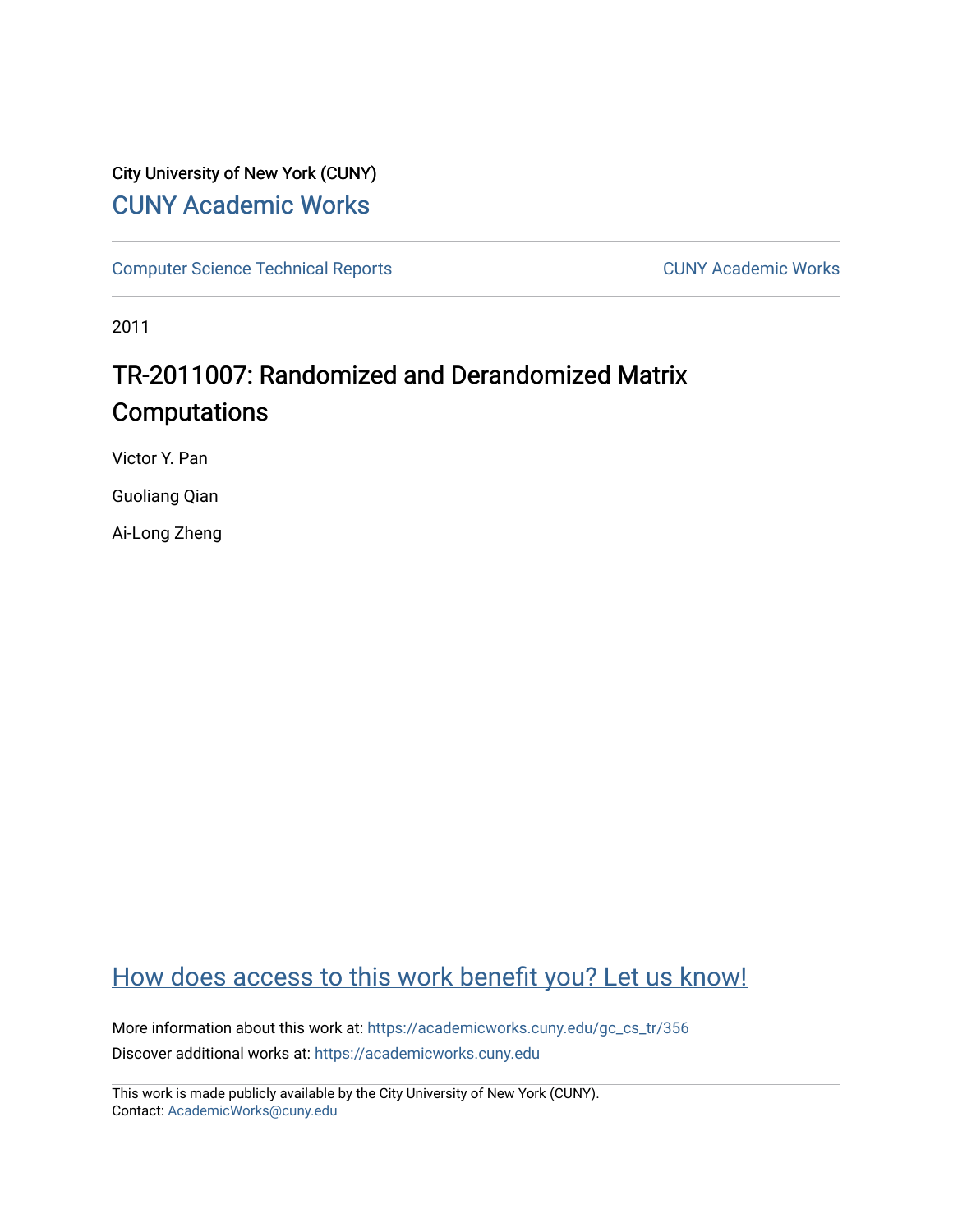## City University of New York (CUNY) [CUNY Academic Works](https://academicworks.cuny.edu/)

[Computer Science Technical Reports](https://academicworks.cuny.edu/gc_cs_tr) **CUNY Academic Works** CUNY Academic Works

2011

# TR-2011007: Randomized and Derandomized Matrix Computations

Victor Y. Pan

Guoliang Qian

Ai-Long Zheng

## [How does access to this work benefit you? Let us know!](http://ols.cuny.edu/academicworks/?ref=https://academicworks.cuny.edu/gc_cs_tr/356)

More information about this work at: [https://academicworks.cuny.edu/gc\\_cs\\_tr/356](https://academicworks.cuny.edu/gc_cs_tr/356)  Discover additional works at: [https://academicworks.cuny.edu](https://academicworks.cuny.edu/?)

This work is made publicly available by the City University of New York (CUNY). Contact: [AcademicWorks@cuny.edu](mailto:AcademicWorks@cuny.edu)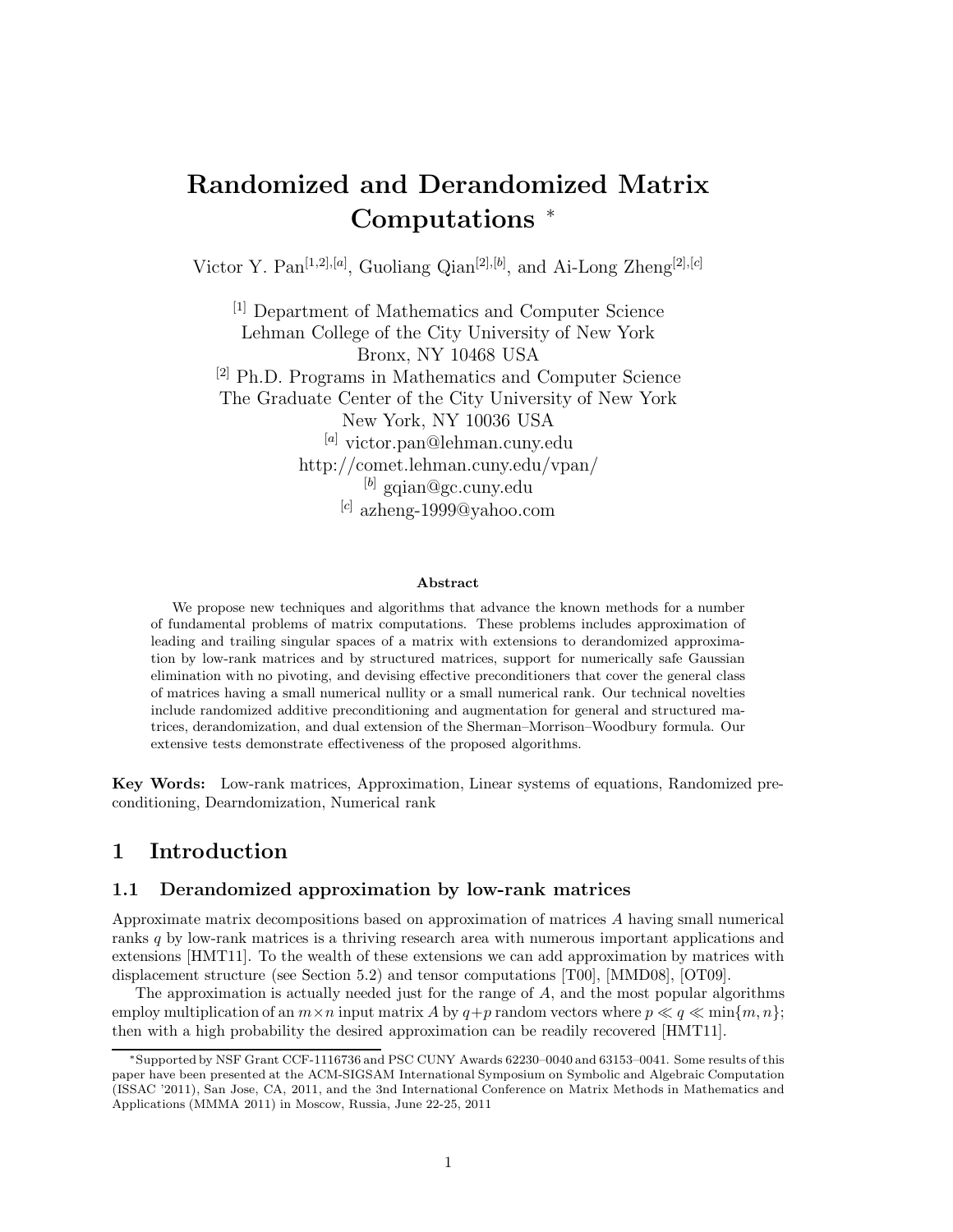# **Randomized and Derandomized Matrix Computations** <sup>∗</sup>

Victor Y. Pan[1*,*2]*,*[*a*] , Guoliang Qian[2]*,*[*b*] , and Ai-Long Zheng[2]*,*[*c*]

[1] Department of Mathematics and Computer Science Lehman College of the City University of New York Bronx, NY 10468 USA [2] Ph.D. Programs in Mathematics and Computer Science The Graduate Center of the City University of New York New York, NY 10036 USA [*a*] victor.pan@lehman.cuny.edu http://comet.lehman.cuny.edu/vpan/ [*b*] gqian@gc.cuny.edu [*c*] azheng-1999@yahoo.com

#### **Abstract**

We propose new techniques and algorithms that advance the known methods for a number of fundamental problems of matrix computations. These problems includes approximation of leading and trailing singular spaces of a matrix with extensions to derandomized approximation by low-rank matrices and by structured matrices, support for numerically safe Gaussian elimination with no pivoting, and devising effective preconditioners that cover the general class of matrices having a small numerical nullity or a small numerical rank. Our technical novelties include randomized additive preconditioning and augmentation for general and structured matrices, derandomization, and dual extension of the Sherman–Morrison–Woodbury formula. Our extensive tests demonstrate effectiveness of the proposed algorithms.

**Key Words:** Low-rank matrices, Approximation, Linear systems of equations, Randomized preconditioning, Dearndomization, Numerical rank

## **1 Introduction**

## **1.1 Derandomized approximation by low-rank matrices**

Approximate matrix decompositions based on approximation of matrices *A* having small numerical ranks *q* by low-rank matrices is a thriving research area with numerous important applications and extensions [HMT11]. To the wealth of these extensions we can add approximation by matrices with displacement structure (see Section 5.2) and tensor computations [T00], [MMD08], [OT09].

The approximation is actually needed just for the range of *A*, and the most popular algorithms employ multiplication of an  $m \times n$  input matrix A by  $q+p$  random vectors where  $p \ll q \ll \min\{m, n\};$ then with a high probability the desired approximation can be readily recovered [HMT11].

<sup>∗</sup>Supported by NSF Grant CCF-1116736 and PSC CUNY Awards 62230–0040 and 63153–0041. Some results of this paper have been presented at the ACM-SIGSAM International Symposium on Symbolic and Algebraic Computation (ISSAC '2011), San Jose, CA, 2011, and the 3nd International Conference on Matrix Methods in Mathematics and Applications (MMMA 2011) in Moscow, Russia, June 22-25, 2011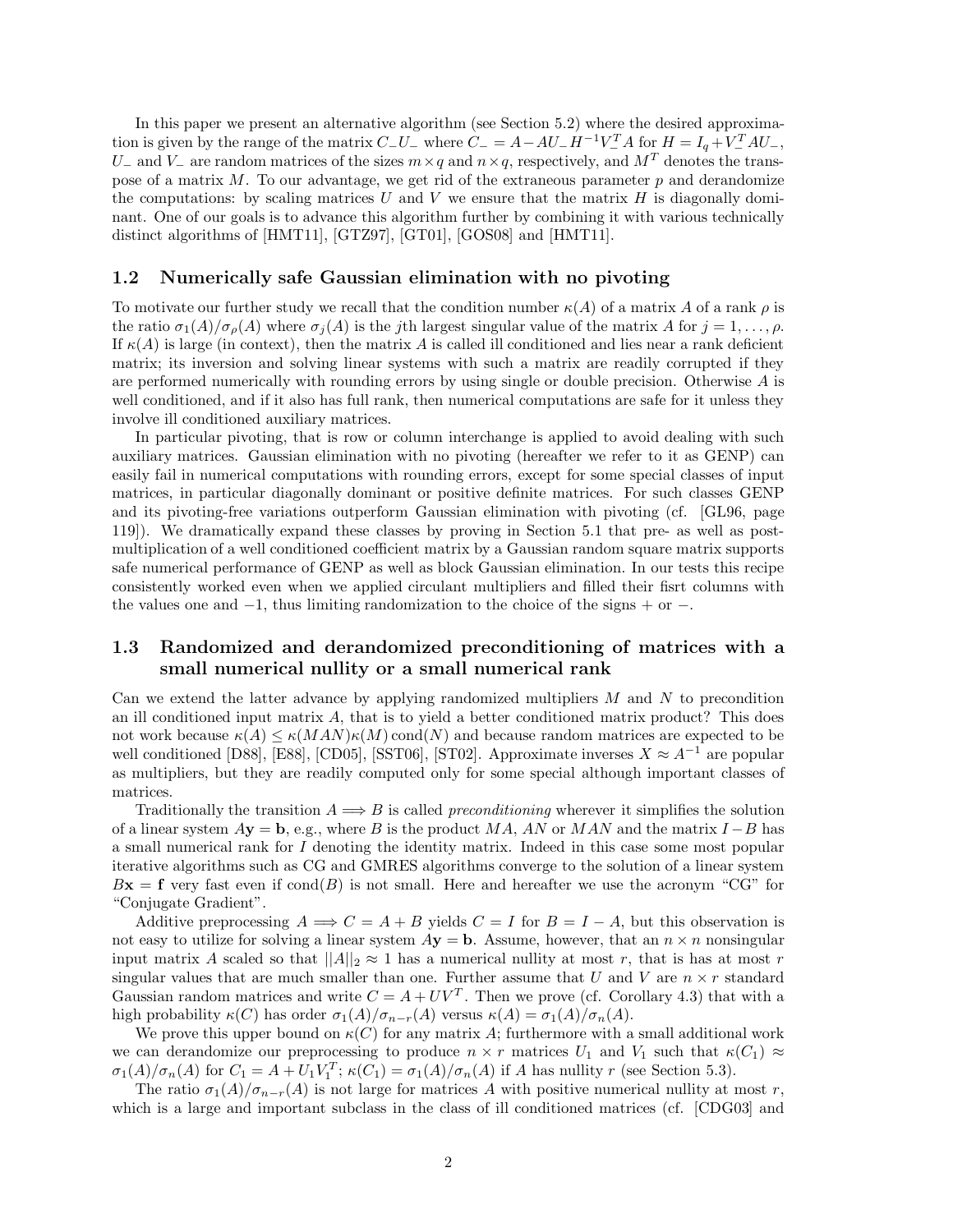In this paper we present an alternative algorithm (see Section 5.2) where the desired approximation is given by the range of the matrix  $C_{-}U_{-}$  where  $C_{-} = A - AU_{-}H^{-1}V_{-}^{T}A$  for  $H = I_q + V_{-}^{T}AU_{-}$ , *U*− and *V*− are random matrices of the sizes  $m \times q$  and  $n \times q$ , respectively, and  $M<sup>T</sup>$  denotes the transpose of a matrix *M*. To our advantage, we get rid of the extraneous parameter *p* and derandomize the computations: by scaling matrices  $U$  and  $V$  we ensure that the matrix  $H$  is diagonally dominant. One of our goals is to advance this algorithm further by combining it with various technically distinct algorithms of [HMT11], [GTZ97], [GT01], [GOS08] and [HMT11].

### **1.2 Numerically safe Gaussian elimination with no pivoting**

To motivate our further study we recall that the condition number  $\kappa(A)$  of a matrix A of a rank  $\rho$  is the ratio  $\sigma_1(A)/\sigma_0(A)$  where  $\sigma_j(A)$  is the *j*th largest singular value of the matrix *A* for  $j = 1, \ldots, \rho$ . If  $\kappa(A)$  is large (in context), then the matrix A is called ill conditioned and lies near a rank deficient matrix; its inversion and solving linear systems with such a matrix are readily corrupted if they are performed numerically with rounding errors by using single or double precision. Otherwise *A* is well conditioned, and if it also has full rank, then numerical computations are safe for it unless they involve ill conditioned auxiliary matrices.

In particular pivoting, that is row or column interchange is applied to avoid dealing with such auxiliary matrices. Gaussian elimination with no pivoting (hereafter we refer to it as GENP) can easily fail in numerical computations with rounding errors, except for some special classes of input matrices, in particular diagonally dominant or positive definite matrices. For such classes GENP and its pivoting-free variations outperform Gaussian elimination with pivoting (cf. [GL96, page 119]). We dramatically expand these classes by proving in Section 5.1 that pre- as well as postmultiplication of a well conditioned coefficient matrix by a Gaussian random square matrix supports safe numerical performance of GENP as well as block Gaussian elimination. In our tests this recipe consistently worked even when we applied circulant multipliers and filled their fisrt columns with the values one and  $-1$ , thus limiting randomization to the choice of the signs  $+$  or  $-$ .

## **1.3 Randomized and derandomized preconditioning of matrices with a small numerical nullity or a small numerical rank**

Can we extend the latter advance by applying randomized multipliers *M* and *N* to precondition an ill conditioned input matrix *A*, that is to yield a better conditioned matrix product? This does not work because  $\kappa(A) \leq \kappa(MAN)\kappa(M)$  cond $(N)$  and because random matrices are expected to be well conditioned [D88], [E88], [CD05], [SST06], [ST02]. Approximate inverses  $X \approx A^{-1}$  are popular as multipliers, but they are readily computed only for some special although important classes of matrices.

Traditionally the transition  $A \Longrightarrow B$  is called *preconditioning* wherever it simplifies the solution of a linear system  $A$ **y** = **b**, e.g., where *B* is the product *MA*, *AN* or *MAN* and the matrix *I* − *B* has a small numerical rank for *I* denoting the identity matrix. Indeed in this case some most popular iterative algorithms such as CG and GMRES algorithms converge to the solution of a linear system  $Bx = f$  very fast even if  $cond(B)$  is not small. Here and hereafter we use the acronym "CG" for "Conjugate Gradient".

Additive preprocessing  $A \Longrightarrow C = A + B$  yields  $C = I$  for  $B = I - A$ , but this observation is not easy to utilize for solving a linear system  $A$ **y** = **b**. Assume, however, that an  $n \times n$  nonsingular input matrix *A* scaled so that  $||A||_2 \approx 1$  has a numerical nullity at most *r*, that is has at most *r* singular values that are much smaller than one. Further assume that *U* and *V* are  $n \times r$  standard Gaussian random matrices and write  $C = A + UV^T$ . Then we prove (cf. Corollary 4.3) that with a high probability  $\kappa(C)$  has order  $\sigma_1(A)/\sigma_{n-r}(A)$  versus  $\kappa(A) = \sigma_1(A)/\sigma_n(A)$ .

We prove this upper bound on  $\kappa(C)$  for any matrix A; furthermore with a small additional work we can derandomize our preprocessing to produce  $n \times r$  matrices  $U_1$  and  $V_1$  such that  $\kappa(C_1) \approx$  $\sigma_1(A)/\sigma_n(A)$  for  $C_1 = A + U_1V_1^T$ ;  $\kappa(C_1) = \sigma_1(A)/\sigma_n(A)$  if A has nullity r (see Section 5.3).

The ratio  $\sigma_1(A)/\sigma_{n-r}(A)$  is not large for matrices A with positive numerical nullity at most *r*, which is a large and important subclass in the class of ill conditioned matrices (cf. [CDG03] and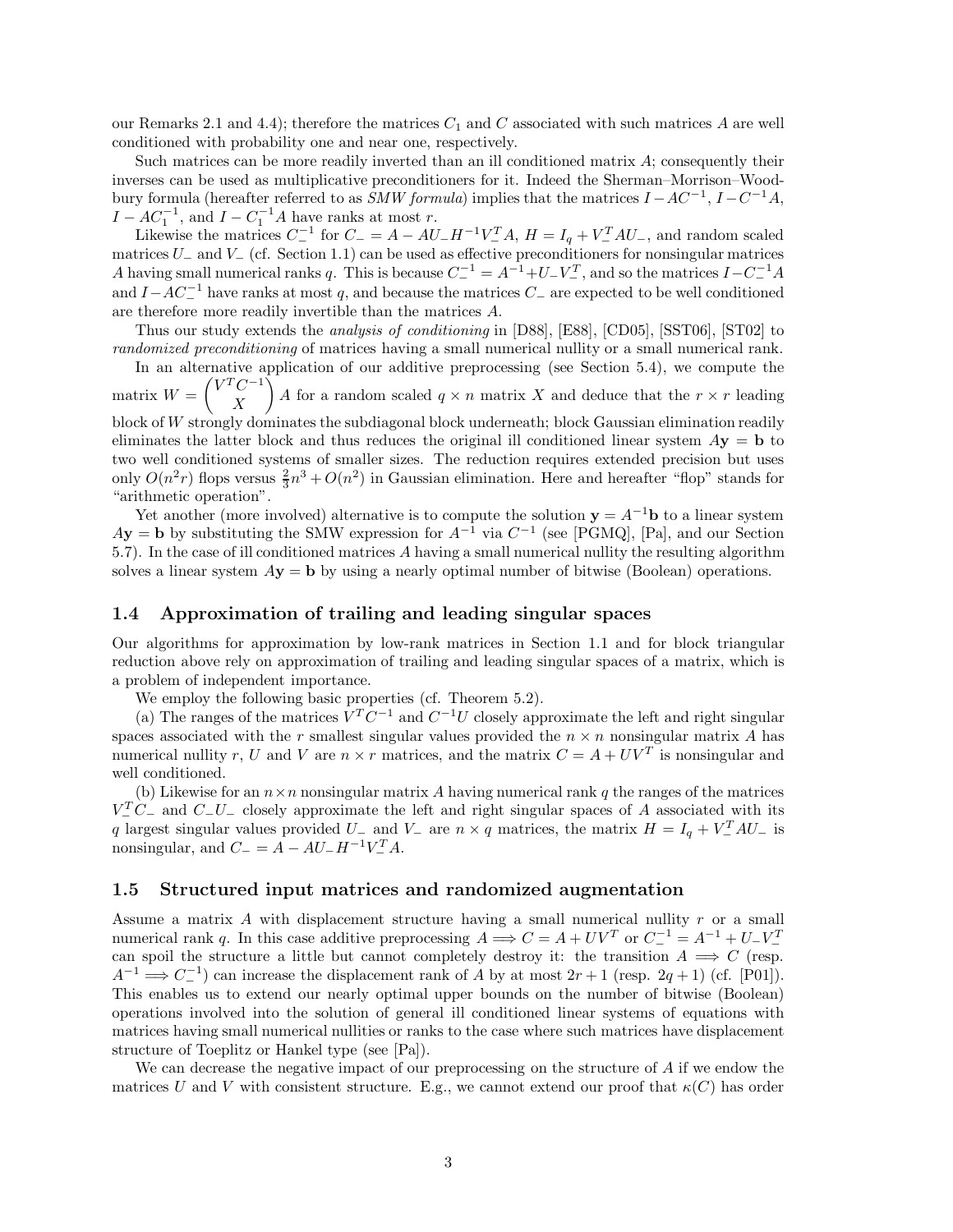our Remarks 2.1 and 4.4); therefore the matrices  $C_1$  and  $C$  associated with such matrices  $A$  are well conditioned with probability one and near one, respectively.

Such matrices can be more readily inverted than an ill conditioned matrix *A*; consequently their inverses can be used as multiplicative preconditioners for it. Indeed the Sherman–Morrison–Woodbury formula (hereafter referred to as *SMW formula*) implies that the matrices *I* −*AC*−1, *I* −*C*−1*A*,  $I - AC_1^{-1}$ , and  $I - C_1^{-1}A$  have ranks at most *r*.

Likewise the matrices  $C^{-1}$  for  $C^{-} = A - AU_-H^{-1}V_-^T A$ ,  $H = I_q + V_-^T A U_-$ , and random scaled matrices *U*<sup>−</sup> and *V*<sup>−</sup> (cf. Section 1.1) can be used as effective preconditioners for nonsingular matrices *A* having small numerical ranks *q*. This is because  $C^{-1} = A^{-1} + U - V^T$ , and so the matrices  $I - C^{-1}A$ and  $I - AC_$ <sup>−1</sup> have ranks at most q, and because the matrices  $C_$  are expected to be well conditioned are therefore more readily invertible than the matrices *A*.

Thus our study extends the *analysis of conditioning* in [D88], [E88], [CD05], [SST06], [ST02] to *randomized preconditioning* of matrices having a small numerical nullity or a small numerical rank.

In an alternative application of our additive preprocessing (see Section 5.4), we compute the matrix  $W =$  $\sqrt{V^T C^{-1}}$ *X* A for a random scaled  $q \times n$  matrix *X* and deduce that the  $r \times r$  leading block of *W* strongly dominates the subdiagonal block underneath; block Gaussian elimination readily eliminates the latter block and thus reduces the original ill conditioned linear system *A***y** = **b** to two well conditioned systems of smaller sizes. The reduction requires extended precision but uses only  $O(n^2r)$  flops versus  $\frac{2}{3}n^3 + O(n^2)$  in Gaussian elimination. Here and hereafter "flop" stands for "arithmetic operation".

Yet another (more involved) alternative is to compute the solution  $y = A^{-1}b$  to a linear system  $A$ **y** = **b** by substituting the SMW expression for  $A^{-1}$  via  $C^{-1}$  (see [PGMQ], [Pa], and our Section 5.7). In the case of ill conditioned matrices *A* having a small numerical nullity the resulting algorithm solves a linear system  $A$ **y** = **b** by using a nearly optimal number of bitwise (Boolean) operations.

### **1.4 Approximation of trailing and leading singular spaces**

Our algorithms for approximation by low-rank matrices in Section 1.1 and for block triangular reduction above rely on approximation of trailing and leading singular spaces of a matrix, which is a problem of independent importance.

We employ the following basic properties (cf. Theorem 5.2).

(a) The ranges of the matrices  $V^T C^{-1}$  and  $C^{-1}U$  closely approximate the left and right singular spaces associated with the  $r$  smallest singular values provided the  $n \times n$  nonsingular matrix  $A$  has numerical nullity *r*, *U* and *V* are  $n \times r$  matrices, and the matrix  $C = A + UV^T$  is nonsingular and well conditioned.

(b) Likewise for an  $n \times n$  nonsingular matrix A having numerical rank q the ranges of the matrices  $V_-^T C_-$  and  $C_- U_-$  closely approximate the left and right singular spaces of *A* associated with its *q* largest singular values provided  $U_{-}$  and  $V_{-}$  are  $n \times q$  matrices, the matrix  $H = I_q + V_{-}^T A U_{-}$  is nonsingular, and  $C_-=A - AU_-H^{-1}V_-^T A$ .

#### **1.5 Structured input matrices and randomized augmentation**

Assume a matrix *A* with displacement structure having a small numerical nullity *r* or a small numerical rank *q*. In this case additive preprocessing  $A \implies C = A + UV^T$  or  $C^{-1} = A^{-1} + U - V^T$  $\frac{1}{2}$  can spoil the structure a little but cannot completely destroy it: the transition  $A \implies C$  (resp.  $A^{-1} \Longrightarrow C^{-1}$  can increase the displacement rank of *A* by at most  $2r + 1$  (resp. 2*q* + 1) (cf. [P01]). This enables us to extend our nearly optimal upper bounds on the number of bitwise (Boolean) operations involved into the solution of general ill conditioned linear systems of equations with matrices having small numerical nullities or ranks to the case where such matrices have displacement structure of Toeplitz or Hankel type (see [Pa]).

We can decrease the negative impact of our preprocessing on the structure of *A* if we endow the matrices *U* and *V* with consistent structure. E.g., we cannot extend our proof that  $\kappa(C)$  has order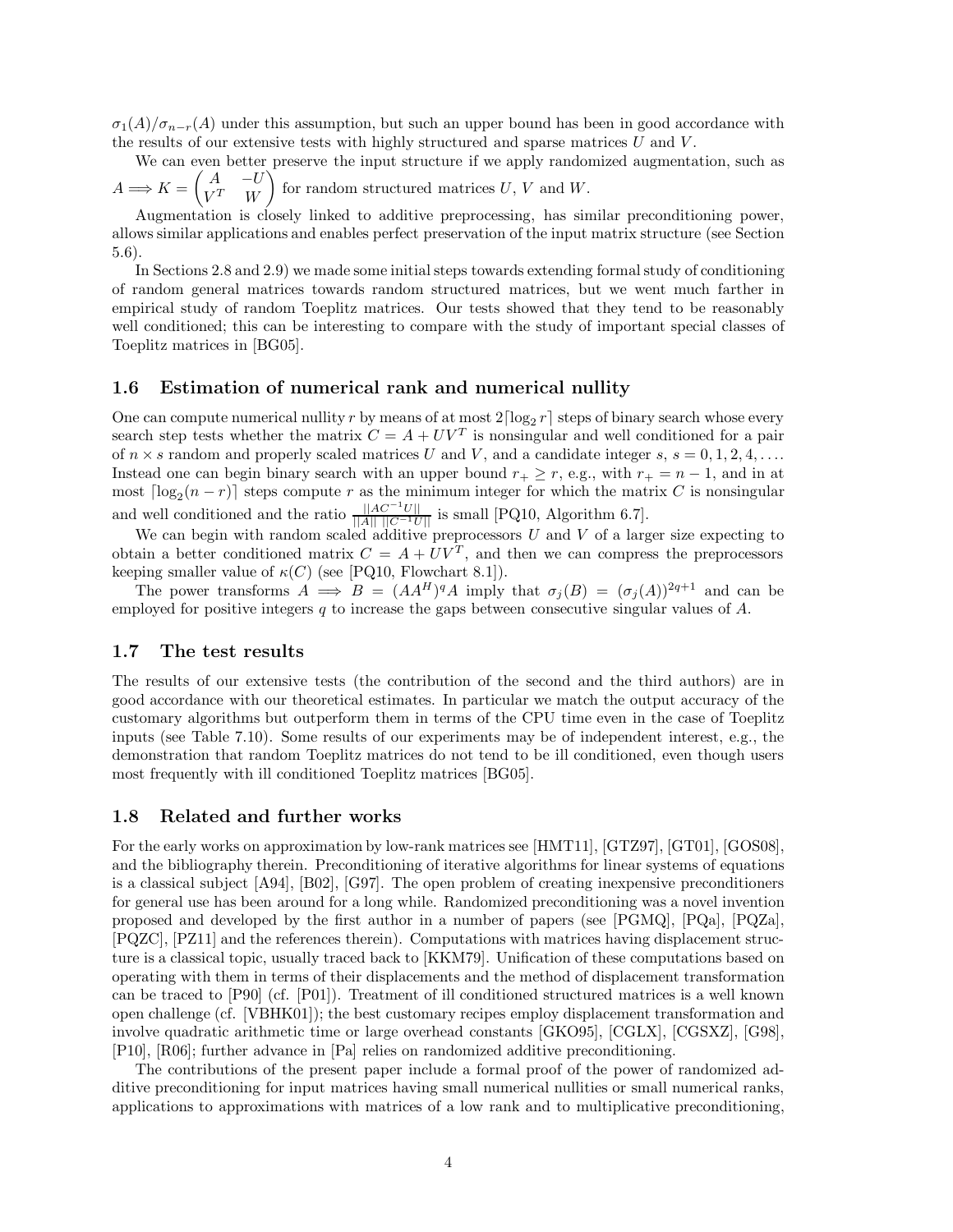$\sigma_1(A)/\sigma_{n-r}(A)$  under this assumption, but such an upper bound has been in good accordance with the results of our extensive tests with highly structured and sparse matrices *U* and *V* .

We can even better preserve the input structure if we apply randomized augmentation, such as  $A \Longrightarrow K = \begin{pmatrix} A & -U \\ V^T & W \end{pmatrix}$  $V^T$  *W* for random structured matrices  $U, V$  and  $W$ .

Augmentation is closely linked to additive preprocessing, has similar preconditioning power, allows similar applications and enables perfect preservation of the input matrix structure (see Section 5.6).

In Sections 2.8 and 2.9) we made some initial steps towards extending formal study of conditioning of random general matrices towards random structured matrices, but we went much farther in empirical study of random Toeplitz matrices. Our tests showed that they tend to be reasonably well conditioned; this can be interesting to compare with the study of important special classes of Toeplitz matrices in [BG05].

## **1.6 Estimation of numerical rank and numerical nullity**

One can compute numerical nullity r by means of at most  $2\lceil \log_2 r \rceil$  steps of binary search whose every search step tests whether the matrix  $C = A + UV^T$  is nonsingular and well conditioned for a pair of  $n \times s$  random and properly scaled matrices U and V, and a candidate integer  $s, s = 0, 1, 2, 4, \ldots$ Instead one can begin binary search with an upper bound  $r_+ \geq r$ , e.g., with  $r_+ = n - 1$ , and in at most  $\lceil \log_2(n-r) \rceil$  steps compute *r* as the minimum integer for which the matrix *C* is nonsingular and well conditioned and the ratio  $\frac{||AC^{-1}U||}{||A|| ||C^{-1}U||}$  is small [PQ10, Algorithm 6.7].

We can begin with random scaled additive preprocessors *U* and *V* of a larger size expecting to obtain a better conditioned matrix  $C = A + UV^T$ , and then we can compress the preprocessors keeping smaller value of  $\kappa(C)$  (see [PQ10, Flowchart 8.1]).

The power transforms  $A \implies B = (AA^H)^q A$  imply that  $\sigma_i(B) = (\sigma_i(A))^{2q+1}$  and can be employed for positive integers *q* to increase the gaps between consecutive singular values of *A*.

#### **1.7 The test results**

The results of our extensive tests (the contribution of the second and the third authors) are in good accordance with our theoretical estimates. In particular we match the output accuracy of the customary algorithms but outperform them in terms of the CPU time even in the case of Toeplitz inputs (see Table 7.10). Some results of our experiments may be of independent interest, e.g., the demonstration that random Toeplitz matrices do not tend to be ill conditioned, even though users most frequently with ill conditioned Toeplitz matrices [BG05].

## **1.8 Related and further works**

For the early works on approximation by low-rank matrices see [HMT11], [GTZ97], [GT01], [GOS08], and the bibliography therein. Preconditioning of iterative algorithms for linear systems of equations is a classical subject [A94], [B02], [G97]. The open problem of creating inexpensive preconditioners for general use has been around for a long while. Randomized preconditioning was a novel invention proposed and developed by the first author in a number of papers (see [PGMQ], [PQa], [PQZa], [PQZC], [PZ11] and the references therein). Computations with matrices having displacement structure is a classical topic, usually traced back to [KKM79]. Unification of these computations based on operating with them in terms of their displacements and the method of displacement transformation can be traced to [P90] (cf. [P01]). Treatment of ill conditioned structured matrices is a well known open challenge (cf. [VBHK01]); the best customary recipes employ displacement transformation and involve quadratic arithmetic time or large overhead constants [GKO95], [CGLX], [CGSXZ], [G98], [P10], [R06]; further advance in [Pa] relies on randomized additive preconditioning.

The contributions of the present paper include a formal proof of the power of randomized additive preconditioning for input matrices having small numerical nullities or small numerical ranks, applications to approximations with matrices of a low rank and to multiplicative preconditioning,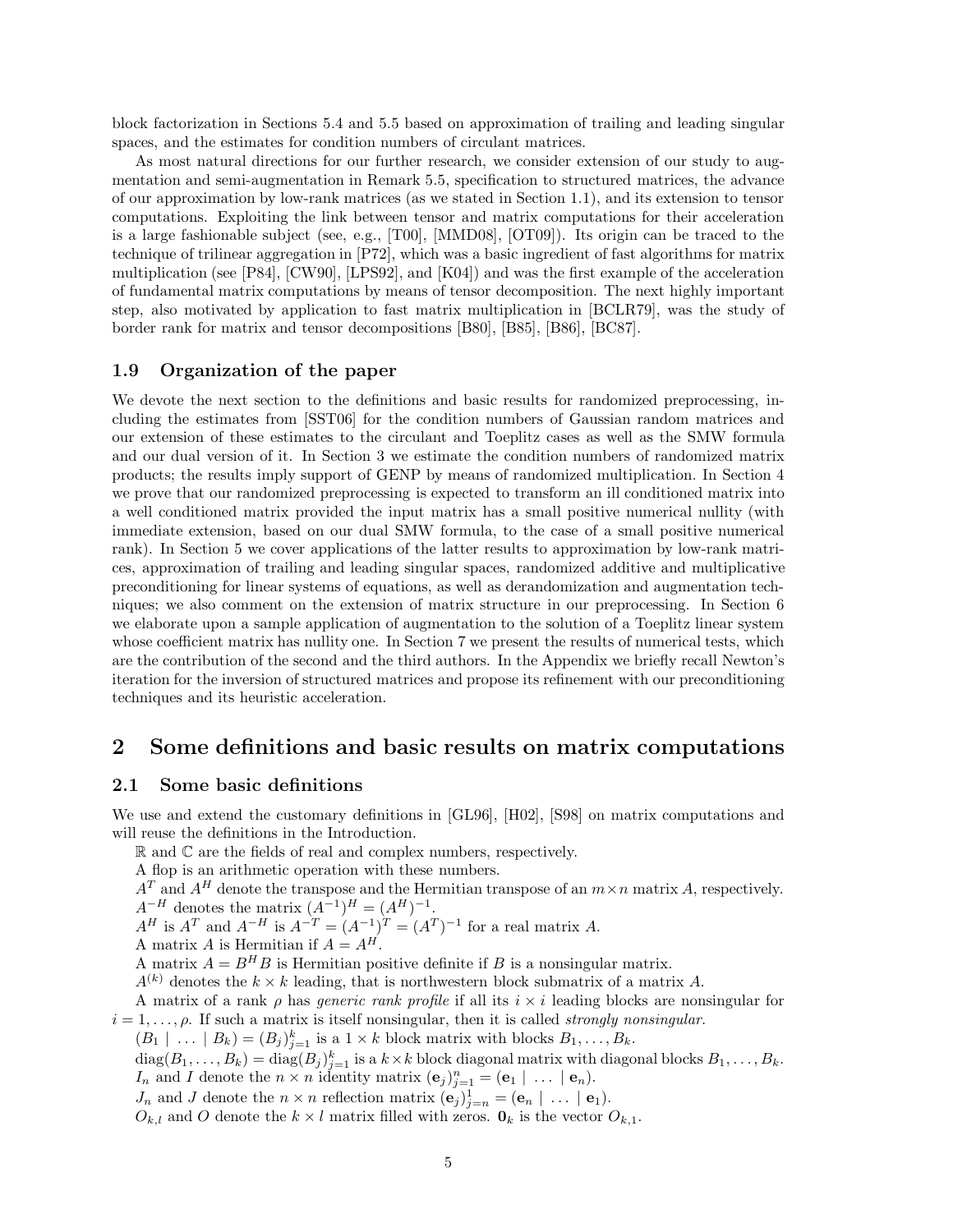block factorization in Sections 5.4 and 5.5 based on approximation of trailing and leading singular spaces, and the estimates for condition numbers of circulant matrices.

As most natural directions for our further research, we consider extension of our study to augmentation and semi-augmentation in Remark 5.5, specification to structured matrices, the advance of our approximation by low-rank matrices (as we stated in Section 1.1), and its extension to tensor computations. Exploiting the link between tensor and matrix computations for their acceleration is a large fashionable subject (see, e.g., [T00], [MMD08], [OT09]). Its origin can be traced to the technique of trilinear aggregation in [P72], which was a basic ingredient of fast algorithms for matrix multiplication (see [P84], [CW90], [LPS92], and [K04]) and was the first example of the acceleration of fundamental matrix computations by means of tensor decomposition. The next highly important step, also motivated by application to fast matrix multiplication in [BCLR79], was the study of border rank for matrix and tensor decompositions [B80], [B85], [B86], [BC87].

## **1.9 Organization of the paper**

We devote the next section to the definitions and basic results for randomized preprocessing, including the estimates from [SST06] for the condition numbers of Gaussian random matrices and our extension of these estimates to the circulant and Toeplitz cases as well as the SMW formula and our dual version of it. In Section 3 we estimate the condition numbers of randomized matrix products; the results imply support of GENP by means of randomized multiplication. In Section 4 we prove that our randomized preprocessing is expected to transform an ill conditioned matrix into a well conditioned matrix provided the input matrix has a small positive numerical nullity (with immediate extension, based on our dual SMW formula, to the case of a small positive numerical rank). In Section 5 we cover applications of the latter results to approximation by low-rank matrices, approximation of trailing and leading singular spaces, randomized additive and multiplicative preconditioning for linear systems of equations, as well as derandomization and augmentation techniques; we also comment on the extension of matrix structure in our preprocessing. In Section 6 we elaborate upon a sample application of augmentation to the solution of a Toeplitz linear system whose coefficient matrix has nullity one. In Section 7 we present the results of numerical tests, which are the contribution of the second and the third authors. In the Appendix we briefly recall Newton's iteration for the inversion of structured matrices and propose its refinement with our preconditioning techniques and its heuristic acceleration.

## **2 Some definitions and basic results on matrix computations**

#### **2.1 Some basic definitions**

We use and extend the customary definitions in [GL96], [H02], [S98] on matrix computations and will reuse the definitions in the Introduction.

R and C are the fields of real and complex numbers, respectively.

A flop is an arithmetic operation with these numbers.

 $A<sup>T</sup>$  and  $A<sup>H</sup>$  denote the transpose and the Hermitian transpose of an  $m \times n$  matrix *A*, respectively.  $A^{-H}$  denotes the matrix  $(A^{-1})^H = (A^H)^{-1}$ .

*A*<sup>*H*</sup> is *A*<sup>*T*</sup> and *A*<sup>−*H*</sup> is  $A^{-T} = (A^{-1})^T = (A^T)^{-1}$  for a real matrix *A*.

A matrix *A* is Hermitian if  $A = A^H$ .

A matrix  $A = B^H B$  is Hermitian positive definite if *B* is a nonsingular matrix.

 $A^{(k)}$  denotes the  $k \times k$  leading, that is northwestern block submatrix of a matrix *A*.

A matrix of a rank *ρ* has *generic rank profile* if all its *i* × *i* leading blocks are nonsingular for  $i = 1, \ldots, \rho$ . If such a matrix is itself nonsingular, then it is called *strongly nonsingular*.

 $(B_1 \mid \ldots \mid B_k) = (B_j)_{j=1}^k$  is a  $1 \times k$  block matrix with blocks  $B_1, \ldots, B_k$ .

 $\text{diag}(B_1,\ldots,B_k) = \text{diag}(B_j)_{j=1}^k$  is a  $k \times k$  block diagonal matrix with diagonal blocks  $B_1,\ldots,B_k$ . *I*<sup>*n*</sup> and *I* denote the  $n \times n$  identity matrix  $(\mathbf{e}_j)_{j=1}^n = (\mathbf{e}_1 \mid \dots \mid \mathbf{e}_n)$ .

*J<sub>n</sub>* and *J* denote the  $n \times n$  reflection matrix  $(\mathbf{e}_j)_{j=n}^1 = (\mathbf{e}_n \mid \dots \mid \mathbf{e}_1).$ 

 $O_{k,l}$  and  $O$  denote the  $k \times l$  matrix filled with zeros.  $\mathbf{0}_k$  is the vector  $O_{k,1}$ .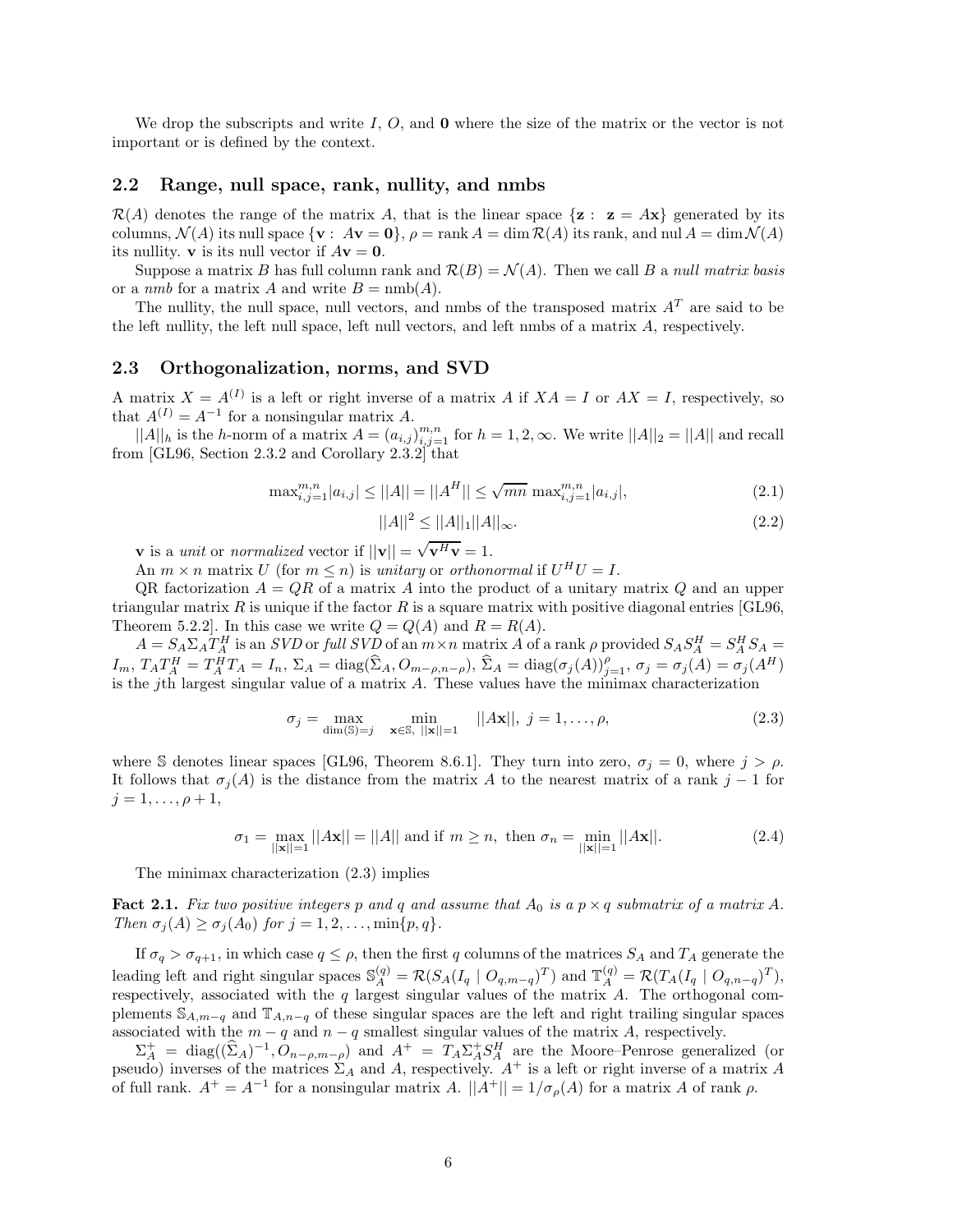We drop the subscripts and write *I*, *O*, and **0** where the size of the matrix or the vector is not important or is defined by the context.

## **2.2 Range, null space, rank, nullity, and nmbs**

 $\mathcal{R}(A)$  denotes the range of the matrix A, that is the linear space  $\{z : z = Ax\}$  generated by its columns,  $\mathcal{N}(A)$  its null space  $\{v : A v = 0\}$ ,  $\rho = \text{rank } A = \dim \mathcal{R}(A)$  its rank, and nul  $A = \dim \mathcal{N}(A)$ its nullity. **v** is its null vector if  $A$ **v** = **0**.

Suppose a matrix *B* has full column rank and  $\mathcal{R}(B) = \mathcal{N}(A)$ . Then we call *B* a *null matrix basis* or a *nmb* for a matrix *A* and write  $B = \text{nmb}(A)$ .

The nullity, the null space, null vectors, and nmbs of the transposed matrix  $A<sup>T</sup>$  are said to be the left nullity, the left null space, left null vectors, and left nmbs of a matrix *A*, respectively.

#### **2.3 Orthogonalization, norms, and SVD**

A matrix  $X = A^{(I)}$  is a left or right inverse of a matrix A if  $XA = I$  or  $AX = I$ , respectively, so that  $A^{(I)} = A^{-1}$  for a nonsingular matrix *A*.

 $||A||_h$  is the *h*-norm of a matrix  $A = (a_{i,j})_{i,j=1}^{m,n}$  for  $h = 1, 2, \infty$ . We write  $||A||_2 = ||A||$  and recall from [GL96, Section 2.3.2 and Corollary 2.3.2] that

$$
\max_{i,j=1}^{m,n} |a_{i,j}| \le ||A|| = ||A^H|| \le \sqrt{mn} \max_{i,j=1}^{m,n} |a_{i,j}|,
$$
\n(2.1)

$$
||A||^2 \le ||A||_1 ||A||_{\infty}.
$$
\n(2.2)

**v** is a *unit* or *normalized* vector if  $||\mathbf{v}|| = \sqrt{\mathbf{v}^H \mathbf{v}} = 1$ .

An  $m \times n$  matrix *U* (for  $m \leq n$ ) is *unitary* or *orthonormal* if  $U^H U = I$ .

QR factorization  $A = QR$  of a matrix A into the product of a unitary matrix  $Q$  and an upper triangular matrix  $R$  is unique if the factor  $R$  is a square matrix with positive diagonal entries [GL96, Theorem 5.2.2]. In this case we write  $Q = Q(A)$  and  $R = R(A)$ .

 $A = S_A \Sigma_A T_A^H$  is an SVD or full SVD of an  $m \times n$  matrix A of a rank  $\rho$  provided  $S_A S_A^H = S_A^H S_A =$  $I_m$ ,  $T_A T_A^H = T_A^{\hat{H}} T_A = I_n$ ,  $\Sigma_A = \text{diag}(\hat{\Sigma}_A, O_{m-\rho,n-\rho}),$   $\hat{\Sigma}_A = \text{diag}(\sigma_j(A))_{j=1}^{\rho},$   $\sigma_j = \sigma_j(A) = \sigma_j(A^H)$ is the *j*th largest singular value of a matrix *A*. These values have the minimax characterization

$$
\sigma_j = \max_{\dim(\mathbb{S}) = j} \quad \min_{\mathbf{x} \in \mathbb{S}, \ |\mathbf{x}\| = 1} \quad ||A\mathbf{x}||, \ j = 1, \dots, \rho,
$$
\n(2.3)

where S denotes linear spaces [GL96, Theorem 8.6.1]. They turn into zero,  $\sigma_j = 0$ , where  $j > \rho$ . It follows that  $\sigma_i(A)$  is the distance from the matrix *A* to the nearest matrix of a rank *j* − 1 for  $j = 1, \ldots, \rho + 1,$ 

$$
\sigma_1 = \max_{||\mathbf{x}||=1} ||A\mathbf{x}|| = ||A|| \text{ and if } m \ge n, \text{ then } \sigma_n = \min_{||\mathbf{x}||=1} ||A\mathbf{x}||. \tag{2.4}
$$

The minimax characterization (2.3) implies

**Fact 2.1.** Fix two positive integers p and q and assume that  $A_0$  is a  $p \times q$  submatrix of a matrix  $A$ . *Then*  $\sigma_j(A) \geq \sigma_j(A_0)$  *for*  $j = 1, 2, ..., \min\{p, q\}.$ 

If  $\sigma_q > \sigma_{q+1}$ , in which case  $q \leq \rho$ , then the first *q* columns of the matrices  $S_A$  and  $T_A$  generate the leading left and right singular spaces  $\mathbb{S}_{A}^{(q)} = \mathcal{R}(S_A(I_q \mid O_{q,m-q})^T)$  and  $\mathbb{T}_{A}^{(q)} = \mathcal{R}(T_A(I_q \mid O_{q,n-q})^T)$ , respectively, associated with the *q* largest singular values of the matrix *A*. The orthogonal complements <sup>S</sup>*A,m*−*<sup>q</sup>* and <sup>T</sup>*A,n*−*<sup>q</sup>* of these singular spaces are the left and right trailing singular spaces associated with the  $m - q$  and  $n - q$  smallest singular values of the matrix *A*, respectively.

 $\Sigma_A^+ = \text{diag}((\hat{\Sigma}_A)^{-1}, \hat{O}_{n-\rho,m-\rho})$  and  $A^+ = T_A \Sigma_A^+ S_A^H$  are the Moore–Penrose generalized (or pseudo) inverses of the matrices  $\Sigma_A$  and A, respectively.  $A^+$  is a left or right inverse of a matrix A of full rank.  $A^+ = A^{-1}$  for a nonsingular matrix *A*.  $||A^+|| = 1/\sigma_\rho(A)$  for a matrix *A* of rank  $\rho$ .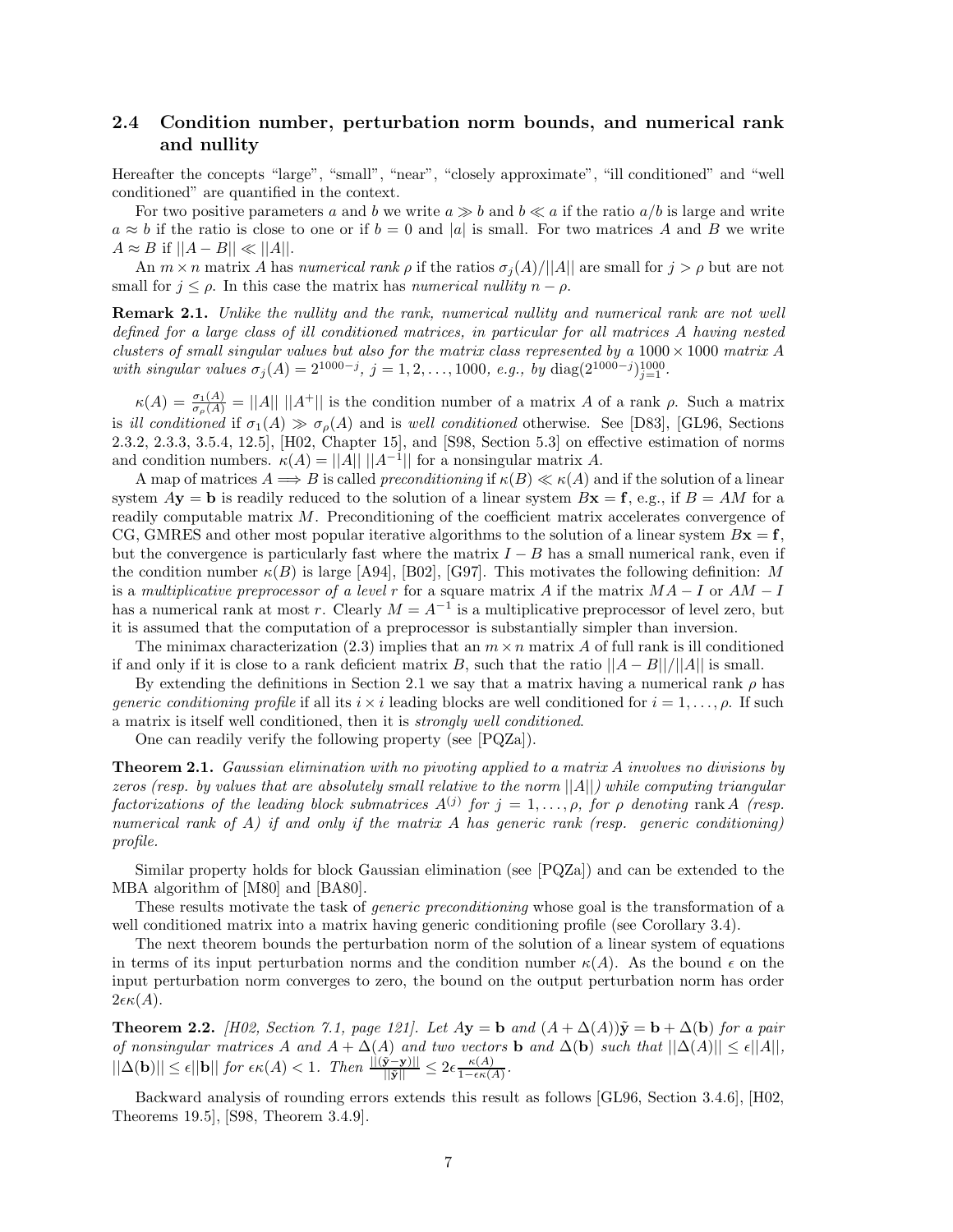## **2.4 Condition number, perturbation norm bounds, and numerical rank and nullity**

Hereafter the concepts "large", "small", "near", "closely approximate", "ill conditioned" and "well conditioned" are quantified in the context.

For two positive parameters a and b we write  $a \gg b$  and  $b \ll a$  if the ratio  $a/b$  is large and write  $a \approx b$  if the ratio is close to one or if  $b = 0$  and |*a*| is small. For two matrices *A* and *B* we write  $A \approx B$  if  $||A - B|| \ll ||A||$ .

An  $m \times n$  matrix *A* has *numerical rank*  $\rho$  if the ratios  $\sigma_i(A)/||A||$  are small for  $j > \rho$  but are not small for  $j \leq \rho$ . In this case the matrix has *numerical nullity*  $n - \rho$ .

**Remark 2.1.** *Unlike the nullity and the rank, numerical nullity and numerical rank are not well defined for a large class of ill conditioned matrices, in particular for all matrices A having nested clusters of small singular values but also for the matrix class represented by a* 1000× 1000 *matrix A with singular values*  $\sigma_j(A) = 2^{1000-j}$ ,  $j = 1, 2, ..., 1000$ , *e.g.*, *by* diag( $2^{1000-j}$ )<sub>j=1</sub>.

 $\kappa(A) = \frac{\sigma_1(A)}{\sigma_\rho(A)} = ||A|| \, ||A^+||$  is the condition number of a matrix *A* of a rank *ρ*. Such a matrix is *ill conditioned* if  $\sigma_1(A) \gg \sigma_\rho(A)$  and is *well conditioned* otherwise. See [D83], [GL96, Sections 2.3.2, 2.3.3, 3.5.4, 12.5], [H02, Chapter 15], and [S98, Section 5.3] on effective estimation of norms and condition numbers.  $\kappa(A) = ||A|| ||A^{-1}||$  for a nonsingular matrix A.

A map of matrices  $A \Longrightarrow B$  is called *preconditioning* if  $\kappa(B) \ll \kappa(A)$  and if the solution of a linear system  $A$ **y** = **b** is readily reduced to the solution of a linear system  $B$ **x** = **f**, e.g., if  $B = AM$  for a readily computable matrix *M*. Preconditioning of the coefficient matrix accelerates convergence of CG, GMRES and other most popular iterative algorithms to the solution of a linear system  $Bx = f$ , but the convergence is particularly fast where the matrix  $I - B$  has a small numerical rank, even if the condition number  $\kappa(B)$  is large [A94], [B02], [G97]. This motivates the following definition: *M* is a *multiplicative preprocessor of a level r* for a square matrix *A* if the matrix *MA* − *I* or *AM* − *I* has a numerical rank at most *r*. Clearly  $M = A^{-1}$  is a multiplicative preprocessor of level zero, but it is assumed that the computation of a preprocessor is substantially simpler than inversion.

The minimax characterization  $(2.3)$  implies that an  $m \times n$  matrix A of full rank is ill conditioned if and only if it is close to a rank deficient matrix *B*, such that the ratio  $||A - B||/||A||$  is small.

By extending the definitions in Section 2.1 we say that a matrix having a numerical rank  $\rho$  has *generic conditioning profile* if all its  $i \times i$  leading blocks are well conditioned for  $i = 1, \ldots, \rho$ . If such a matrix is itself well conditioned, then it is *strongly well conditioned*.

One can readily verify the following property (see [PQZa]).

**Theorem 2.1.** *Gaussian elimination with no pivoting applied to a matrix A involves no divisions by zeros (resp. by values that are absolutely small relative to the norm* ||*A*||*) while computing triangular factorizations of the leading block submatrices*  $A^{(j)}$  *for*  $j = 1, \ldots, \rho$ *, for*  $\rho$  *denoting* rank *A (resp. numerical rank of A) if and only if the matrix A has generic rank (resp. generic conditioning) profile.*

Similar property holds for block Gaussian elimination (see [PQZa]) and can be extended to the MBA algorithm of [M80] and [BA80].

These results motivate the task of *generic preconditioning* whose goal is the transformation of a well conditioned matrix into a matrix having generic conditioning profile (see Corollary 3.4).

The next theorem bounds the perturbation norm of the solution of a linear system of equations in terms of its input perturbation norms and the condition number  $\kappa(A)$ . As the bound  $\epsilon$  on the input perturbation norm converges to zero, the bound on the output perturbation norm has order  $2\epsilon\kappa(A)$ .

**Theorem 2.2.** *[H02, Section 7.1, page 121]. Let*  $A$ **y** = **b**  $a$ nd  $(A + \Delta(A))\tilde{y} = b + \Delta(b)$  *for a pair of nonsingular matrices A and*  $A + \Delta(A)$  *and two vectors* **b** *and*  $\Delta(b)$  *such that*  $||\Delta(A)|| \leq \epsilon ||A||$ *,*  $||\Delta(\mathbf{b})|| \leq \epsilon ||\mathbf{b}||$  *for*  $\epsilon \kappa(A) < 1$ *. Then*  $\frac{||(\tilde{\mathbf{y}} - \mathbf{y})||}{||\tilde{\mathbf{y}}||} \leq 2\epsilon \frac{\kappa(A)}{1 - \epsilon \kappa(A)}$ *.* 

Backward analysis of rounding errors extends this result as follows [GL96, Section 3.4.6], [H02, Theorems 19.5], [S98, Theorem 3.4.9].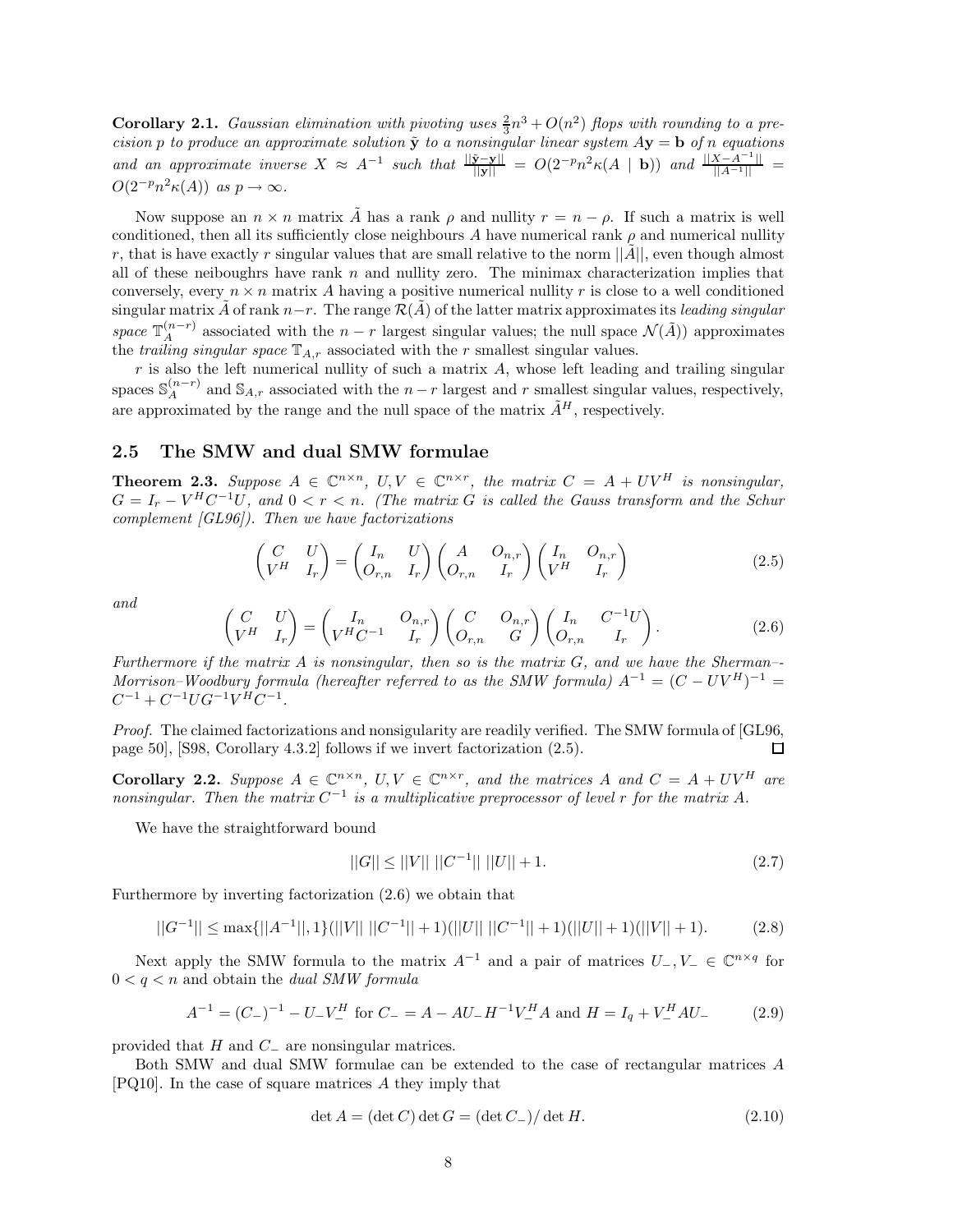**Corollary 2.1.** *Gaussian elimination with pivoting uses*  $\frac{2}{3}n^3 + O(n^2)$  *flops with rounding to a precision*  $p$  *to produce an approximate solution*  $\tilde{y}$  *to a nonsingular linear system*  $Ay = b$  *of n equations and an approximate inverse*  $X \approx A^{-1}$  *such that*  $\frac{\|\tilde{\mathbf{y}} - \mathbf{y}\|}{\|\mathbf{y}\|} = O(2^{-p}n^2\kappa(A \mid \mathbf{b}))$  *and*  $\frac{\|X - A^{-1}\|}{\|A^{-1}\|} =$  $O(2^{-p}n^2\kappa(A))$  *as*  $p \to \infty$ *.* 

Now suppose an  $n \times n$  matrix  $\tilde{A}$  has a rank  $\rho$  and nullity  $r = n - \rho$ . If such a matrix is well conditioned, then all its sufficiently close neighbours *A* have numerical rank  $\rho$  and numerical nullity *r*, that is have exactly *r* singular values that are small relative to the norm  $||A||$ , even though almost all of these neiboughrs have rank *n* and nullity zero. The minimax characterization implies that conversely, every  $n \times n$  matrix A having a positive numerical nullity r is close to a well conditioned singular matrix  $\tilde{A}$  of rank  $n-r$ . The range  $\mathcal{R}(\tilde{A})$  of the latter matrix approximates its *leading singular space*  $\mathbb{T}_A^{(n-r)}$  associated with the *n* − *r* largest singular values; the null space  $\mathcal{N}(\tilde{A})$ ) approximates the *trailing singular space*  $\mathbb{T}_{A,r}$  associated with the *r* smallest singular values.

*r* is also the left numerical nullity of such a matrix *A*, whose left leading and trailing singular spaces  $\mathbb{S}_{A}^{(n-r)}$  and  $\mathbb{S}_{A,r}$  associated with the *n* − *r* largest and *r* smallest singular values, respectively, are approximated by the range and the null space of the matrix  $\tilde{A}^H$ , respectively.

## **2.5 The SMW and dual SMW formulae**

**Theorem 2.3.** Suppose  $A \in \mathbb{C}^{n \times n}$ ,  $U, V \in \mathbb{C}^{n \times r}$ , the matrix  $C = A + UV^H$  is nonsingular,  $G = I_r - V^H C^{-1} U$ , and  $0 \leq r \leq n$ . (The matrix *G* is called the Gauss transform and the Schur *complement [GL96]). Then we have factorizations*

$$
\begin{pmatrix}\nC & U \\
V^H & I_r\n\end{pmatrix} = \begin{pmatrix}\nI_n & U \\
O_{r,n} & I_r\n\end{pmatrix} \begin{pmatrix}\nA & O_{n,r} \\
O_{r,n} & I_r\n\end{pmatrix} \begin{pmatrix}\nI_n & O_{n,r} \\
V^H & I_r\n\end{pmatrix}
$$
\n(2.5)

*and*

$$
\begin{pmatrix}\nC & U \\
V^H & I_r\n\end{pmatrix} = \begin{pmatrix}\nI_n & O_{n,r} \\
V^H C^{-1} & I_r\n\end{pmatrix} \begin{pmatrix}\nC & O_{n,r} \\
O_{r,n} & G\n\end{pmatrix} \begin{pmatrix}\nI_n & C^{-1}U \\
O_{r,n} & I_r\n\end{pmatrix}.
$$
\n(2.6)

*Furthermore if the matrix A is nonsingular, then so is the matrix G, and we have the Sherman–- Morrison–Woodbury formula (hereafter referred to as the SMW formula)*  $A^{-1} = (C - UV^H)^{-1} =$  $C^{-1} + C^{-1}UG^{-1}V^H C^{-1}$ 

*Proof.* The claimed factorizations and nonsigularity are readily verified. The SMW formula of [GL96, page 50], [S98, Corollary 4.3.2] follows if we invert factorization (2.5). 口

**Corollary 2.2.** Suppose  $A \in \mathbb{C}^{n \times n}$ ,  $U, V \in \mathbb{C}^{n \times r}$ , and the matrices A and  $C = A + UV^H$  are *nonsingular. Then the matrix*  $C^{-1}$  *is a multiplicative preprocessor of level r for the matrix*  $A$ *.* 

We have the straightforward bound

$$
||G|| \le ||V|| \, ||C^{-1}|| \, ||U|| + 1. \tag{2.7}
$$

Furthermore by inverting factorization (2.6) we obtain that

$$
||G^{-1}|| \le \max\{||A^{-1}||, 1\} (||V|| \, ||C^{-1}|| + 1) (||U|| \, ||C^{-1}|| + 1) (||U|| + 1) (||V|| + 1). \tag{2.8}
$$

Next apply the SMW formula to the matrix  $A^{-1}$  and a pair of matrices  $U_-, V_- \in \mathbb{C}^{n \times q}$  for  $0 < q < n$  and obtain the *dual SMW formula* 

$$
A^{-1} = (C_{-})^{-1} - U_{-}V_{-}^{H} \text{ for } C_{-} = A - AU_{-}H^{-1}V_{-}^{H}A \text{ and } H = I_{q} + V_{-}^{H}AU_{-}
$$
(2.9)

provided that *H* and *C*<sup>−</sup> are nonsingular matrices.

Both SMW and dual SMW formulae can be extended to the case of rectangular matrices *A* [PQ10]. In the case of square matrices *A* they imply that

$$
\det A = (\det C) \det G = (\det C_-) / \det H. \tag{2.10}
$$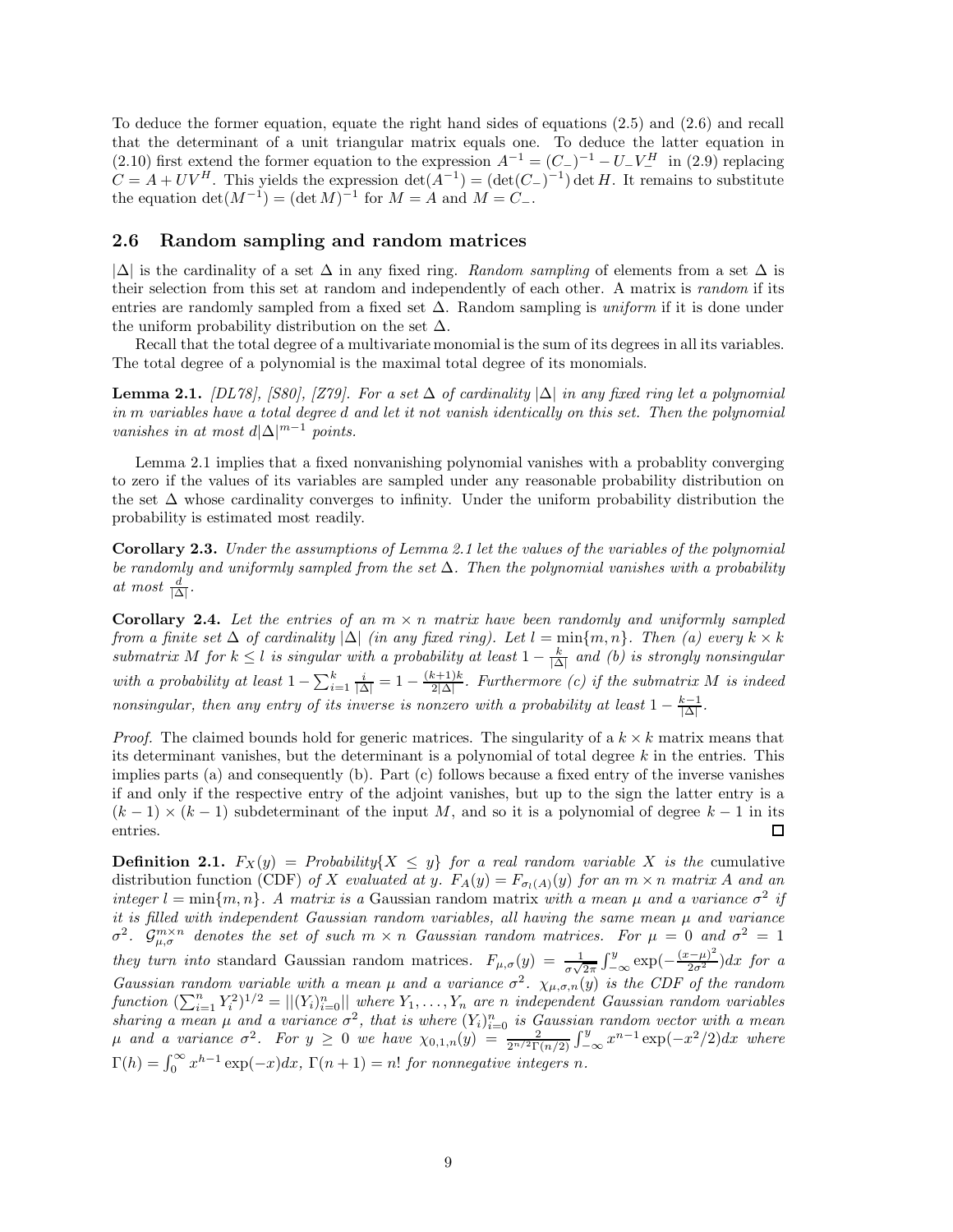To deduce the former equation, equate the right hand sides of equations (2.5) and (2.6) and recall that the determinant of a unit triangular matrix equals one. To deduce the latter equation in (2.10) first extend the former equation to the expression  $A^{-1} = (C_{-})^{-1} - U_{-}V_{-}^{H}$  in (2.9) replacing  $C = A + UV^H$ . This yields the expression  $\det(A^{-1}) = (\det(C_{-})^{-1}) \det H$ . It remains to substitute the equation  $\det(M^{-1}) = (\det M)^{-1}$  for  $M = A$  and  $M = C_-\$ .

#### **2.6 Random sampling and random matrices**

 $|\Delta|$  is the cardinality of a set  $\Delta$  in any fixed ring. *Random sampling* of elements from a set  $\Delta$  is their selection from this set at random and independently of each other. A matrix is *random* if its entries are randomly sampled from a fixed set ∆. Random sampling is *uniform* if it is done under the uniform probability distribution on the set  $\Delta$ .

Recall that the total degree of a multivariate monomial is the sum of its degrees in all its variables. The total degree of a polynomial is the maximal total degree of its monomials.

**Lemma 2.1.** *[DL78], [S80], [Z79]. For a set*  $\Delta$  *of cardinality*  $|\Delta|$  *in any fixed ring let a polynomial in m variables have a total degree d and let it not vanish identically on this set. Then the polynomial vanishes in at most*  $d|\Delta|^{m-1}$  *points.* 

Lemma 2.1 implies that a fixed nonvanishing polynomial vanishes with a probablity converging to zero if the values of its variables are sampled under any reasonable probability distribution on the set  $\Delta$  whose cardinality converges to infinity. Under the uniform probability distribution the probability is estimated most readily.

**Corollary 2.3.** *Under the assumptions of Lemma 2.1 let the values of the variables of the polynomial be randomly and uniformly sampled from the set* ∆*. Then the polynomial vanishes with a probability at most*  $\frac{d}{|\Delta|}$ *.* 

**Corollary 2.4.** Let the entries of an  $m \times n$  matrix have been randomly and uniformly sampled *from a finite set*  $\Delta$  *of cardinality*  $|\Delta|$  *(in any fixed ring). Let*  $l = \min\{m, n\}$ *. Then (a) every*  $k \times k$  $submatrix M$  *for*  $k \leq l$  *is singular with a probability at least*  $1 - \frac{k}{|\Delta|}$  *and (b) is strongly nonsingular with a probability at least*  $1 - \sum_{i=1}^{k} \frac{i}{|\Delta|} = 1 - \frac{(k+1)k}{2|\Delta|}$ . Furthermore (c) if the submatrix M is indeed *nonsingular, then any entry of its inverse is nonzero with a probability at least*  $1 - \frac{k-1}{|\Delta|}$ .

*Proof.* The claimed bounds hold for generic matrices. The singularity of a  $k \times k$  matrix means that its determinant vanishes, but the determinant is a polynomial of total degree *k* in the entries. This implies parts (a) and consequently (b). Part (c) follows because a fixed entry of the inverse vanishes if and only if the respective entry of the adjoint vanishes, but up to the sign the latter entry is a  $(k-1) \times (k-1)$  subdeterminant of the input *M*, and so it is a polynomial of degree  $k-1$  in its entries.  $\Box$ 

**Definition 2.1.**  $F_X(y) =$  *Probability*{ $X \leq y$ } *for a real random variable X is the* cumulative distribution function (CDF) of X evaluated at y.  $F_A(y) = F_{\sigma_l(A)}(y)$  for an  $m \times n$  matrix A and an *integer*  $l = \min\{m, n\}$ *. A matrix is a* Gaussian random matrix *with a mean*  $\mu$  *and a variance*  $\sigma^2$  *if it is filled with independent Gaussian random variables, all having the same mean µ and variance*  $\sigma^2$ .  $\mathcal{G}_{\mu,\sigma}^{m\times n}$  *denotes the set of such*  $m \times n$  *Gaussian random matrices. For*  $\mu = 0$  *and*  $\sigma^2 = 1$ *they turn into* standard Gaussian random matrices.  $F_{\mu,\sigma}(y) = \frac{1}{\sigma\sqrt{2\pi}} \int_{-\infty}^{y} \exp(-\frac{(x-\mu)^2}{2\sigma^2}) dx$  for a *Gaussian random variable with a mean*  $\mu$  *and a variance*  $\sigma^2$ *.*  $\chi_{\mu,\sigma,n}(y)$  *is the CDF of the random*  $function (\sum_{i=1}^{n} Y_i^2)^{1/2} = ||(Y_i)_{i=0}^n||$  where  $Y_1, \ldots, Y_n$  are *n* independent Gaussian random variables *sharing a mean*  $\mu$  *and a variance*  $\sigma^2$ , *that is where*  $(Y_i)_{i=0}^n$  *is Gaussian random vector with a mean*  $\mu$  and a variance  $\sigma^2$ . For  $y \ge 0$  we have  $\chi_{0,1,n}(y) = \frac{2}{2^{n/2} \Gamma(n/2)} \int_{-\infty}^{y} x^{n-1} \exp(-x^2/2) dx$  where  $\Gamma(h) = \int_0^\infty x^{h-1} \exp(-x) dx$ ,  $\Gamma(n+1) = n!$  *for nonnegative integers n.*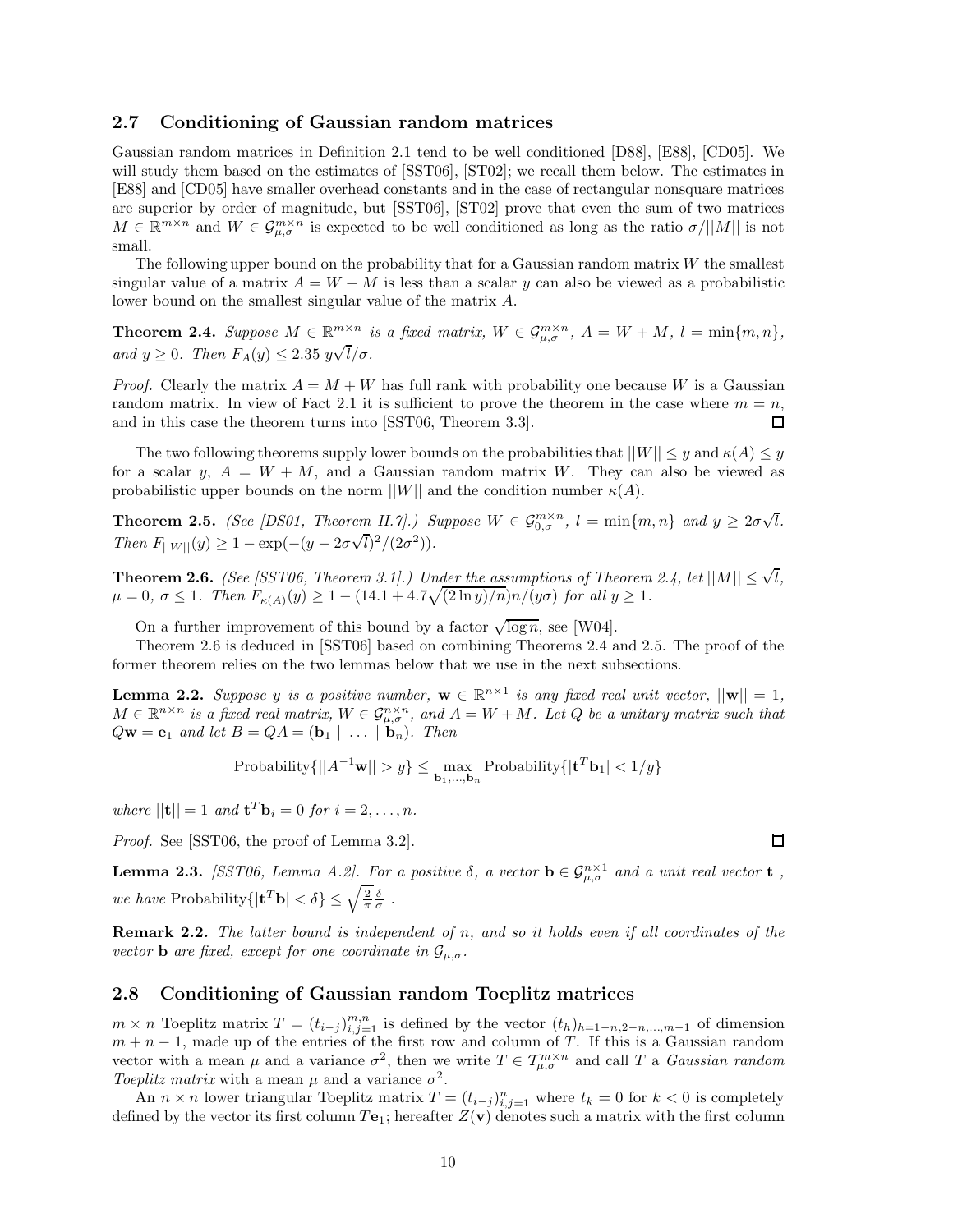#### **2.7 Conditioning of Gaussian random matrices**

Gaussian random matrices in Definition 2.1 tend to be well conditioned [D88], [E88], [CD05]. We will study them based on the estimates of  $[SST06]$ ,  $[ST02]$ ; we recall them below. The estimates in [E88] and [CD05] have smaller overhead constants and in the case of rectangular nonsquare matrices are superior by order of magnitude, but [SST06], [ST02] prove that even the sum of two matrices  $M \in \mathbb{R}^{m \times n}$  and  $W \in \mathcal{G}_{\mu,\sigma}^{m \times n}$  is expected to be well conditioned as long as the ratio  $\sigma/||M||$  is not small.

The following upper bound on the probability that for a Gaussian random matrix *W* the smallest singular value of a matrix  $A = W + M$  is less than a scalar y can also be viewed as a probabilistic lower bound on the smallest singular value of the matrix *A*.

**Theorem 2.4.** *Suppose*  $M \in \mathbb{R}^{m \times n}$  *is a fixed matrix,*  $W \in \mathcal{G}_{\mu,\sigma}^{m \times n}$ ,  $A = W + M$ ,  $l = \min\{m,n\}$ ,  $a$ <sup>*m*</sup>  $y \ge 0$ *. Then*  $F_A(y) \le 2.35 \frac{y\sqrt{l}}{\sigma}$ .

*Proof.* Clearly the matrix  $A = M + W$  has full rank with probability one because W is a Gaussian random matrix. In view of Fact 2.1 it is sufficient to prove the theorem in the case where  $m = n$ , and in this case the theorem turns into [SST06, Theorem 3.3]. 口

The two following theorems supply lower bounds on the probabilities that  $||W|| \leq y$  and  $\kappa(A) \leq y$ for a scalar *y*,  $A = W + M$ , and a Gaussian random matrix *W*. They can also be viewed as probabilistic upper bounds on the norm  $||W||$  and the condition number  $\kappa(A)$ .

**Theorem 2.5.** *(See [DS01, Theorem II.7].) Suppose*  $W \in \mathcal{G}_{0,\sigma}^{m \times n}$ ,  $l = \min\{m,n\}$  and  $y \geq 2\sigma\sqrt{n}$ *l.*  $Then F_{\vert\vert W\vert\vert}(y) \geq 1 - \exp(-(y - 2\sigma))$  $\sqrt{l})^2/(2\sigma^2)$ ).

**Theorem 2.6.** *(See [SST06, Theorem 3.1].) Under the assumptions of Theorem 2.4, let*  $||M|| \leq \sqrt{l}$ *,*  $\mu = 0, \ \sigma \le 1$ *. Then*  $F_{\kappa(A)}(y) \ge 1 - (14.1 + 4.7\sqrt{(2 \ln y)/n})n/(y\sigma)$  for all  $y \ge 1$ *.* 

On a further improvement of this bound by a factor  $\sqrt{\log n}$ , see [W04].

Theorem 2.6 is deduced in [SST06] based on combining Theorems 2.4 and 2.5. The proof of the former theorem relies on the two lemmas below that we use in the next subsections.

**Lemma 2.2.** *Suppose y is a positive number,*  $\mathbf{w} \in \mathbb{R}^{n \times 1}$  *is any fixed real unit vector,*  $||\mathbf{w}|| = 1$ *,*  $M \in \mathbb{R}^{n \times n}$  *is a fixed real matrix,*  $W \in \mathcal{G}_{\mu,\sigma}^{n \times n}$ , and  $A = W + M$ *. Let Q* be a unitary matrix such that  $Q$ **w** = **e**<sub>1</sub> *and let*  $B = QA = (\mathbf{b}_1 \mid \dots \mid \mathbf{b}_n)$ *. Then* 

$$
Probability \{ ||A^{-1}\mathbf{w}|| > y \} \le \max_{\mathbf{b}_1, \dots, \mathbf{b}_n} Probability \{ |\mathbf{t}^T \mathbf{b}_1| < 1/y \}
$$

 $where$   $||{\bf{t}}|| = 1$  *and*  ${\bf{t}}^T {\bf{b}}_i = 0$  *for*  $i = 2, ..., n$ *.* 

*Proof.* See [SST06, the proof of Lemma 3.2].

**Lemma 2.3.** *[SST06, Lemma A.2]. For a positive*  $\delta$ *, a vector*  $\mathbf{b} \in \mathcal{G}_{\mu,\sigma}^{n\times 1}$  *and a unit real vector* **t** *, we have* Probability $\{|\mathbf{t}^T \mathbf{b}| < \delta\} \leq \sqrt{\frac{2}{\pi}} \frac{\delta}{\sigma}$ .

**Remark 2.2.** *The latter bound is independent of n, and so it holds even if all coordinates of the vector* **b** *are fixed, except for one coordinate in*  $\mathcal{G}_{\mu,\sigma}$ *.* 

## **2.8 Conditioning of Gaussian random Toeplitz matrices**

 $m \times n$  Toeplitz matrix  $T = (t_{i-j})_{i,j=1}^{m,n}$  is defined by the vector  $(t_h)_{h=1-n,2-n,\dots,m-1}$  of dimension  $m + n - 1$ , made up of the entries of the first row and column of *T*. If this is a Gaussian random vector with a mean  $\mu$  and a variance  $\sigma^2$ , then we write  $T \in \mathcal{T}_{\mu,\sigma}^{m \times n}$  and call  $T$  a *Gaussian random Toeplitz matrix* with a mean  $\mu$  and a variance  $\sigma^2$ .

An  $n \times n$  lower triangular Toeplitz matrix  $T = (t_{i-j})_{i,j=1}^n$  where  $t_k = 0$  for  $k < 0$  is completely defined by the vector its first column  $T\mathbf{e}_1$ ; hereafter  $Z(\mathbf{v})$  denotes such a matrix with the first column

 $\Box$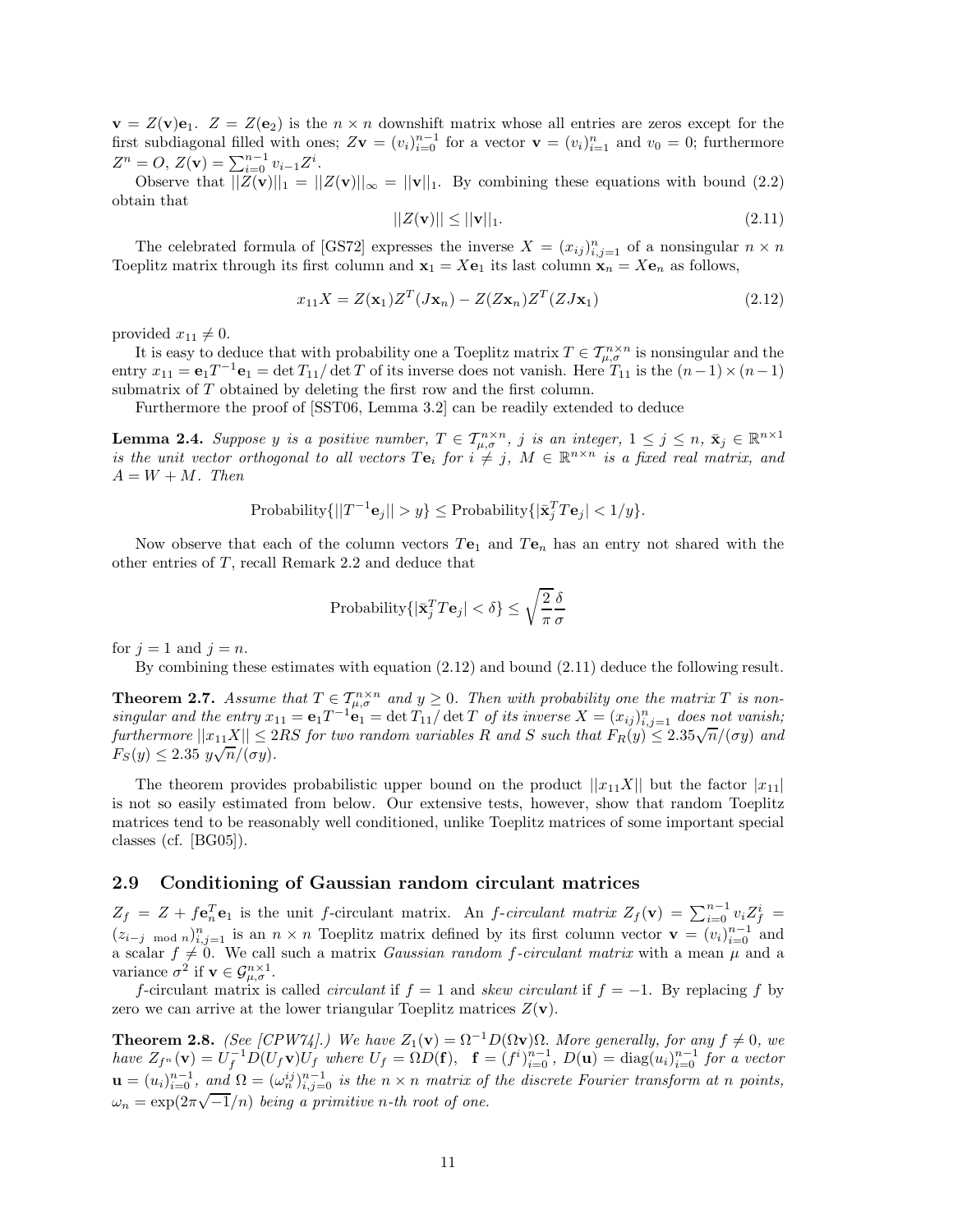$\mathbf{v} = Z(\mathbf{v})\mathbf{e}_1$ .  $Z = Z(\mathbf{e}_2)$  is the  $n \times n$  downshift matrix whose all entries are zeros except for the first subdiagonal filled with ones;  $Z$ **v** =  $(v_i)_{i=0}^{n-1}$  for a vector **v** =  $(v_i)_{i=1}^n$  and  $v_0 = 0$ ; furthermore  $Z^n = O, Z(\mathbf{v}) = \sum_{i=0}^{n-1} v_{i-1} Z^i.$ 

Observe that  $||Z(\mathbf{v})||_1 = ||Z(\mathbf{v})||_{\infty} = ||\mathbf{v}||_1$ . By combining these equations with bound (2.2) obtain that

$$
||Z(\mathbf{v})|| \le ||\mathbf{v}||_1. \tag{2.11}
$$

The celebrated formula of [GS72] expresses the inverse  $X = (x_{ij})_{i,j=1}^n$  of a nonsingular  $n \times n$ Toeplitz matrix through its first column and  $\mathbf{x}_1 = X\mathbf{e}_1$  its last column  $\mathbf{x}_n = X\mathbf{e}_n$  as follows,

$$
x_{11}X = Z(\mathbf{x}_1)Z^T(J\mathbf{x}_n) - Z(Z\mathbf{x}_n)Z^T(ZJ\mathbf{x}_1)
$$
\n(2.12)

provided  $x_{11} \neq 0$ .

It is easy to deduce that with probability one a Toeplitz matrix  $T \in \mathcal{T}_{\mu,\sigma}^{n \times n}$  is nonsingular and the entry  $x_{11} = e_1 T^{-1}e_1 = \det T_{11}/\det T$  of its inverse does not vanish. Here  $T_{11}$  is the  $(n-1) \times (n-1)$ submatrix of *T* obtained by deleting the first row and the first column.

Furthermore the proof of [SST06, Lemma 3.2] can be readily extended to deduce

**Lemma 2.4.** Suppose y is a positive number,  $T \in \mathcal{T}_{\mu,\sigma}^{n \times n}$ , j is an integer,  $1 \leq j \leq n$ ,  $\bar{\mathbf{x}}_j \in \mathbb{R}^{n \times 1}$ *is the unit vector orthogonal to all vectors*  $T\mathbf{e}_i$  *for*  $i \neq j$ ,  $M \in \mathbb{R}^{n \times n}$  *is a fixed real matrix, and*  $A = W + M$ *. Then* 

Probability
$$
\{||T^{-1}\mathbf{e}_j|| > y\} \leq
$$
Probability $\{|\bar{\mathbf{x}}_j^T T \mathbf{e}_j| < 1/y\}$ .

Now observe that each of the column vectors *T***e**<sup>1</sup> and *T***e***<sup>n</sup>* has an entry not shared with the other entries of *T*, recall Remark 2.2 and deduce that

$$
\text{Probability}\{|\bar{\mathbf{x}}_j^T T \mathbf{e}_j| < \delta\} \le \sqrt{\frac{2}{\pi}} \frac{\delta}{\sigma}
$$

for  $j = 1$  and  $j = n$ .

By combining these estimates with equation (2.12) and bound (2.11) deduce the following result.

**Theorem 2.7.** *Assume that*  $T \in T_{\mu,\sigma}^{n \times n}$  *and*  $y \geq 0$ *. Then with probability one the matrix*  $T$  *is nonsingular and the entry*  $x_{11} = e_1 T^{-1} e_1 = det T_{11} / det T$  *of its inverse*  $X = (x_{ij})_{i,j=1}^n$  *does not vanish;*  $furthermore$   $||x_{11}X|| \leq 2RS$  *for two random variables R and S such that*  $F_R(y) \leq 2.35\sqrt{n}/(\sigma y)$  *and F*<sub>S</sub>(*y*)  $\leq$  2.35 *y* $\sqrt{n}/(\sigma y)$ *.* 

The theorem provides probabilistic upper bound on the product  $||x_{11}X||$  but the factor  $|x_{11}|$ is not so easily estimated from below. Our extensive tests, however, show that random Toeplitz matrices tend to be reasonably well conditioned, unlike Toeplitz matrices of some important special classes (cf. [BG05]).

#### **2.9 Conditioning of Gaussian random circulant matrices**

 $Z_f = Z + f \mathbf{e}_n^T \mathbf{e}_1$  is the unit f-circulant matrix. An f-circulant matrix  $Z_f(\mathbf{v}) = \sum_{i=0}^{n-1} v_i Z_f^i$  $(z_{i-j \mod n})_{i,j=1}^n$  is an  $n \times n$  Toeplitz matrix defined by its first column vector  $\mathbf{v} = (v_i)_{i=0}^{n-1}$  and a scalar  $f \neq 0$ . We call such a matrix *Gaussian random f-circulant matrix* with a mean  $\mu$  and a variance  $\sigma^2$  if  $\mathbf{v} \in \mathcal{G}_{\mu,\sigma}^{n \times 1}$ .

*f*-circulant matrix is called *circulant* if  $f = 1$  and *skew circulant* if  $f = -1$ . By replacing *f* by zero we can arrive at the lower triangular Toeplitz matrices  $Z(\mathbf{v})$ .

**Theorem 2.8.** *(See [CPW74].) We have*  $Z_1(\mathbf{v}) = \Omega^{-1}D(\Omega \mathbf{v})\Omega$ *. More generally, for any*  $f \neq 0$ *, we* have  $Z_{f^n}(\mathbf{v}) = U_f^{-1} D(U_f \mathbf{v}) U_f$  where  $U_f = \Omega D(\mathbf{f}), \quad \mathbf{f} = (f^i)_{i=0}^{n-1}, D(\mathbf{u}) = \text{diag}(u_i)_{i=0}^{n-1}$  for a vector  $\mathbf{u} = (u_i)_{i=0}^{n-1}$ , and  $\Omega = (\omega_n^{ij})_{i,j=0}^{n-1}$  is the  $n \times n$  matrix of the discrete Fourier transform at n points,  $\omega_n = \frac{u_{n+1}}{e}$ , and  $\omega_n = \omega_n$  *n*<sub>i</sub>,  $j=0$  as the *n*  $\wedge$  *n* matrix  $\omega_j$ .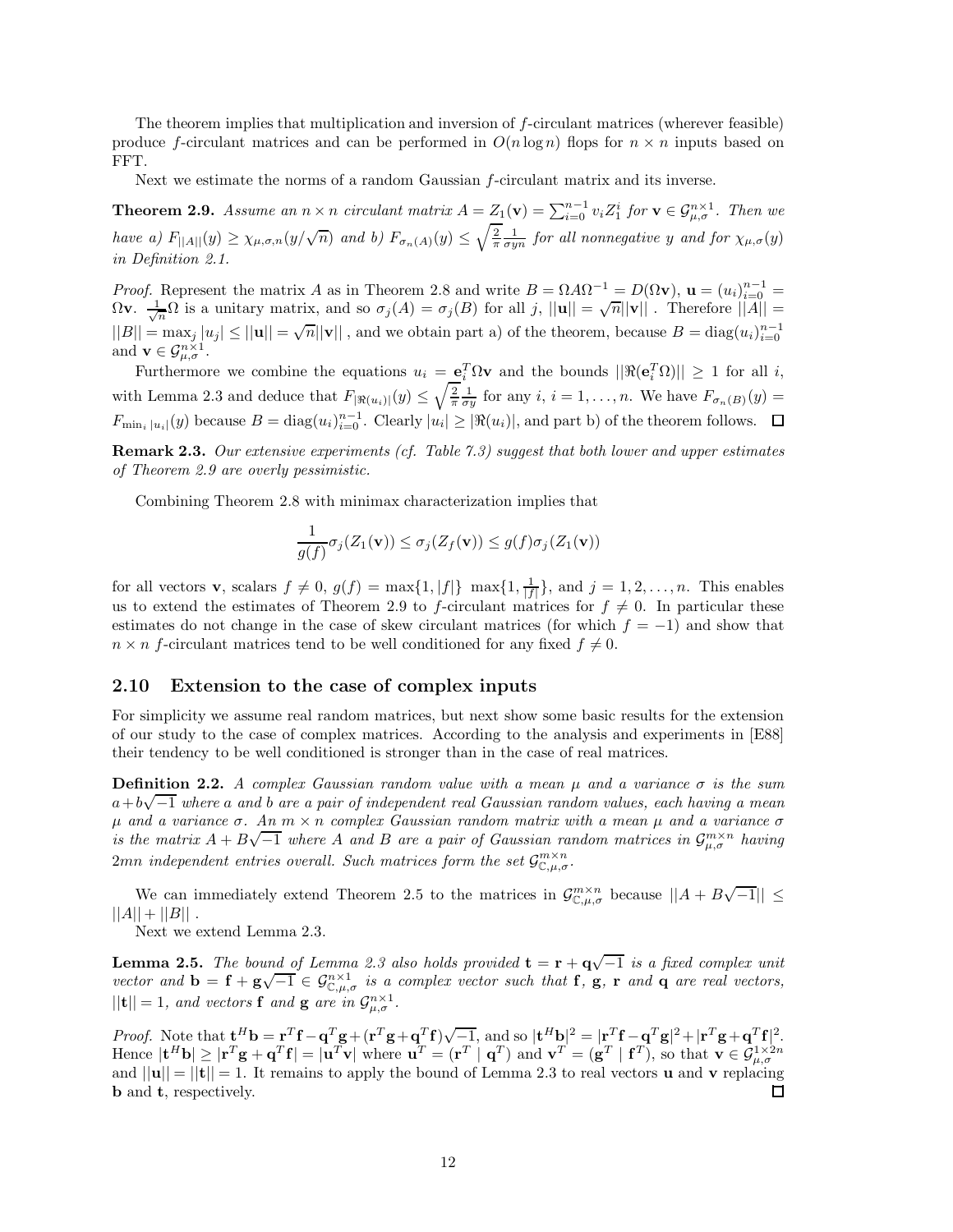The theorem implies that multiplication and inversion of *f*-circulant matrices (wherever feasible) produce *f*-circulant matrices and can be performed in  $O(n \log n)$  flops for  $n \times n$  inputs based on FFT.

Next we estimate the norms of a random Gaussian *f*-circulant matrix and its inverse.

**Theorem 2.9.** Assume an  $n \times n$  circulant matrix  $A = Z_1(\mathbf{v}) = \sum_{i=0}^{n-1} v_i Z_1^i$  for  $\mathbf{v} \in \mathcal{G}_{\mu,\sigma}^{n \times 1}$ . Then we have a)  $F_{||A||}(y) \ge \chi_{\mu,\sigma,n}(y/\sqrt{n})$  and b)  $F_{\sigma_n(A)}(y) \le \sqrt{\frac{2}{\pi}} \frac{1}{\sigma y^n}$  for all nonnegative y and for  $\chi_{\mu,\sigma}(y)$ *in Definition 2.1.*

*Proof.* Represent the matrix *A* as in Theorem 2.8 and write  $B = \Omega A \Omega^{-1} = D(\Omega \mathbf{v})$ ,  $\mathbf{u} = (u_i)_{i=0}^{n-1} =$ *n*<sub>0</sub>*g*. Represent the matrix *A* as in Theorem 2.6 and write  $D = 32A32 = D(32V)$ ,  $\mathbf{u} = (u_i)_{i=0}^{\infty} = \Omega$ <br>Ω**v**.  $\frac{1}{\sqrt{n}}\Omega$  is a unitary matrix, and so  $\sigma_j(A) = \sigma_j(B)$  for all *j*,  $||\mathbf{u}|| = \sqrt{n}||\mathbf{v}||$ . Therefore  $||B|| = \max_j |u_j| \le ||\mathbf{u}|| = \sqrt{n} ||\mathbf{v}||$ , and we obtain part a) of the theorem, because  $B = \text{diag}(u_i)_{i=0}^{n-1}$ and  $\mathbf{v} \in \mathcal{G}_{\mu,\sigma}^{n \times 1}$ .

Furthermore we combine the equations  $u_i = e_i^T \Omega v$  and the bounds  $||\Re(e_i^T \Omega)|| \ge 1$  for all *i*, with Lemma 2.3 and deduce that  $F_{|\Re(u_i)|}(y) \leq \sqrt{\frac{2}{\pi}} \frac{1}{\sigma y}$  for any  $i, i = 1, \ldots, n$ . We have  $F_{\sigma_n(B)}(y) =$  $F_{\min_i |u_i|}(y)$  because  $B = \text{diag}(u_i)_{i=0}^{n-1}$ . Clearly  $|u_i| \geq |\Re(u_i)|$ , and part b) of the theorem follows.

**Remark 2.3.** *Our extensive experiments (cf. Table 7.3) suggest that both lower and upper estimates of Theorem 2.9 are overly pessimistic.*

Combining Theorem 2.8 with minimax characterization implies that

$$
\frac{1}{g(f)}\sigma_j(Z_1(\mathbf{v})) \le \sigma_j(Z_f(\mathbf{v})) \le g(f)\sigma_j(Z_1(\mathbf{v}))
$$

for all vectors **v**, scalars  $f \neq 0$ ,  $g(f) = \max\{1, |f|\} \max\{1, \frac{1}{|f|}\}\$ , and  $j = 1, 2, ..., n$ . This enables us to extend the estimates of Theorem 2.9 to *f*-circulant matrices for  $f \neq 0$ . In particular these estimates do not change in the case of skew circulant matrices (for which  $f = -1$ ) and show that  $n \times n$  *f*-circulant matrices tend to be well conditioned for any fixed  $f \neq 0$ .

#### **2.10 Extension to the case of complex inputs**

For simplicity we assume real random matrices, but next show some basic results for the extension of our study to the case of complex matrices. According to the analysis and experiments in [E88] their tendency to be well conditioned is stronger than in the case of real matrices.

**Definition 2.2.** *A complex Gaussian random value with a mean µ and a variance σ is the sum a*+*b* √−<sup>1</sup> *where <sup>a</sup> and <sup>b</sup> are a pair of independent real Gaussian random values, each having a mean*  $\mu$  *and a variance*  $\sigma$ *. An*  $m \times n$  *complex Gaussian random matrix with a mean*  $\mu$  *and a variance*  $\sigma$ *µ* and a variance o. An *n* × *n* complex Gaussian random matrix with a mean μ and a variance o *is the matrix*  $A + B\sqrt{-1}$  where *A* and *B* are a pair of Gaussian random matrices in  $\mathcal{G}_{\mu,\sigma}^{m\times n}$  having  $2mn$  *independent entries overall. Such matrices form the set*  $\mathcal{G}_{\mathbb{C},u,\sigma}^{m\times n}$ .

We can immediately extend Theorem 2.5 to the matrices in  $\mathcal{G}^{m \times n}_{\mathbb{C},u,\sigma}$  because  $||A + B\sqrt{-1}|| \leq$  $||A|| + ||B||$ .

Next we extend Lemma 2.3.

**Lemma 2.5.** *The bound of Lemma 2.3 also holds provided*  $\mathbf{t} = \mathbf{r} + \mathbf{q}\sqrt{-1}$  *is a fixed complex unit vector and*  $\mathbf{b} = \mathbf{f} + \mathbf{g}\sqrt{-1} \in \mathcal{G}_{\mathbb{C},u,\sigma}^{m\times1}$  *is a complex vector such that* **f**, **g**, **r** *and* **q** *are real vectors,*  $||{\bf t}|| = 1$ *, and vectors* **f** *and* **g** *are in*  $\mathcal{G}_{\mu,\sigma}^{n\times1}$ .

*Proof.* Note that  $\mathbf{t}^H \mathbf{b} = \mathbf{r}^T \mathbf{f} - \mathbf{q}^T \mathbf{g} + (\mathbf{r}^T \mathbf{g} + \mathbf{q}^T \mathbf{f}) \sqrt{-1}$ , and so  $|\mathbf{t}^H \mathbf{b}|^2 = |\mathbf{r}^T \mathbf{f} - \mathbf{q}^T \mathbf{g}|^2 + |\mathbf{r}^T \mathbf{g} + \mathbf{q}^T \mathbf{f}|^2$ . Hence  $|\mathbf{t}^H \mathbf{b}| \geq |\mathbf{r}^T \mathbf{g} + \mathbf{q}^T \mathbf{f}| = |\mathbf{u}^T \mathbf{v}|$  where  $\mathbf{u}^T = (\mathbf{r}^T \mid \mathbf{q}^T)$  and  $\mathbf{v}^T = (\mathbf{g}^T \mid \mathbf{f}^T)$ , so that  $\mathbf{v} \in \mathcal{G}_{\mu,\sigma}^{1 \times 2n}$ and  $||\mathbf{u}|| = ||\mathbf{t}|| = 1$ . It remains to apply the bound of Lemma 2.3 to real vectors **u** and **v** replacing **b** and **t**, respectively. П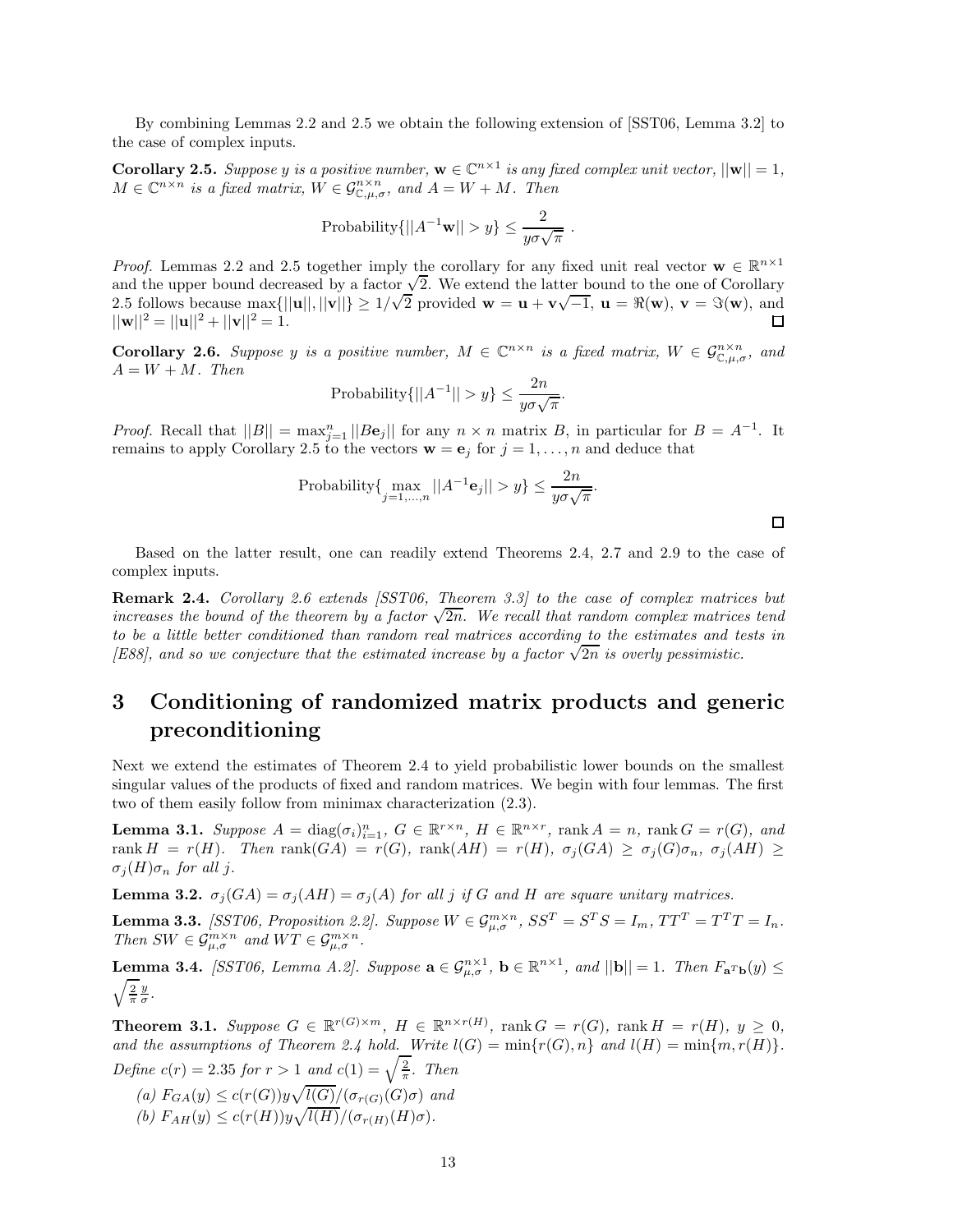By combining Lemmas 2.2 and 2.5 we obtain the following extension of [SST06, Lemma 3.2] to the case of complex inputs.

**Corollary 2.5.** *Suppose y is a positive number,*  $\mathbf{w} \in \mathbb{C}^{n \times 1}$  *is any fixed complex unit vector,*  $||\mathbf{w}|| = 1$ *,*  $M \in \mathbb{C}^{n \times n}$  *is a fixed matrix,*  $W \in \mathcal{G}_{\mathbb{C}, \mu, \sigma}^{n \times n}$ , and  $A = W + M$ . Then

Probability
$$
\{||A^{-1}\mathbf{w}|| > y\} \le \frac{2}{y\sigma\sqrt{\pi}}
$$
.

*Proof.* Lemmas 2.2 and 2.5 together imply the corollary for any fixed unit real vector  $\mathbf{w} \in \mathbb{R}^{n \times 1}$ and the upper bound decreased by a factor  $\sqrt{2}$ . We extend the latter bound to the one of Corollary and the upper bound decreased by a factor  $\sqrt{2}$ . We extend the latter bound to the one of Corollary<br>2.5 follows because  $\max\{||\mathbf{u}||, |\mathbf{v}||\} \ge 1/\sqrt{2}$  provided  $\mathbf{w} = \mathbf{u} + \mathbf{v}\sqrt{-1}$ ,  $\mathbf{u} = \Re(\mathbf{w})$ ,  $\mathbf{v} = \$  $||\mathbf{w}||^2 = ||\mathbf{u}||^2 + ||\mathbf{v}||^2 = 1.$ 口

**Corollary 2.6.** *Suppose y is a positive number,*  $M \in \mathbb{C}^{n \times n}$  *is a fixed matrix,*  $W \in \mathcal{G}_{\mathbb{C},\mu,\sigma}^{n \times n}$ *, and*  $A = W + M$ *. Then* 

Probability
$$
\{||A^{-1}|| > y\} \le \frac{2n}{y\sigma\sqrt{\pi}}.
$$

*Proof.* Recall that  $||B|| = \max_{j=1}^{n} ||B\mathbf{e}_j||$  for any  $n \times n$  matrix *B*, in particular for  $B = A^{-1}$ . It remains to apply Corollary 2.5 to the vectors  $\mathbf{w} = \mathbf{e}_j$  for  $j = 1, \ldots, n$  and deduce that

Probability{
$$
\underset{j=1,...,n}{\max} ||A^{-1} \mathbf{e}_j|| > y
$$
}  $\leq \frac{2n}{y\sigma\sqrt{\pi}}$ .

Based on the latter result, one can readily extend Theorems 2.4, 2.7 and 2.9 to the case of complex inputs.

**Remark 2.4.** *Corollary 2.6 extends [SST06, Theorem 3.3] to the case of complex matrices but increases the bound of the theorem by a factor*  $\sqrt{2n}$ *. We recall that random complex matrices tend to be a little better conditioned than random real matrices according to the estimates and tests in [E88], and so we conjecture that the estimated increase by a factor*  $\sqrt{2n}$  *is overly pessimistic.* 

## **3 Conditioning of randomized matrix products and generic preconditioning**

Next we extend the estimates of Theorem 2.4 to yield probabilistic lower bounds on the smallest singular values of the products of fixed and random matrices. We begin with four lemmas. The first two of them easily follow from minimax characterization (2.3).

**Lemma 3.1.** Suppose  $A = \text{diag}(\sigma_i)_{i=1}^n$ ,  $G \in \mathbb{R}^{r \times n}$ ,  $H \in \mathbb{R}^{n \times r}$ , rank  $A = n$ , rank  $G = r(G)$ , and rank  $H = r(H)$ . Then rank  $(GA) = r(G)$ , rank  $(AH) = r(H)$ ,  $\sigma_i(GA) \geq \sigma_i(G)\sigma_n$ ,  $\sigma_i(AH) \geq$  $\sigma_j(H)\sigma_n$  *for all j.* 

**Lemma 3.2.**  $\sigma_j(GA) = \sigma_j(AH) = \sigma_j(A)$  *for all j if G and H* are square unitary matrices.

**Lemma 3.3.** [SST06, Proposition 2.2]. Suppose  $W \in \mathcal{G}_{u,\sigma}^{m \times n}$ ,  $SS^T = S^T S = I_m$ ,  $TT^T = T^T T = I_n$ . *Then*  $SW \in \mathcal{G}_{\mu,\sigma}^{m \times n}$  *and*  $WT \in \mathcal{G}_{\mu,\sigma}^{m \times n}$ .

**Lemma 3.4.** *[SST06, Lemma A.2]. Suppose*  $\mathbf{a} \in \mathcal{G}_{\mu,\sigma}^{n\times 1}$ ,  $\mathbf{b} \in \mathbb{R}^{n\times 1}$ , and  $||\mathbf{b}|| = 1$ . Then  $F_{\mathbf{a}^T\mathbf{b}}(y) \leq$  $\sqrt{\frac{2}{\pi}}\frac{y}{\sigma}$ .

**Theorem 3.1.** Suppose  $G \in \mathbb{R}^{r(G)\times m}$ ,  $H \in \mathbb{R}^{n \times r(H)}$ , rank  $G = r(G)$ , rank  $H = r(H)$ ,  $y \ge 0$ , and the assumptions of Theorem 2.4 hold. Write  $l(G) = \min\{r(G), n\}$  and  $l(H) = \min\{m, r(H)\}.$ *Define*  $c(r) = 2.35$  *for*  $r > 1$  *and*  $c(1) = \sqrt{\frac{2}{\pi}}$ *. Then* 

 $f_{GA}(y) \le c(r(G))y\sqrt{l(G)}/(\sigma_{r(G)}(G)\sigma)$  *and*  $f(b)$   $F_{AH}(y) \leq c(r(H))y\sqrt{l(H)}/(\sigma_{r(H)}(H)\sigma).$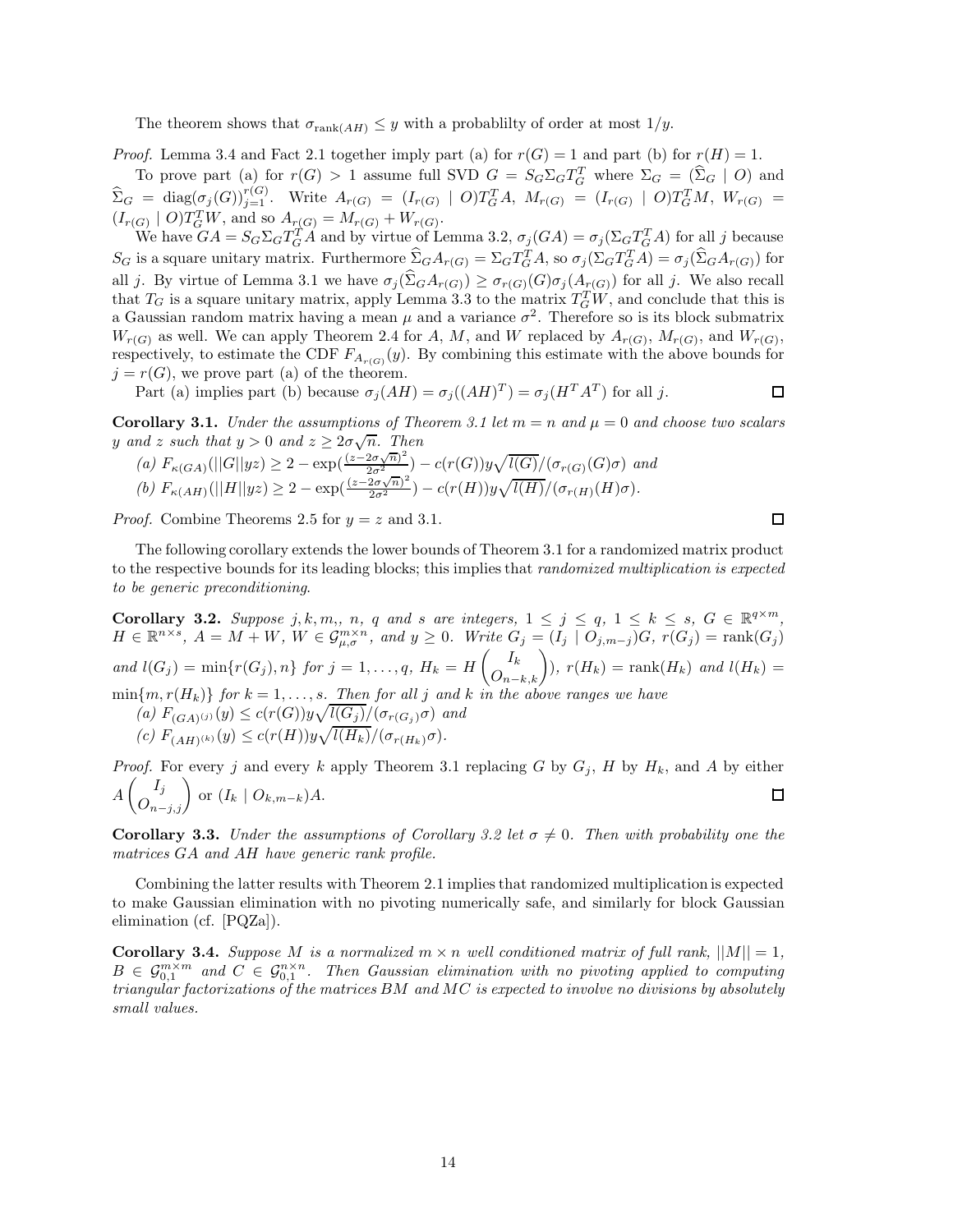The theorem shows that  $\sigma_{\text{rank}(AH)} \leq y$  with a probability of order at most  $1/y$ .

*Proof.* Lemma 3.4 and Fact 2.1 together imply part (a) for  $r(G) = 1$  and part (b) for  $r(H) = 1$ . To prove part (a) for  $r(G) > 1$  assume full SVD  $G = S_G \Sigma_G T_G^T$  where  $\Sigma_G = (\widehat{\Sigma}_G \mid O)$  and  $\widehat{\Sigma}_G = \text{diag}(\sigma_j(G))_{j=1}^{r(G)}$ . Write  $A_{r(G)} = (I_{r(G)} \mid O)T_G^T A$ ,  $M_{r(G)} = (I_{r(G)} \mid O)T_G^T M$ ,  $W_{r(G)} =$  $(I_{r(G)} | O)T_G^T W$ , and so  $A_{r(G)} = M_{r(G)} + W_{r(G)}$ .

We have  $GA = S_G \Sigma_G T_G^T$  and by virtue of Lemma 3.2,  $\sigma_j(GA) = \sigma_j(\Sigma_G T_G^T A)$  for all j because  $S_G$  is a square unitary matrix. Furthermore  $\widehat{\Sigma}_G A_{r(G)} = \Sigma_G T_G^T A$ , so  $\sigma_j(\Sigma_G T_G^T A) = \sigma_j(\widehat{\Sigma}_G A_{r(G)})$  for all *j*. By virtue of Lemma 3.1 we have  $\sigma_j(\hat{\Sigma}_G A_{r(G)}) \geq \sigma_{r(G)}(G) \sigma_j(A_{r(G)})$  for all *j*. We also recall that  $T_G$  is a square unitary matrix, apply Lemma 3.3 to the matrix  $T_G^T W$ , and conclude that this is a Gaussian random matrix having a mean  $\mu$  and a variance  $\sigma^2$ . Therefore so is its block submatrix  $W_{r(G)}$  as well. We can apply Theorem 2.4 for *A*, *M*, and *W* replaced by  $A_{r(G)}$ ,  $M_{r(G)}$ , and  $W_{r(G)}$ , respectively, to estimate the CDF  $F_{A_{r(G)}}(y)$ . By combining this estimate with the above bounds for  $j = r(G)$ , we prove part (a) of the theorem.

Part (a) implies part (b) because  $\sigma_j(AH) = \sigma_j((AH)^T) = \sigma_j(H^T A^T)$  for all *j*.  $\Box$ 

**Corollary 3.1.** *Under the assumptions of Theorem 3.1 let*  $m = n$  *and*  $\mu = 0$  *and choose two scalars y* and *z* such that  $y > 0$  and  $z \geq 2\sigma\sqrt{n}$ . Then

(a) 
$$
F_{\kappa(GA)}(||G||yz) \ge 2 - \exp(\frac{(z-2\sigma\sqrt{n})^2}{2\sigma^2}) - c(r(G))y\sqrt{l(G)}/(\sigma_{r(G)}(G)\sigma)
$$
 and  
(b)  $F_{\kappa(AH)}(||H||yz) \ge 2 - \exp(\frac{(z-2\sigma\sqrt{n})^2}{2\sigma^2}) - c(r(H))y\sqrt{l(H)}/(\sigma_{r(H)}(H)\sigma)$ .

*Proof.* Combine Theorems 2.5 for  $y = z$  and 3.1.

The following corollary extends the lower bounds of Theorem 3.1 for a randomized matrix product to the respective bounds for its leading blocks; this implies that *randomized multiplication is expected to be generic preconditioning*.

**Corollary 3.2.** Suppose j, k, m,, n, q and s are integers,  $1 \le j \le q$ ,  $1 \le k \le s$ ,  $G \in \mathbb{R}^{q \times m}$ ,  $H \in \mathbb{R}^{n \times s}$ ,  $A = M + W$ ,  $W \in \mathcal{G}_{\mu,\sigma}^{m \times n}$ , and  $y \ge 0$ . Write  $G_j = (I_j \mid O_{j,m-j})G$ ,  $r(G_j) = \text{rank}(G_j)$ *and*  $l(G_j) = \min\{r(G_j), n\}$  *for*  $j = 1, ..., q$ *,*  $H_k = H\left(\frac{I_k}{O_{n-k,k}}\right)$  $\mathcal{L}(H_k) = \text{rank}(H_k)$  and  $l(H_k) =$  $\min\{m, r(H_k)\}\$  *for*  $k = 1, \ldots, s$ *. Then for all j and*  $k$  *in the above ranges we have*  $\int_{a}^{b} F(G_{A})^{(j)}(y) \leq c(r(G))y\sqrt{l(G_{j})}/(\sigma_{r(G_{j})}\sigma)$  *and*  $(c)$   $F_{(AH)^{(k)}}(y) \le c(r(H))y\sqrt{l(H_k)}/(\sigma_{r(H_k)}\sigma).$ 

*Proof.* For every *j* and every *k* apply Theorem 3.1 replacing *G* by  $G_j$ , *H* by  $H_k$ , and *A* by either  $A\left(\bigcup_{n-j,j}^{I_j}\right)$  or  $(I_k \mid O_{k,m-k})A$ .  $\Box$ 

**Corollary 3.3.** *Under the assumptions of Corollary 3.2 let*  $\sigma \neq 0$ *. Then with probability one the matrices GA and AH have generic rank profile.*

Combining the latter results with Theorem 2.1 implies that randomized multiplication is expected to make Gaussian elimination with no pivoting numerically safe, and similarly for block Gaussian elimination (cf. [PQZa]).

**Corollary 3.4.** *Suppose M is a normalized*  $m \times n$  *well conditioned matrix of full rank,*  $||M|| = 1$ *,*  $B \in \mathcal{G}_{0,1}^{m \times m}$  and  $C \in \mathcal{G}_{0,1}^{n \times n}$ . Then Gaussian elimination with no pivoting applied to computing *triangular factorizations of the matrices BM and MC is expected to involve no divisions by absolutely small values.*

◻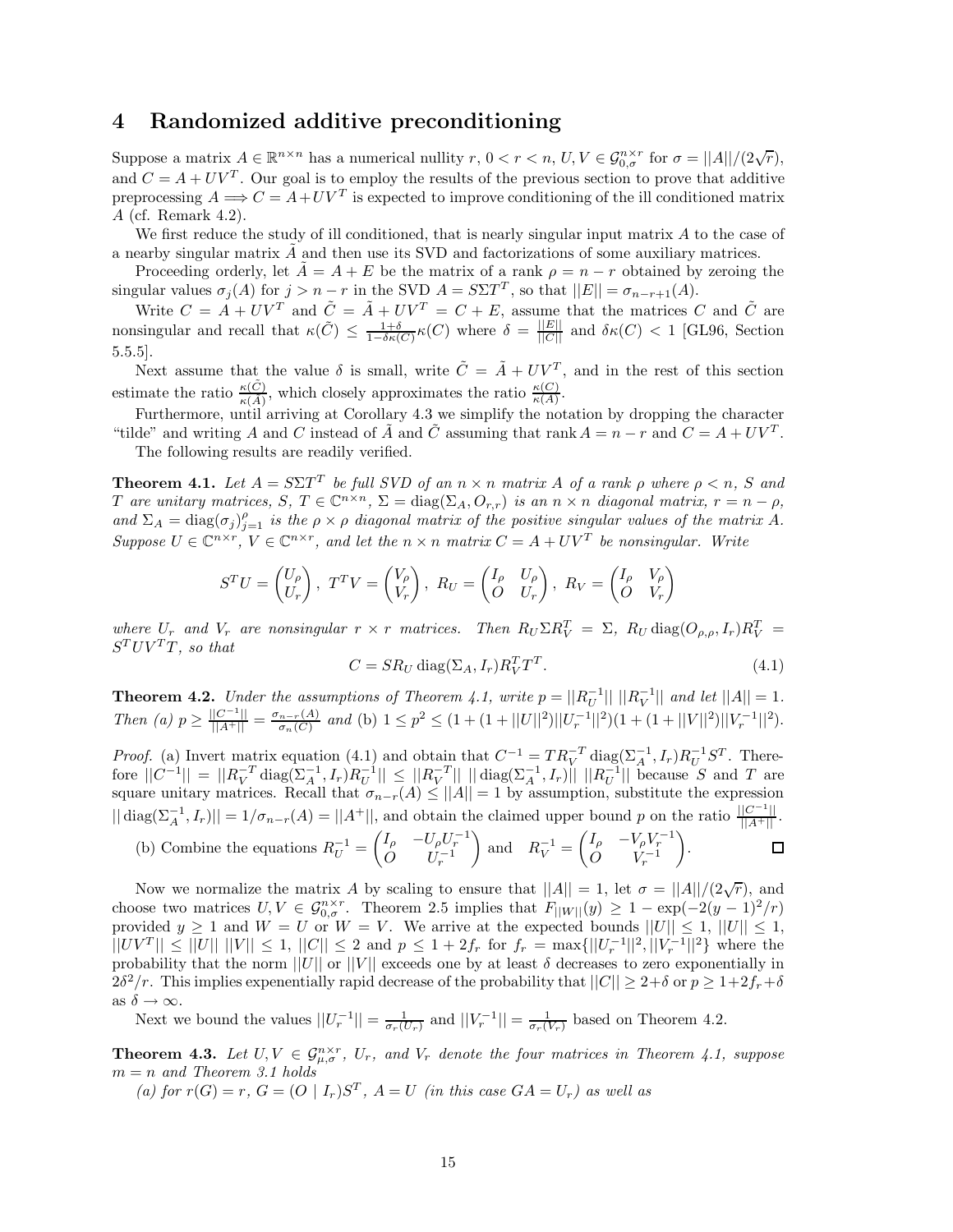## **4 Randomized additive preconditioning**

Suppose a matrix  $A \in \mathbb{R}^{n \times n}$  has a numerical nullity  $r, 0 < r < n, U, V \in \mathcal{G}_{0,\sigma}^{n \times r}$  for  $\sigma = ||A||/(2\sqrt{r}),$ and  $C = A + UV^T$ . Our goal is to employ the results of the previous section to prove that additive preprocessing  $A \Longrightarrow C = A + UV^T$  is expected to improve conditioning of the ill conditioned matrix *A* (cf. Remark 4.2).

We first reduce the study of ill conditioned, that is nearly singular input matrix *A* to the case of a nearby singular matrix  $\vec{A}$  and then use its SVD and factorizations of some auxiliary matrices.

Proceeding orderly, let  $A = A + E$  be the matrix of a rank  $\rho = n - r$  obtained by zeroing the singular values  $\sigma_j(A)$  for  $j > n - r$  in the SVD  $A = S\Sigma T^T$ , so that  $||E|| = \sigma_{n-r+1}(A)$ .

Write  $C = A + UV^T$  and  $\tilde{C} = \tilde{A} + UV^T = C + E$ , assume that the matrices *C* and  $\tilde{C}$  are nonsingular and recall that  $\kappa(\tilde{C}) \leq \frac{1+\delta}{1-\delta\kappa(C)}\kappa(C)$  where  $\delta = \frac{||E||}{||C||}$  and  $\delta\kappa(C) < 1$  [GL96, Section 5.5.5].

Next assume that the value  $\delta$  is small, write  $\tilde{C} = \tilde{A} + UV^T$ , and in the rest of this section estimate the ratio  $\frac{\kappa(\tilde{C})}{\kappa(\tilde{A})}$ , which closely approximates the ratio  $\frac{\kappa(C)}{\kappa(A)}$ .

Furthermore, until arriving at Corollary 4.3 we simplify the notation by dropping the character "tilde" and writing *A* and *C* instead of  $\tilde{A}$  and  $\tilde{C}$  assuming that rank  $A = n - r$  and  $C = A + UV^T$ . The following results are readily verified.

**Theorem 4.1.** *Let*  $A = S\Sigma T^T$  *be full SVD of an*  $n \times n$  *matrix*  $A$  *of a rank*  $\rho$  *where*  $\rho \le n$ *, S and* T are unitary matrices, S,  $T \in \mathbb{C}^{n \times n}$ ,  $\Sigma = \text{diag}(\Sigma_A, O_{r,r})$  is an  $n \times n$  diagonal matrix,  $r = n - \rho$ , and  $\Sigma_A = \text{diag}(\sigma_j)_{j=1}^{\rho}$  *is the*  $\rho \times \rho$  *diagonal matrix of the positive singular values of the matrix* A. *Suppose*  $U \in \mathbb{C}^{n \times r}$ ,  $V \in \mathbb{C}^{n \times r}$ , and let the  $n \times n$  matrix  $C = A + UV^T$  be nonsingular. Write

$$
S^{T}U = \begin{pmatrix} U_{\rho} \\ U_{r} \end{pmatrix}, T^{T}V = \begin{pmatrix} V_{\rho} \\ V_{r} \end{pmatrix}, R_{U} = \begin{pmatrix} I_{\rho} & U_{\rho} \\ O & U_{r} \end{pmatrix}, R_{V} = \begin{pmatrix} I_{\rho} & V_{\rho} \\ O & V_{r} \end{pmatrix}
$$

where  $U_r$  and  $V_r$  are nonsingular  $r \times r$  matrices. Then  $R_U \Sigma R_V^T = \Sigma$ ,  $R_U \text{diag}(O_{\rho,\rho},I_r)R_V^T =$  $S^TUV^TT$ *, so that* 

$$
C = SR_U \operatorname{diag}(\Sigma_A, I_r) R_V^T T^T. \tag{4.1}
$$

**Theorem 4.2.** *Under the assumptions of Theorem 4.1, write*  $p = ||R_U^{-1}|| ||R_V^{-1}||$  and let  $||A|| = 1$ . Then (a)  $p \ge \frac{||C^{-1}||}{||A^+||} = \frac{\sigma_{n-r}(A)}{\sigma_n(C)}$  and (b)  $1 \le p^2 \le (1 + (1 + ||U||^2)||U_r^{-1}||^2)(1 + (1 + ||V||^2)||V_r^{-1}||^2)$ .

*Proof.* (a) Invert matrix equation (4.1) and obtain that  $C^{-1} = TR_V^{-T} \text{diag}(\Sigma_A^{-1}, I_r)R_U^{-1}S^T$ . Therefore  $||C^{-1}|| = ||R_V^{-T} \text{diag}(\Sigma_A^{-1}, I_r)R_U^{-1}|| \leq ||R_V^{-T}|| \cdot ||\text{diag}(\Sigma_A^{-1}, I_r)|| \cdot ||R_U^{-1}|| \cdot ||R_U^{-1}||$  because S and T are square unitary matrices. Recall that  $\sigma_{n-r}(A) \leq ||A|| = 1$  by assumption, substitute the expression  $|| \operatorname{diag}(\Sigma_A^{-1}, I_r)|| = 1/\sigma_{n-r}(A) = ||A^+||$ , and obtain the claimed upper bound *p* on the ratio  $\frac{||C^{-1}||}{||A^+||}$ .

(b) Combine the equations 
$$
R_U^{-1} = \begin{pmatrix} I_\rho & -U_\rho U_r^{-1} \\ O & U_r^{-1} \end{pmatrix}
$$
 and  $R_V^{-1} = \begin{pmatrix} I_\rho & -V_\rho V_r^{-1} \\ O & V_r^{-1} \end{pmatrix}$ .

Now we normalize the matrix *A* by scaling to ensure that  $||A|| = 1$ , let  $\sigma = ||A||/(2\sqrt{r})$ , and choose two matrices  $U, V \in \mathcal{G}_{0,\sigma}^{n \times r}$ . Theorem 2.5 implies that  $F_{\vert\vert W \vert\vert}(y) \geq 1 - \exp(-2(y-1)^2/r)$ provided  $y \ge 1$  and  $W = U$  or  $W = V$ . We arrive at the expected bounds  $||U|| \le 1$ ,  $||U|| \le 1$ ,  $||UV^T|| \leq ||U|| \, ||V|| \leq 1, \, ||C|| \leq 2$  and  $p \leq 1+2f_r$  for  $f_r = \max\{||U_r^{-1}||^2, ||V_r^{-1}||^2\}$  where the probability that the norm  $||U||$  or  $||V||$  exceeds one by at least  $\delta$  decreases to zero exponentially in 2*δ*<sup>2</sup>/r. This implies expenentially rapid decrease of the probability that  $||C|| \geq 2+\delta$  or  $p \geq 1+2f_r+\delta$ as  $\delta \to \infty$ .

Next we bound the values  $||U_r^{-1}|| = \frac{1}{\sigma_r(U_r)}$  and  $||V_r^{-1}|| = \frac{1}{\sigma_r(V_r)}$  based on Theorem 4.2.

**Theorem 4.3.** Let  $U, V \in \mathcal{G}_{\mu,\sigma}^{n \times r}$ ,  $U_r$ , and  $V_r$  denote the four matrices in Theorem 4.1, suppose  $m = n$  *and Theorem 3.1 holds* 

(a) for  $r(G) = r$ ,  $G = (O | I_r)S^T$ ,  $A = U$  (in this case  $GA = U_r$ ) as well as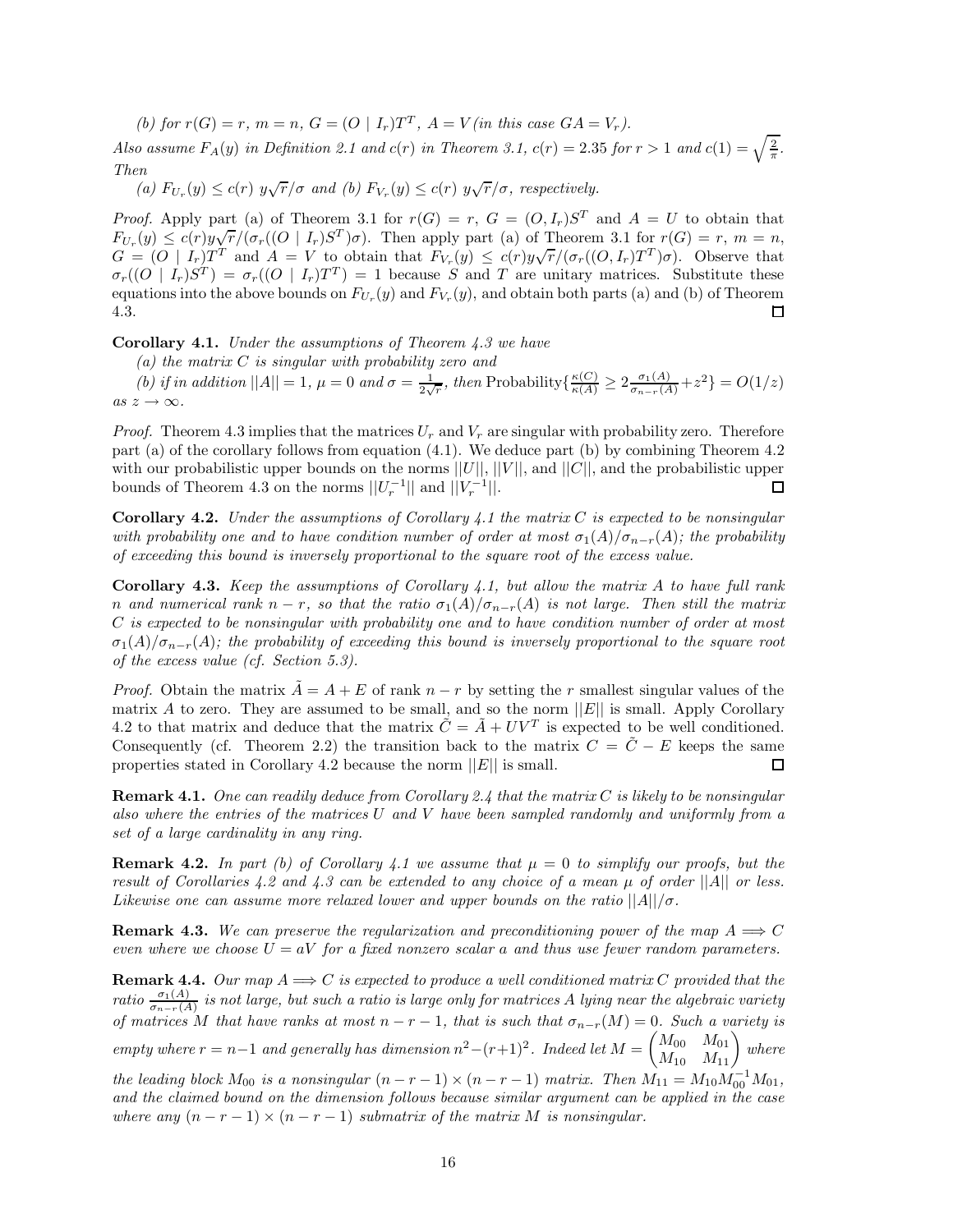(b) for  $r(G) = r$ ,  $m = n$ ,  $G = (O | I_r)T^T$ ,  $A = V(in this case GA = V_r)$ .

*Also assume*  $F_A(y)$  *in Definition 2.1 and*  $c(r)$  *in Theorem 3.1,*  $c(r) = 2.35$  *for*  $r > 1$  *and*  $c(1) = \sqrt{\frac{2}{\pi}}$ . *Then*

*(a)*  $F_{U_r}(y) \le c(r)$   $y\sqrt{r}/\sigma$  and *(b)*  $F_{V_r}(y) \le c(r)$   $y\sqrt{r}/\sigma$ , respectively.

*Proof.* Apply part (a) of Theorem 3.1 for  $r(G) = r$ ,  $G = (O, I_r)S^T$  and  $A = U$  to obtain that *F*<sub>Ur</sub>(y)  $\leq c(r)y\sqrt{r}/(\sigma_r((O \nvert I_r)S^T)\sigma)$ . Then apply part (a) of Theorem 3.1 for  $r(G) = r$ ,  $m = n$ ,  $FU_r(y) \le C(T)g\sqrt{T/(G_r((U-T_r))}$  (b). Then apply part (a) of Theorem 3.1 for  $T(G) = T$ ,  $m = n$ ,<br> $G = (O \mid I_r)T^T$  and  $A = V$  to obtain that  $F_{V_r}(y) \le c(r)y\sqrt{r}/(\sigma_r((O,I_r)T^T)\sigma)$ . Observe that  $\sigma_r((O \mid I_r)S^T) = \sigma_r((O \mid I_r)T^T) = 1$  because *S* and *T* are unitary matrices. Substitute these equations into the above bounds on  $F_{U_r}(y)$  and  $F_{V_r}(y)$ , and obtain both parts (a) and (b) of Theorem 4.3. □

**Corollary 4.1.** *Under the assumptions of Theorem 4.3 we have*

*(a) the matrix C is singular with probability zero and*

(b) if in addition  $||A|| = 1$ ,  $\mu = 0$  and  $\sigma = \frac{1}{2\sqrt{r}}$ , then Probability  $\{\frac{\kappa(C)}{\kappa(A)} \geq 2 \frac{\sigma_1(A)}{\sigma_{n-r}(A)} + z^2\} = O(1/z)$  $as z \rightarrow \infty$ .

*Proof.* Theorem 4.3 implies that the matrices  $U_r$  and  $V_r$  are singular with probability zero. Therefore part (a) of the corollary follows from equation (4.1). We deduce part (b) by combining Theorem 4.2 with our probabilistic upper bounds on the norms  $||U||$ ,  $||V||$ , and  $||C||$ , and the probabilistic upper bounds of Theorem 4.3 on the norms  $||U_r^{-1}||$  and  $||V_r^{-1}||$ . ◻

**Corollary 4.2.** *Under the assumptions of Corollary 4.1 the matrix C is expected to be nonsingular with probability one and to have condition number of order at most*  $\sigma_1(A)/\sigma_{n-r}(A)$ ; the probability *of exceeding this bound is inversely proportional to the square root of the excess value.*

**Corollary 4.3.** *Keep the assumptions of Corollary 4.1, but allow the matrix A to have full rank n* and numerical rank  $n - r$ , so that the ratio  $\sigma_1(A)/\sigma_{n-r}(A)$  is not large. Then still the matrix *C is expected to be nonsingular with probability one and to have condition number of order at most*  $\sigma_1(A)/\sigma_{n-r}(A)$ ; the probability of exceeding this bound is inversely proportional to the square root *of the excess value (cf. Section 5.3).*

*Proof.* Obtain the matrix  $A = A + E$  of rank  $n - r$  by setting the *r* smallest singular values of the matrix *A* to zero. They are assumed to be small, and so the norm  $||E||$  is small. Apply Corollary 4.2 to that matrix and deduce that the matrix  $\tilde{C} = \tilde{A} + UV^T$  is expected to be well conditioned. Consequently (cf. Theorem 2.2) the transition back to the matrix  $C = \tilde{C} - E$  keeps the same properties stated in Corollary 4.2 because the norm  $||E||$  is small.  $\Box$ 

**Remark 4.1.** *One can readily deduce from Corollary 2.4 that the matrix C is likely to be nonsingular also where the entries of the matrices U and V have been sampled randomly and uniformly from a set of a large cardinality in any ring.*

**Remark 4.2.** In part (b) of Corollary 4.1 we assume that  $\mu = 0$  to simplify our proofs, but the *result of Corollaries 4.2 and 4.3 can be extended to any choice of a mean µ of order* ||*A*|| *or less. Likewise one can assume more relaxed lower and upper bounds on the ratio*  $||A||/\sigma$ .

**Remark 4.3.** We can preserve the regularization and preconditioning power of the map  $A \Longrightarrow C$ *even where we choose*  $U = aV$  *for a fixed nonzero scalar a and thus use fewer random parameters.* 

**Remark 4.4.** *Our map*  $A \implies C$  *is expected to produce a well conditioned matrix*  $C$  *provided that the ratio*  $\frac{\sigma_1(A)}{\sigma_{n-r}(A)}$  *is not large, but such a ratio is large only for matrices A lying near the algebraic variety of matrices M* that have ranks at most  $n - r - 1$ , that is such that  $\sigma_{n-r}(M) = 0$ . Such a variety is  $P = m$  *r* = *n*−1 *and generally has dimension*  $n^2 - (r+1)^2$ *. Indeed let*  $M = \begin{pmatrix} M_{00} & M_{01} \\ M_{10} & M_{11} \end{pmatrix}$  where *the leading block*  $M_{00}$  *is a nonsingular*  $(n - r - 1) \times (n - r - 1)$  *matrix. Then*  $M_{11} = M_{10} M_{00}^{-1} M_{01}$ , *and the claimed bound on the dimension follows because similar argument can be applied in the case where any*  $(n - r - 1) \times (n - r - 1)$  *submatrix of the matrix M is nonsingular.*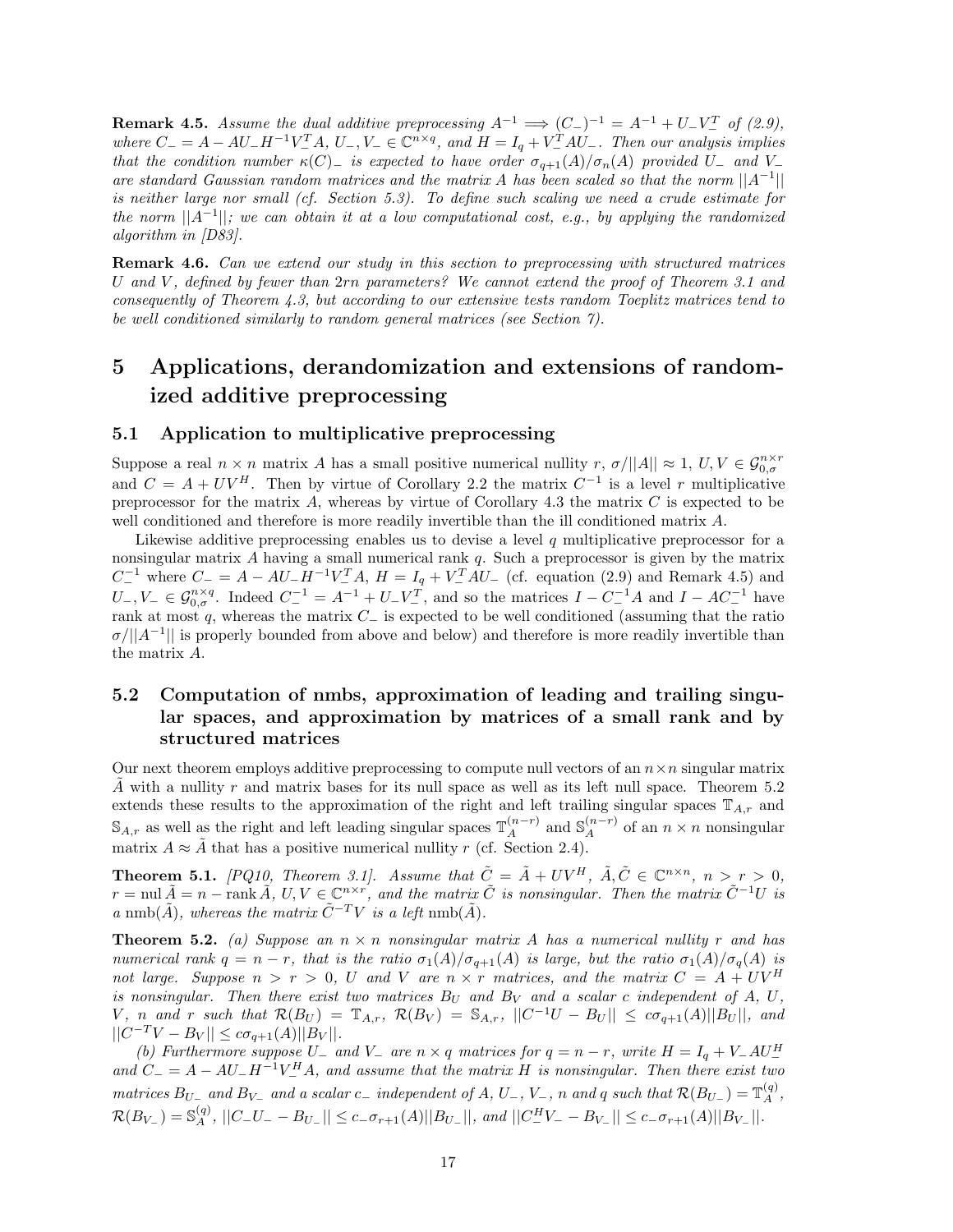**Remark 4.5.** *Assume the dual additive preprocessing*  $A^{-1} \implies (C_{-})^{-1} = A^{-1} + U_{-}V_{-}^{T}$  of (2.9), where  $C_{-} = A - AU_{-}H^{-1}V_{-}^{T}A$ ,  $U_{-}$ ,  $V_{-} \in \mathbb{C}^{n \times q}$ , and  $H = I_{q} + V_{-}^{T}AU_{-}$ . Then our analysis implies *that the condition number*  $\kappa(C)$  *is expected to have order*  $\sigma_{q+1}(A)/\sigma_n(A)$  *provided*  $U$ <sup>−</sup> *and*  $V$ <sup>−</sup> *are standard Gaussian random matrices and the matrix A has been scaled so that the norm* ||*A*−1|| *is neither large nor small (cf. Section 5.3). To define such scaling we need a crude estimate for the norm* ||*A*−1||*; we can obtain it at a low computational cost, e.g., by applying the randomized algorithm in [D83].*

**Remark 4.6.** *Can we extend our study in this section to preprocessing with structured matrices U and V , defined by fewer than* 2*rn parameters? We cannot extend the proof of Theorem 3.1 and consequently of Theorem 4.3, but according to our extensive tests random Toeplitz matrices tend to be well conditioned similarly to random general matrices (see Section 7).*

## **5 Applications, derandomization and extensions of randomized additive preprocessing**

### **5.1 Application to multiplicative preprocessing**

Suppose a real  $n \times n$  matrix *A* has a small positive numerical nullity  $r$ ,  $\sigma/||A|| \approx 1$ ,  $U, V \in \mathcal{G}_{0,\sigma}^{n \times r}$ and  $C = A + UV^H$ . Then by virtue of Corollary 2.2 the matrix  $C^{-1}$  is a level *r* multiplicative preprocessor for the matrix *A*, whereas by virtue of Corollary 4.3 the matrix *C* is expected to be well conditioned and therefore is more readily invertible than the ill conditioned matrix *A*.

Likewise additive preprocessing enables us to devise a level *q* multiplicative preprocessor for a nonsingular matrix *A* having a small numerical rank *q*. Such a preprocessor is given by the matrix  $C^{-1}$  where  $C^{-} = A - AU^{-}H^{-1}V^{T}_{-}A$ ,  $H = I_{q} + V^{T}_{-}AU^{-}$  (cf. equation (2.9) and Remark 4.5) and  $U_{-}, V_{-} \in \mathcal{G}_{0,\sigma}^{n \times q}$ . Indeed  $C_{-}^{-1} = A^{-1} + U_{-}V_{-}^{T}$ , and so the matrices  $I - C_{-}^{-1}A$  and  $I - AC_{-}^{-1}$  have rank at most *q*, whereas the matrix *C*<sup>−</sup> is expected to be well conditioned (assuming that the ratio  $\sigma/||A^{-1}||$  is properly bounded from above and below) and therefore is more readily invertible than the matrix *A*.

## **5.2 Computation of nmbs, approximation of leading and trailing singular spaces, and approximation by matrices of a small rank and by structured matrices**

Our next theorem employs additive preprocessing to compute null vectors of an  $n \times n$  singular matrix *A*˜ with a nullity *r* and matrix bases for its null space as well as its left null space. Theorem 5.2 extends these results to the approximation of the right and left trailing singular spaces  $\mathbb{T}_{A,r}$  and S<sub>*A,r*</sub> as well as the right and left leading singular spaces  $\mathbb{T}_A^{(n-r)}$  and S<sub>*A*</sub><sup>*n*</sup> of an *n* × *n* nonsingular matrix  $A \approx \tilde{A}$  that has a positive numerical nullity *r* (cf. Section 2.4).

**Theorem 5.1.** *[PQ10, Theorem 3.1]. Assume that*  $\tilde{C} = \tilde{A} + UV^H$ ,  $\tilde{A}, \tilde{C} \in \mathbb{C}^{n \times n}$ ,  $n > r > 0$ ,  $r = \text{null} \,\tilde{A} = n - \text{rank} \,\tilde{A}, \, U, V \in \mathbb{C}^{n \times r}$ , and the matrix  $\tilde{C}$  is nonsingular. Then the matrix  $\tilde{C}^{-1}U$  is *a* nmb( $\tilde{A}$ )*, whereas the matrix*  $\tilde{C}^{-T}V$  *is a left* nmb( $\tilde{A}$ )*.* 

**Theorem 5.2.** (a) Suppose an  $n \times n$  nonsingular matrix A has a numerical nullity r and has *numerical rank*  $q = n - r$ *, that is the ratio*  $\sigma_1(A)/\sigma_{q+1}(A)$  *is large, but the ratio*  $\sigma_1(A)/\sigma_q(A)$  *is not large. Suppose*  $n > r > 0$ , *U* and *V* are  $n \times r$  matrices, and the matrix  $C = A + UV^H$ *is nonsingular.* Then there exist two matrices  $B_U$  and  $B_V$  and a scalar c independent of A, U, V, n and r such that  $\mathcal{R}(B_U) = \mathbb{T}_{A,r}$ ,  $\mathcal{R}(B_V) = \mathbb{S}_{A,r}$ ,  $||C^{-1}U - B_U|| \leq c\sigma_{q+1}(A)||B_U||$ , and  $||C^{-T}V - B_V|| \leq c\sigma_{q+1}(A)||B_V||.$ 

*(b)* Furthermore suppose  $U_{-}$  and  $V_{-}$  are  $n \times q$  matrices for  $q = n - r$ , write  $H = I_q + V_-AU_-^H$  $\alpha$  *and*  $C = A - AU_-H^{-1}V_-^H A$ , and assume that the matrix *H* is nonsingular. Then there exist two matrices  $B_{U_{-}}$  and  $B_{V_{-}}$  and a scalar  $c_{-}$  independent of A,  $U_{-}$ ,  $V_{-}$ , n and q such that  $\mathcal{R}(B_{U_{-}}) = \mathbb{T}_{A}^{(q)}$ ,  $\mathcal{R}(B_{V_-}) = \mathbb{S}_A^{(q)}$ ,  $||C_-U_- - B_{U_-}|| \leq c_- \sigma_{r+1}(A)||B_{U_-}||$ , and  $||C_-^H V_- - B_{V_-}|| \leq c_- \sigma_{r+1}(A)||B_{V_-}||$ .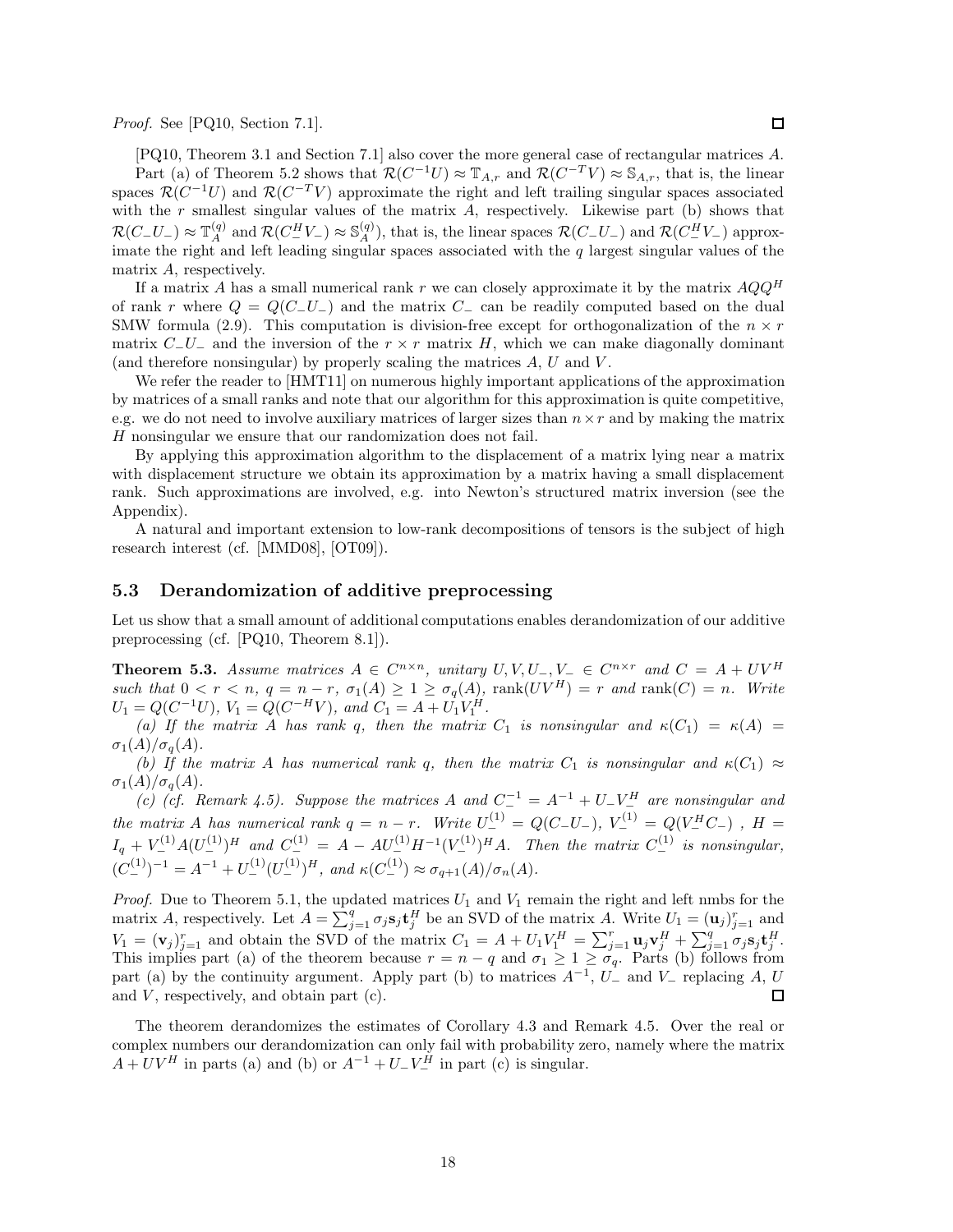*Proof.* See [PQ10, Section 7.1].

[PQ10, Theorem 3.1 and Section 7.1] also cover the more general case of rectangular matrices *A*. Part (a) of Theorem 5.2 shows that  $\mathcal{R}(C^{-1}U) \approx \mathbb{T}_{A,r}$  and  $\mathcal{R}(C^{-T}V) \approx \mathbb{S}_{A,r}$ , that is, the linear spaces  $\mathcal{R}(C^{-1}U)$  and  $\mathcal{R}(C^{-T}V)$  approximate the right and left trailing singular spaces associated with the *r* smallest singular values of the matrix *A*, respectively. Likewise part (b) shows that  $\mathcal{R}(C-U_-) \approx \mathbb{T}_A^{(q)}$  and  $\mathcal{R}(C_-^H V_-) \approx \mathbb{S}_A^{(q)}$ , that is, the linear spaces  $\mathcal{R}(C_-U_-)$  and  $\mathcal{R}(C_-^H V_-)$  approximate the right and left leading singular spaces associated with the q largest singular values matrix *A*, respectively.

If a matrix *A* has a small numerical rank *r* we can closely approximate it by the matrix *AQQ<sup>H</sup>* of rank *r* where  $Q = Q(C - U_{-})$  and the matrix  $C_{-}$  can be readily computed based on the dual SMW formula (2.9). This computation is division-free except for orthogonalization of the  $n \times r$ matrix  $C_-\nu$  and the inversion of the  $r \times r$  matrix *H*, which we can make diagonally dominant (and therefore nonsingular) by properly scaling the matrices *A*, *U* and *V* .

We refer the reader to [HMT11] on numerous highly important applications of the approximation by matrices of a small ranks and note that our algorithm for this approximation is quite competitive, e.g. we do not need to involve auxiliary matrices of larger sizes than  $n \times r$  and by making the matrix *H* nonsingular we ensure that our randomization does not fail.

By applying this approximation algorithm to the displacement of a matrix lying near a matrix with displacement structure we obtain its approximation by a matrix having a small displacement rank. Such approximations are involved, e.g. into Newton's structured matrix inversion (see the Appendix).

A natural and important extension to low-rank decompositions of tensors is the subject of high research interest (cf. [MMD08], [OT09]).

#### **5.3 Derandomization of additive preprocessing**

Let us show that a small amount of additional computations enables derandomization of our additive preprocessing (cf. [PQ10, Theorem 8.1]).

**Theorem 5.3.** *Assume matrices*  $A \in C^{n \times n}$ *, unitary*  $U, V, U_-, V_- \in C^{n \times r}$  *and*  $C = A + UV^H$ such that  $0 < r < n$ ,  $q = n - r$ ,  $\sigma_1(A) \geq 1 \geq \sigma_q(A)$ ,  $\text{rank}(UV^H) = r$  and  $\text{rank}(C) = n$ . Write  $U_1 = Q(C^{-1}U)$ ,  $V_1 = Q(C^{-H}V)$ , and  $C_1 = A + U_1V_1^H$ .

*(a)* If the matrix *A* has rank *q*, then the matrix  $C_1$  is nonsingular and  $\kappa(C_1) = \kappa(A)$  $\sigma_1(A)/\sigma_q(A)$ .

*(b)* If the matrix A has numerical rank *q*, then the matrix  $C_1$  is nonsingular and  $\kappa(C_1) \approx$  $\sigma_1(A)/\sigma_q(A)$ .

*(c)* (cf. Remark 4.5). Suppose the matrices A and  $C^{-1} = A^{-1} + U - V^H$  are nonsingular and the matrix A has numerical rank  $q = n - r$ . Write  $U_{-}^{(1)} = Q(C_{-}U_{-})$ ,  $V_{-}^{(1)} = Q(V_{-}^{H}C_{-})$ ,  $H =$  $I_q + V^{(1)}_-A(U^{(1)}_-)^H$  and  $C^{(1)}_- = A - AU^{(1)}_-H^{-1}(V^{(1)}_-)^HA$ . Then the matrix  $C^{(1)}_-$  is nonsingular,  $(C_{-}^{(1)})^{-1} = A^{-1} + U_{-}^{(1)}(U_{-}^{(1)})^H$ , and  $\kappa(C_{-}^{(1)}) \approx \sigma_{q+1}(A)/\sigma_n(A)$ .

*Proof.* Due to Theorem 5.1, the updated matrices  $U_1$  and  $V_1$  remain the right and left nmbs for the matrix *A*, respectively. Let  $A = \sum_{j=1}^{q} \sigma_j s_j t_j^H$  be an SVD of the matrix *A*. Write  $U_1 = (\mathbf{u}_j)_{j=1}^r$  and  $V_1 = (\mathbf{v}_j)_{j=1}^r$  and obtain the SVD of the matrix  $C_1 = A + U_1 V_1^H = \sum_{j=1}^r \mathbf{u}_j \mathbf{v}_j^H + \sum_{j=1}^q \sigma_j \mathbf{s}_j \mathbf{t}_j^H$ . This implies part (a) of the theorem because  $r = n - q$  and  $\sigma_1 \geq 1 \geq \sigma_q$ . Parts (b) follows from part (a) by the continuity argument. Apply part (b) to matrices *A*−<sup>1</sup>, *U*<sup>−</sup> and *V*<sup>−</sup> replacing *A*, *U* and *V*, respectively, and obtain part (c).

The theorem derandomizes the estimates of Corollary 4.3 and Remark 4.5. Over the real or complex numbers our derandomization can only fail with probability zero, namely where the matrix  $A + UV^H$  in parts (a) and (b) or  $A^{-1} + U - V^H$  in part (c) is singular.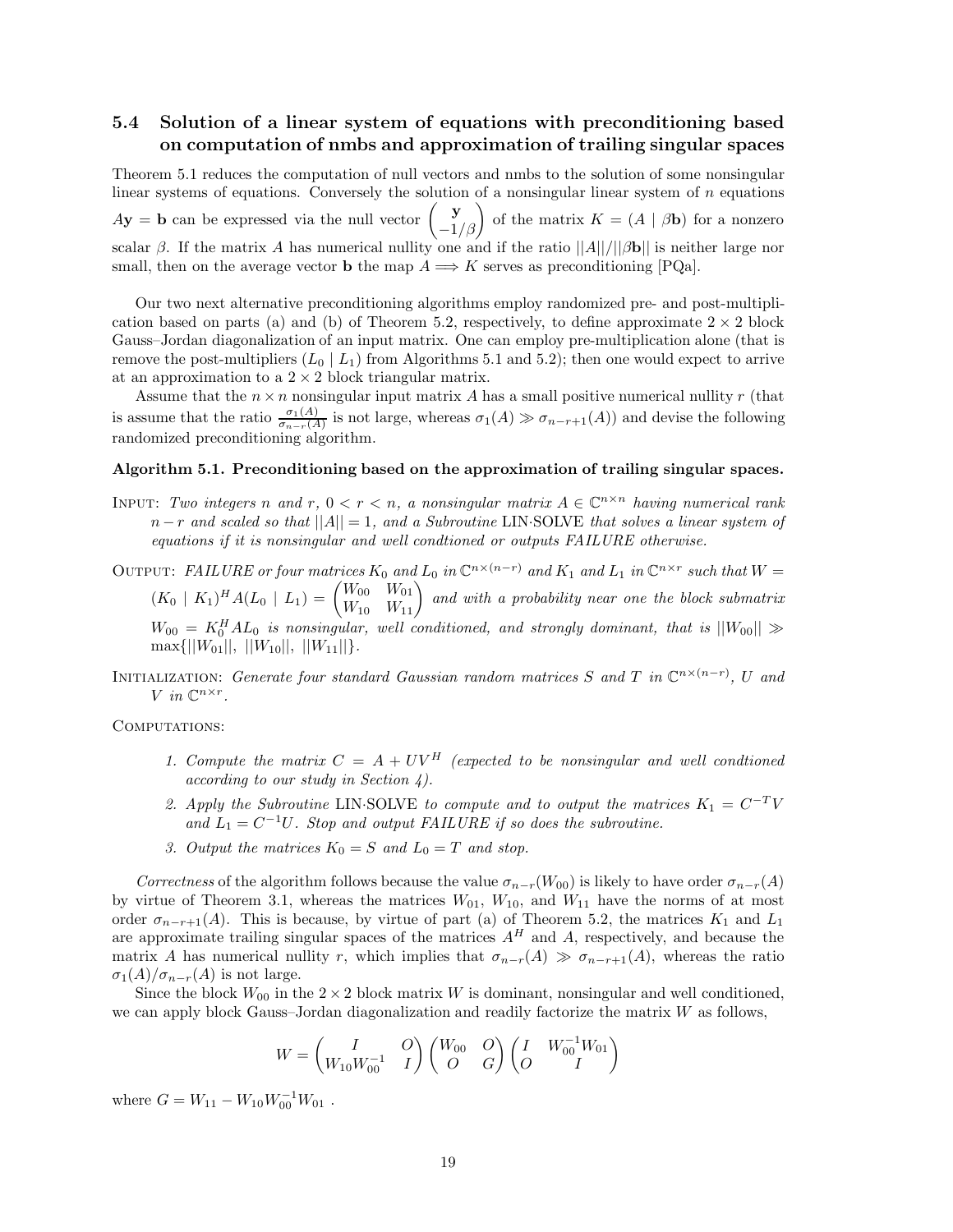## **5.4 Solution of a linear system of equations with preconditioning based on computation of nmbs and approximation of trailing singular spaces**

Theorem 5.1 reduces the computation of null vectors and nmbs to the solution of some nonsingular linear systems of equations. Conversely the solution of a nonsingular linear system of *n* equations  $A$ **y** = **b** can be expressed via the null vector  $\begin{pmatrix} \mathbf{y} \\ -1/\beta \end{pmatrix}$  of the matrix  $K = (A | \beta \mathbf{b})$  for a nonzero scalar  $\beta$ . If the matrix *A* has numerical nullity one and if the ratio  $||A||/||\beta$ **b**|| is neither large nor small, then on the average vector **b** the map  $A \Longrightarrow K$  serves as preconditioning [PQa].

Our two next alternative preconditioning algorithms employ randomized pre- and post-multiplication based on parts (a) and (b) of Theorem 5.2, respectively, to define approximate  $2 \times 2$  block Gauss–Jordan diagonalization of an input matrix. One can employ pre-multiplication alone (that is remove the post-multipliers  $(L_0 | L_1)$  from Algorithms 5.1 and 5.2); then one would expect to arrive at an approximation to a  $2 \times 2$  block triangular matrix.

Assume that the  $n \times n$  nonsingular input matrix A has a small positive numerical nullity r (that is assume that the ratio  $\frac{\sigma_1(A)}{\sigma_{n-r}(A)}$  is not large, whereas  $\sigma_1(A) \gg \sigma_{n-r+1}(A)$  and devise the following randomized preconditioning algorithm.

#### **Algorithm 5.1. Preconditioning based on the approximation of trailing singular spaces.**

- INPUT: *Two integers n* and *r*,  $0 < r < n$ , a nonsingular matrix  $A \in \mathbb{C}^{n \times n}$  having numerical rank *n* − *r and scaled so that* ||*A*|| = 1*, and a Subroutine* LIN·SOLVE *that solves a linear system of equations if it is nonsingular and well condtioned or outputs FAILURE otherwise.*
- OUTPUT: *FAILURE or four matrices*  $K_0$  *and*  $L_0$  *in*  $\mathbb{C}^{n \times (n-r)}$  *and*  $K_1$  *and*  $L_1$  *in*  $\mathbb{C}^{n \times r}$  *such that*  $W =$  $(K_0 \mid K_1)^H A (L_0 \mid L_1) = \begin{pmatrix} W_{00} & W_{01} \\ W_{10} & W_{11} \end{pmatrix}$  and with a probability near one the block submatrix  $W_{00} = K_0^H A L_0$  *is nonsingular, well conditioned, and strongly dominant, that is*  $||W_{00}|| \gg$  $\max\{||W_{01}||, ||W_{10}||, ||W_{11}||\}.$
- INITIALIZATION: *Generate four standard Gaussian random matrices*  $S$  *and*  $T$  *in*  $\mathbb{C}^{n\times (n-r)}$ ,  $U$  *and*  $V$  *in*  $\mathbb{C}^{n \times r}$ *.*

COMPUTATIONS:

- *1. Compute the matrix*  $C = A + UV^H$  (expected to be nonsingular and well condtioned *according to our study in Section 4).*
- *2. Apply the Subroutine* LIN·SOLVE *to compute and to output the matrices*  $K_1 = C^{-T}V$ and  $L_1 = C^{-1}U$ *. Stop and output FAILURE if so does the subroutine.*
- *3. Output the matrices*  $K_0 = S$  *and*  $L_0 = T$  *and stop.*

*Correctness* of the algorithm follows because the value  $\sigma_{n-r}(W_{00})$  is likely to have order  $\sigma_{n-r}(A)$ by virtue of Theorem 3.1, whereas the matrices  $W_{01}$ ,  $W_{10}$ , and  $W_{11}$  have the norms of at most order  $\sigma_{n-r+1}(A)$ . This is because, by virtue of part (a) of Theorem 5.2, the matrices  $K_1$  and  $L_1$ are approximate trailing singular spaces of the matrices  $A^H$  and  $A$ , respectively, and because the matrix *A* has numerical nullity *r*, which implies that  $\sigma_{n-r}(A) \gg \sigma_{n-r+1}(A)$ , whereas the ratio  $\sigma_1(A)/\sigma_{n-r}(A)$  is not large.

Since the block  $W_{00}$  in the  $2 \times 2$  block matrix *W* is dominant, nonsingular and well conditioned, we can apply block Gauss–Jordan diagonalization and readily factorize the matrix *W* as follows,

$$
W = \begin{pmatrix} I & O \\ W_{10} W_{00}^{-1} & I \end{pmatrix} \begin{pmatrix} W_{00} & O \\ O & G \end{pmatrix} \begin{pmatrix} I & W_{00}^{-1} W_{01} \\ O & I \end{pmatrix}
$$

where  $G = W_{11} - W_{10}W_{00}^{-1}W_{01}$ .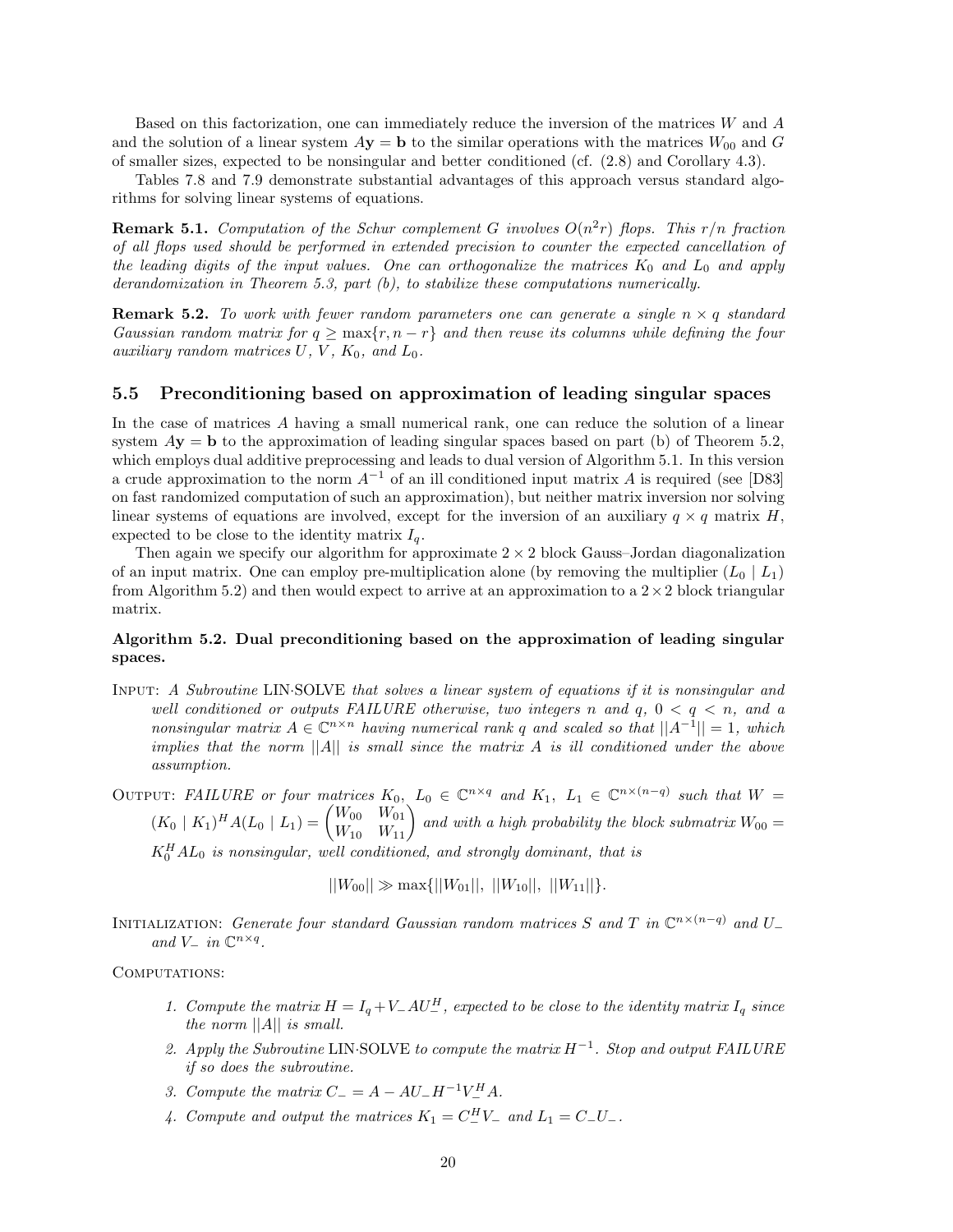Based on this factorization, one can immediately reduce the inversion of the matrices *W* and *A* and the solution of a linear system  $A$ **y** = **b** to the similar operations with the matrices  $W_{00}$  and *G* of smaller sizes, expected to be nonsingular and better conditioned (cf. (2.8) and Corollary 4.3).

Tables 7.8 and 7.9 demonstrate substantial advantages of this approach versus standard algorithms for solving linear systems of equations.

**Remark 5.1.** *Computation of the Schur complement G involves*  $O(n^2r)$  *flops. This*  $r/n$  *fraction of all flops used should be performed in extended precision to counter the expected cancellation of the leading digits of the input values. One can orthogonalize the matrices K*<sup>0</sup> *and L*<sup>0</sup> *and apply derandomization in Theorem 5.3, part (b), to stabilize these computations numerically.*

**Remark 5.2.** To work with fewer random parameters one can generate a single  $n \times q$  standard *Gaussian random matrix for*  $q \geq \max\{r, n-r\}$  *and then reuse its columns while defining the four auxiliary random matrices*  $U, V, K_0, and L_0$ .

## **5.5 Preconditioning based on approximation of leading singular spaces**

In the case of matrices *A* having a small numerical rank, one can reduce the solution of a linear system  $A$ **y** = **b** to the approximation of leading singular spaces based on part (b) of Theorem 5.2, which employs dual additive preprocessing and leads to dual version of Algorithm 5.1. In this version a crude approximation to the norm *A*−<sup>1</sup> of an ill conditioned input matrix *A* is required (see [D83] on fast randomized computation of such an approximation), but neither matrix inversion nor solving linear systems of equations are involved, except for the inversion of an auxiliary  $q \times q$  matrix *H*, expected to be close to the identity matrix  $I_q$ .

Then again we specify our algorithm for approximate  $2 \times 2$  block Gauss–Jordan diagonalization of an input matrix. One can employ pre-multiplication alone (by removing the multiplier  $(L_0 | L_1)$ ) from Algorithm 5.2) and then would expect to arrive at an approximation to a  $2 \times 2$  block triangular matrix.

## **Algorithm 5.2. Dual preconditioning based on the approximation of leading singular spaces.**

Input: *A Subroutine* LIN·SOLVE *that solves a linear system of equations if it is nonsingular and well conditioned or outputs FAILURE otherwise, two integers n and q,* 0 *<q<n, and a nonsingular matrix*  $A \in \mathbb{C}^{n \times n}$  *having numerical rank q and scaled so that*  $||A^{-1}|| = 1$ *, which implies that the norm* ||*A*|| *is small since the matrix A is ill conditioned under the above assumption.*

OUTPUT: FAILURE or four matrices  $K_0$ ,  $L_0 \in \mathbb{C}^{n \times q}$  and  $K_1$ ,  $L_1 \in \mathbb{C}^{n \times (n-q)}$  such that  $W =$  $(K_0 \mid K_1)^H A (L_0 \mid L_1) = \begin{pmatrix} W_{00} & W_{01} \\ W_{10} & W_{11} \end{pmatrix}$  and with a high probability the block submatrix  $W_{00} =$  $K_0^H A L_0$  *is nonsingular, well conditioned, and strongly dominant, that is* 

 $||W_{00}|| \gg \max{||W_{01}||, ||W_{10}||, ||W_{11}||}.$ 

INITIALIZATION: *Generate four standard Gaussian random matrices*  $S$  *and*  $T$  *in*  $\mathbb{C}^{n \times (n-q)}$  *and*  $U_{-}$  $and V_$ *in*  $\mathbb{C}^{n \times q}$ *.* 

COMPUTATIONS:

- *1. Compute the matrix*  $H = I_q + V_+ A U_-^H$ , expected to be close to the identity matrix  $I_q$  since *the norm* ||*A*|| *is small.*
- *2. Apply the Subroutine* LIN·SOLVE *to compute the matrix H*−<sup>1</sup>*. Stop and output FAILURE if so does the subroutine.*
- *3. Compute the matrix*  $C_{-} = A AU_{-}H^{-1}V_{-}^{H}A$ .
- *4. Compute and output the matrices*  $K_1 = C_{-}^H V_-\$  and  $L_1 = C_{-} U_-\$ .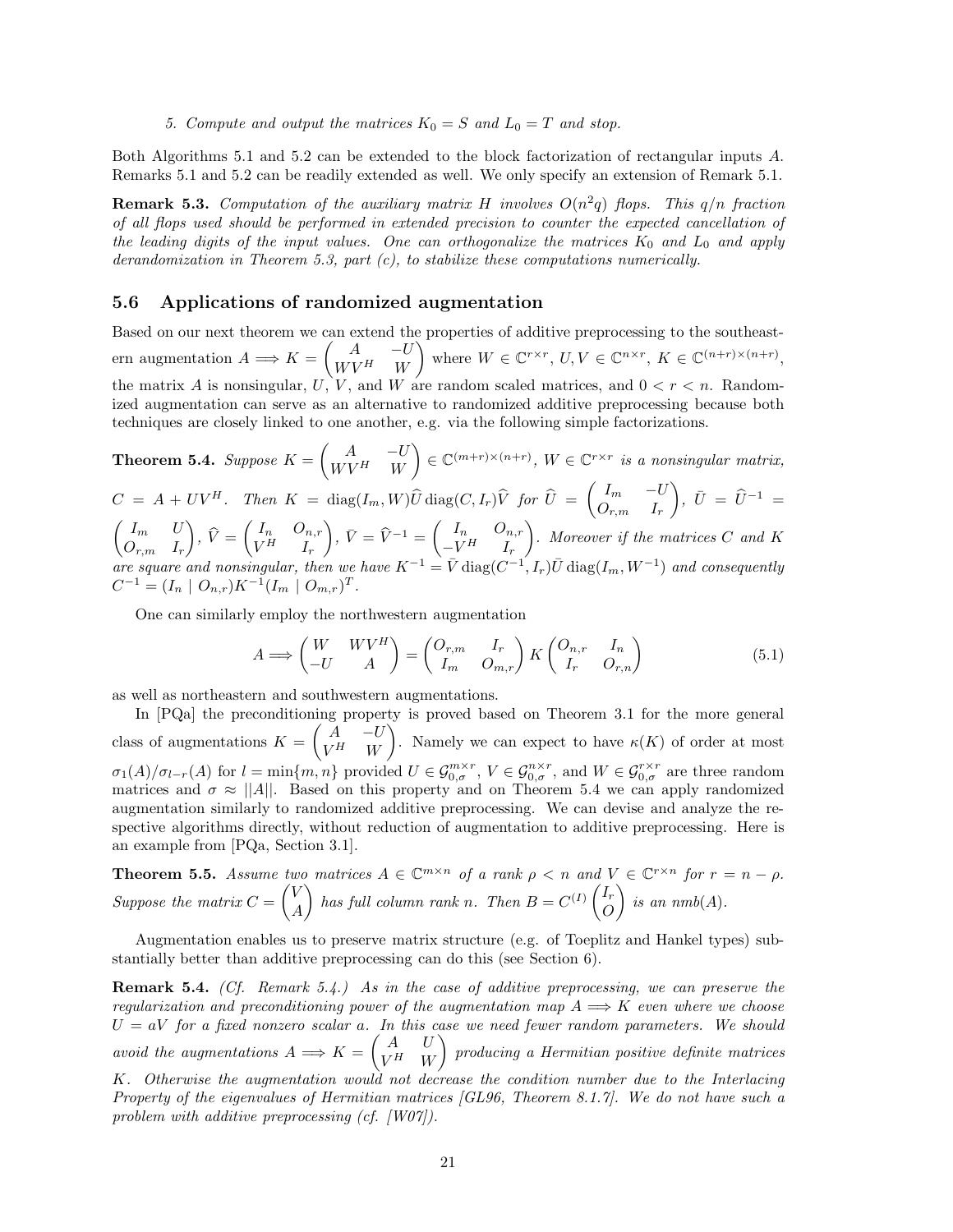*5. Compute and output the matrices*  $K_0 = S$  *and*  $L_0 = T$  *and stop.* 

Both Algorithms 5.1 and 5.2 can be extended to the block factorization of rectangular inputs *A*. Remarks 5.1 and 5.2 can be readily extended as well. We only specify an extension of Remark 5.1.

**Remark 5.3.** *Computation of the auxiliary matrix H involves*  $O(n^2q)$  *flops. This*  $q/n$  *fraction of all flops used should be performed in extended precision to counter the expected cancellation of the leading digits of the input values. One can orthogonalize the matrices K*<sup>0</sup> *and L*<sup>0</sup> *and apply derandomization in Theorem 5.3, part (c), to stabilize these computations numerically.*

#### **5.6 Applications of randomized augmentation**

Based on our next theorem we can extend the properties of additive preprocessing to the southeastern augmentation  $A \Longrightarrow K = \begin{pmatrix} A & -U \\ W V H & W \end{pmatrix}$  $W V^H$  *W* where  $W \in \mathbb{C}^{r \times r}$ ,  $U, V \in \mathbb{C}^{n \times r}$ ,  $K \in \mathbb{C}^{(n+r) \times (n+r)}$ , the matrix A is nonsingular,  $U, V$ , and  $W$  are random scaled matrices, and  $0 < r < n$ . Randomized augmentation can serve as an alternative to randomized additive preprocessing because both techniques are closely linked to one another, e.g. via the following simple factorizations.

**Theorem 5.4.** *Suppose*  $K = \begin{pmatrix} A & -U \ WVH & W \end{pmatrix}$  $W V^H$  *W*  $\left\{ \begin{array}{l} \in \mathbb{C}^{(m+r)\times (n+r)}, \; W \in \mathbb{C}^{r\times r} \; \textit{is a nonsingular matrix,} \end{array} \right\}$  $C = A + UV^H$ . Then  $K = \text{diag}(I_m, W)\hat{U} \text{diag}(C, I_r)\hat{V}$  for  $\hat{U} = \begin{pmatrix} I_m & -U \\ O_{mn} & I_n \end{pmatrix}$ ,  $\bar{U} = \hat{U}^{-1}$  $O_{r,m}$  *I<sub>r</sub>*  $\int I_m$  *U Or,m I<sup>r</sup>*  $\Big), \widehat{V} =$  $\int I_n$  *O*<sub>*n,r*</sub>  $V^H$  *I<sub>r</sub>*  $\left( \begin{array}{cc} \n\overline{V} & \n\overline{V} = \widehat{V}^{-1} = \begin{pmatrix} I_n & O_{n,r} \\ -V^H & I_n \end{pmatrix} \right)$  $-V^H$  *I<sub>r</sub>* - *. Moreover if the matrices C and K*  $\alpha$  *are square and nonsingular, then we have*  $K^{-1} = \overline{V}$  diag( $C^{-1}, I_r$ ) $\overline{U}$  diag( $I_m, W^{-1}$ ) *and consequently*  $C^{-1} = (I_n \mid O_{n,r})K^{-1}(I_m \mid O_{m,r})^T$ .

One can similarly employ the northwestern augmentation

$$
A \Longrightarrow \begin{pmatrix} W & WV^H \\ -U & A \end{pmatrix} = \begin{pmatrix} O_{r,m} & I_r \\ I_m & O_{m,r} \end{pmatrix} K \begin{pmatrix} O_{n,r} & I_n \\ I_r & O_{r,n} \end{pmatrix}
$$
(5.1)

as well as northeastern and southwestern augmentations.

In [PQa] the preconditioning property is proved based on Theorem 3.1 for the more general class of augmentations  $K = \begin{pmatrix} A & -U \\ VH & W \end{pmatrix}$  $V^H$  *W* ). Namely we can expect to have  $\kappa(K)$  of order at most  $\sigma_1(A)/\sigma_{l-r}(A)$  for  $l = \min\{m, n\}$  provided  $U \in \mathcal{G}_{0,\sigma}^{m \times r}$ ,  $V \in \mathcal{G}_{0,\sigma}^{n \times r}$ , and  $W \in \mathcal{G}_{0,\sigma}^{r \times r}$  are three random matrices and  $\sigma \approx ||A||$ . Based on this property and on Theorem 5.4 we can apply randomized augmentation similarly to randomized additive preprocessing. We can devise and analyze the respective algorithms directly, without reduction of augmentation to additive preprocessing. Here is an example from [PQa, Section 3.1].

**Theorem 5.5.** *Assume two matrices*  $A \in \mathbb{C}^{m \times n}$  *of a rank*  $\rho < n$  *and*  $V \in \mathbb{C}^{r \times n}$  *for*  $r = n - \rho$ *. Suppose the matrix*  $C =$  $\sqrt{V}$ *A has full column rank n. Then*  $B = C^{(I)} \begin{pmatrix} I_r \\ O \end{pmatrix}$ *O*  $\bigg\}$  *is an nmb*(*A*)*.* 

Augmentation enables us to preserve matrix structure (e.g. of Toeplitz and Hankel types) substantially better than additive preprocessing can do this (see Section 6).

**Remark 5.4.** *(Cf. Remark 5.4.) As in the case of additive preprocessing, we can preserve the regularization and preconditioning power of the augmentation map*  $A \implies K$  *even where we choose*  $U = aV$  *for a fixed nonzero scalar a. In this case we need fewer random parameters. We should avoid the augmentations*  $A \Longrightarrow K = \begin{pmatrix} A & U \\ V H & W \end{pmatrix}$  $V^H$  *W* - *producing a Hermitian positive definite matrices K. Otherwise the augmentation would not decrease the condition number due to the Interlacing Property of the eigenvalues of Hermitian matrices [GL96, Theorem 8.1.7]. We do not have such a problem with additive preprocessing (cf. [W07]).*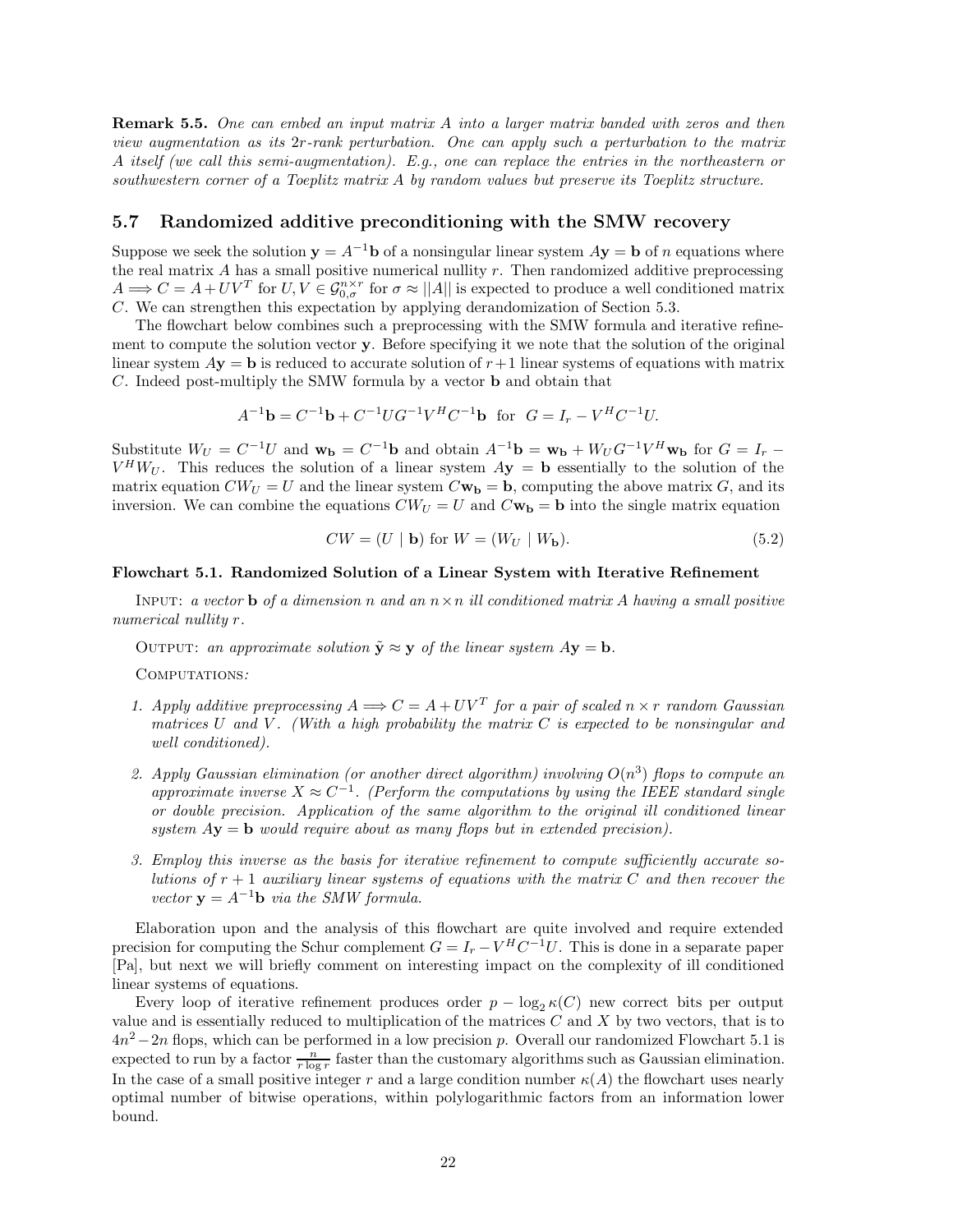**Remark 5.5.** *One can embed an input matrix A into a larger matrix banded with zeros and then view augmentation as its* 2*r-rank perturbation. One can apply such a perturbation to the matrix A itself (we call this semi-augmentation). E.g., one can replace the entries in the northeastern or southwestern corner of a Toeplitz matrix A by random values but preserve its Toeplitz structure.*

## **5.7 Randomized additive preconditioning with the SMW recovery**

Suppose we seek the solution  $\mathbf{y} = A^{-1}\mathbf{b}$  of a nonsingular linear system  $A\mathbf{y} = \mathbf{b}$  of *n* equations where the real matrix *A* has a small positive numerical nullity *r*. Then randomized additive preprocessing  $A \Longrightarrow C = A + UV^T$  for  $U, V \in \mathcal{G}_{0,\sigma}^{n \times r}$  for  $\sigma \approx ||A||$  is expected to produce a well conditioned matrix *C*. We can strengthen this expectation by applying derandomization of Section 5.3.

The flowchart below combines such a preprocessing with the SMW formula and iterative refinement to compute the solution vector **y**. Before specifying it we note that the solution of the original linear system  $A$ **y** = **b** is reduced to accurate solution of  $r + 1$  linear systems of equations with matrix *C*. Indeed post-multiply the SMW formula by a vector **b** and obtain that

$$
A^{-1} \mathbf{b} = C^{-1} \mathbf{b} + C^{-1} U G^{-1} V^H C^{-1} \mathbf{b} \text{ for } G = I_r - V^H C^{-1} U.
$$

Substitute  $W_U = C^{-1}U$  and  $\mathbf{w_b} = C^{-1}\mathbf{b}$  and obtain  $A^{-1}\mathbf{b} = \mathbf{w_b} + W_U G^{-1}V^H \mathbf{w_b}$  for  $G = I_r$  $V^H W_U$ . This reduces the solution of a linear system  $A y = b$  essentially to the solution of the matrix equation  $CW_U = U$  and the linear system  $C\mathbf{w_b} = \mathbf{b}$ , computing the above matrix *G*, and its inversion. We can combine the equations  $CW_U = U$  and  $C\mathbf{w}_b = \mathbf{b}$  into the single matrix equation

$$
CW = (U \mid \mathbf{b}) \text{ for } W = (W_U \mid W_{\mathbf{b}}). \tag{5.2}
$$

#### **Flowchart 5.1. Randomized Solution of a Linear System with Iterative Refinement**

INPUT: *a vector* **b** *of a dimension n and an*  $n \times n$  *ill conditioned matrix A having a small positive numerical nullity r.*

OUTPUT: an approximate solution  $\tilde{\mathbf{y}} \approx \mathbf{y}$  of the linear system  $A\mathbf{y} = \mathbf{b}$ .

Computations*:*

- *1. Apply additive preprocessing*  $A \Longrightarrow C = A + UV^T$  *for a pair of scaled*  $n \times r$  *random Gaussian matrices U and V . (With a high probability the matrix C is expected to be nonsingular and well conditioned).*
- 2. Apply Gaussian elimination (or another direct algorithm) involving  $O(n^3)$  flops to compute an *approximate inverse*  $X \approx C^{-1}$ *. (Perform the computations by using the IEEE standard single or double precision. Application of the same algorithm to the original ill conditioned linear system A***y** = **b** *would require about as many flops but in extended precision).*
- *3. Employ this inverse as the basis for iterative refinement to compute sufficiently accurate solutions of r* + 1 *auxiliary linear systems of equations with the matrix C and then recover the vector*  $y = A^{-1}b$  *via the SMW formula.*

Elaboration upon and the analysis of this flowchart are quite involved and require extended precision for computing the Schur complement  $G = I_r - V^H C^{-1} U$ . This is done in a separate paper [Pa], but next we will briefly comment on interesting impact on the complexity of ill conditioned linear systems of equations.

Every loop of iterative refinement produces order  $p - \log_2 \kappa(C)$  new correct bits per output value and is essentially reduced to multiplication of the matrices *C* and *X* by two vectors, that is to 4*n*<sup>2</sup> −2*n* flops, which can be performed in a low precision *p*. Overall our randomized Flowchart 5.1 is expected to run by a factor  $\frac{n}{r \log r}$  faster than the customary algorithms such as Gaussian elimination. In the case of a small positive integer r and a large condition number  $\kappa(A)$  the flowchart uses nearly optimal number of bitwise operations, within polylogarithmic factors from an information lower bound.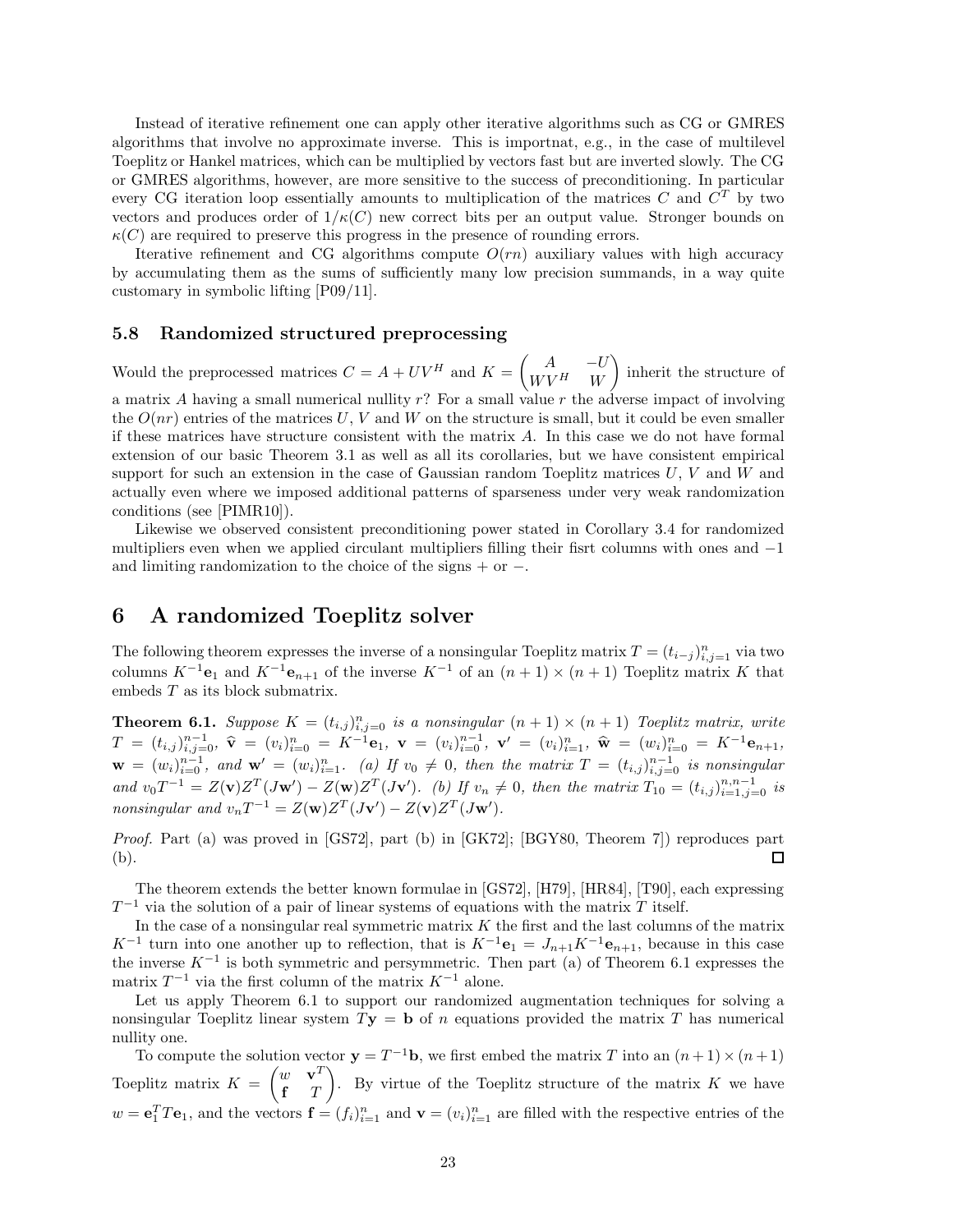Instead of iterative refinement one can apply other iterative algorithms such as CG or GMRES algorithms that involve no approximate inverse. This is importnat, e.g., in the case of multilevel Toeplitz or Hankel matrices, which can be multiplied by vectors fast but are inverted slowly. The CG or GMRES algorithms, however, are more sensitive to the success of preconditioning. In particular every CG iteration loop essentially amounts to multiplication of the matrices *C* and *C<sup>T</sup>* by two vectors and produces order of  $1/\kappa(C)$  new correct bits per an output value. Stronger bounds on  $\kappa(C)$  are required to preserve this progress in the presence of rounding errors.

Iterative refinement and CG algorithms compute  $O(rn)$  auxiliary values with high accuracy by accumulating them as the sums of sufficiently many low precision summands, in a way quite customary in symbolic lifting [P09/11].

## **5.8 Randomized structured preprocessing**

Would the preprocessed matrices  $C = A + UV^H$  and  $K = \begin{pmatrix} A & -U \\ W & W \end{pmatrix}$  $W V^H$  *W* - inherit the structure of a matrix *A* having a small numerical nullity *r*? For a small value *r* the adverse impact of involving the  $O(nr)$  entries of the matrices U, V and W on the structure is small, but it could be even smaller if these matrices have structure consistent with the matrix *A*. In this case we do not have formal extension of our basic Theorem 3.1 as well as all its corollaries, but we have consistent empirical support for such an extension in the case of Gaussian random Toeplitz matrices *U*, *V* and *W* and actually even where we imposed additional patterns of sparseness under very weak randomization

Likewise we observed consistent preconditioning power stated in Corollary 3.4 for randomized multipliers even when we applied circulant multipliers filling their fisrt columns with ones and −1 and limiting randomization to the choice of the signs + or −.

## **6 A randomized Toeplitz solver**

conditions (see [PIMR10]).

The following theorem expresses the inverse of a nonsingular Toeplitz matrix  $T = (t_{i-j})_{i,j=1}^n$  via two columns  $K^{-1}\mathbf{e}_1$  and  $K^{-1}\mathbf{e}_{n+1}$  of the inverse  $K^{-1}$  of an  $(n+1) \times (n+1)$  Toeplitz matrix *K* that embeds *T* as its block submatrix.

**Theorem 6.1.** *Suppose*  $K = (t_{i,j})_{i,j=0}^n$  *is a nonsingular*  $(n + 1) \times (n + 1)$  *Toeplitz matrix, write*  $T\,=\,(t_{i,j})_{i,j=0}^{n-1},\ \widehat{\bf v}\,=\,(v_{i})_{i=0}^{n}\,=\,K^{-1}{\bf e}_{1},\ \mathbf{v}\,=\,(v_{i})_{i=0}^{n-1},\ \mathbf{v}'\,=\,(v_{i})_{i=1}^{n},\ \widehat{\bf w}\,=\,(w_{i})_{i=0}^{n}\,=\,K^{-1}{\bf e}_{n+1},$  $\mathbf{w} = (w_i)_{i=0}^{n-1}$ , and  $\mathbf{w}' = (w_i)_{i=1}^n$ . (a) If  $v_0 \neq 0$ , then the matrix  $T = (t_{i,j})_{i,j=0}^{n-1}$  is nonsingular and  $v_0T^{-1} = Z(v)Z^{T}(Jw') - Z(w)Z^{T}(Jv')$ . (b) If  $v_n \neq 0$ , then the matrix  $T_{10} = (t_{i,j})_{i=1,j=0}^{n,n-1}$  is *nonsingular and*  $v_n T^{-1} = Z(\mathbf{w})Z^T(J\mathbf{v}') - Z(\mathbf{v})Z^T(J\mathbf{w}')$ .

*Proof.* Part (a) was proved in [GS72], part (b) in [GK72]; [BGY80, Theorem 7]) reproduces part 囗 (b).

The theorem extends the better known formulae in [GS72], [H79], [HR84], [T90], each expressing *T*<sup>−1</sup> via the solution of a pair of linear systems of equations with the matrix *T* itself.

In the case of a nonsingular real symmetric matrix *K* the first and the last columns of the matrix *K*<sup>−1</sup> turn into one another up to reflection, that is  $K^{-1}\mathbf{e}_1 = J_{n+1}K^{-1}\mathbf{e}_{n+1}$ , because in this case the inverse *K*−<sup>1</sup> is both symmetric and persymmetric. Then part (a) of Theorem 6.1 expresses the matrix  $T^{-1}$  via the first column of the matrix  $K^{-1}$  alone.

Let us apply Theorem 6.1 to support our randomized augmentation techniques for solving a nonsingular Toeplitz linear system *T***y** = **b** of *n* equations provided the matrix *T* has numerical nullity one.

To compute the solution vector  $\mathbf{y} = T^{-1}\mathbf{b}$ , we first embed the matrix *T* into an  $(n+1) \times (n+1)$ Toeplitz matrix *K* =  $\int w \cdot \mathbf{v}^T$ **f** *T*  $\sum_{k=1}^{\infty}$  By virtue of the Toeplitz structure of the matrix *K* we have  $w = e_1^T T e_1$ , and the vectors  $f = (f_i)_{i=1}^n$  and  $v = (v_i)_{i=1}^n$  are filled with the respective entries of the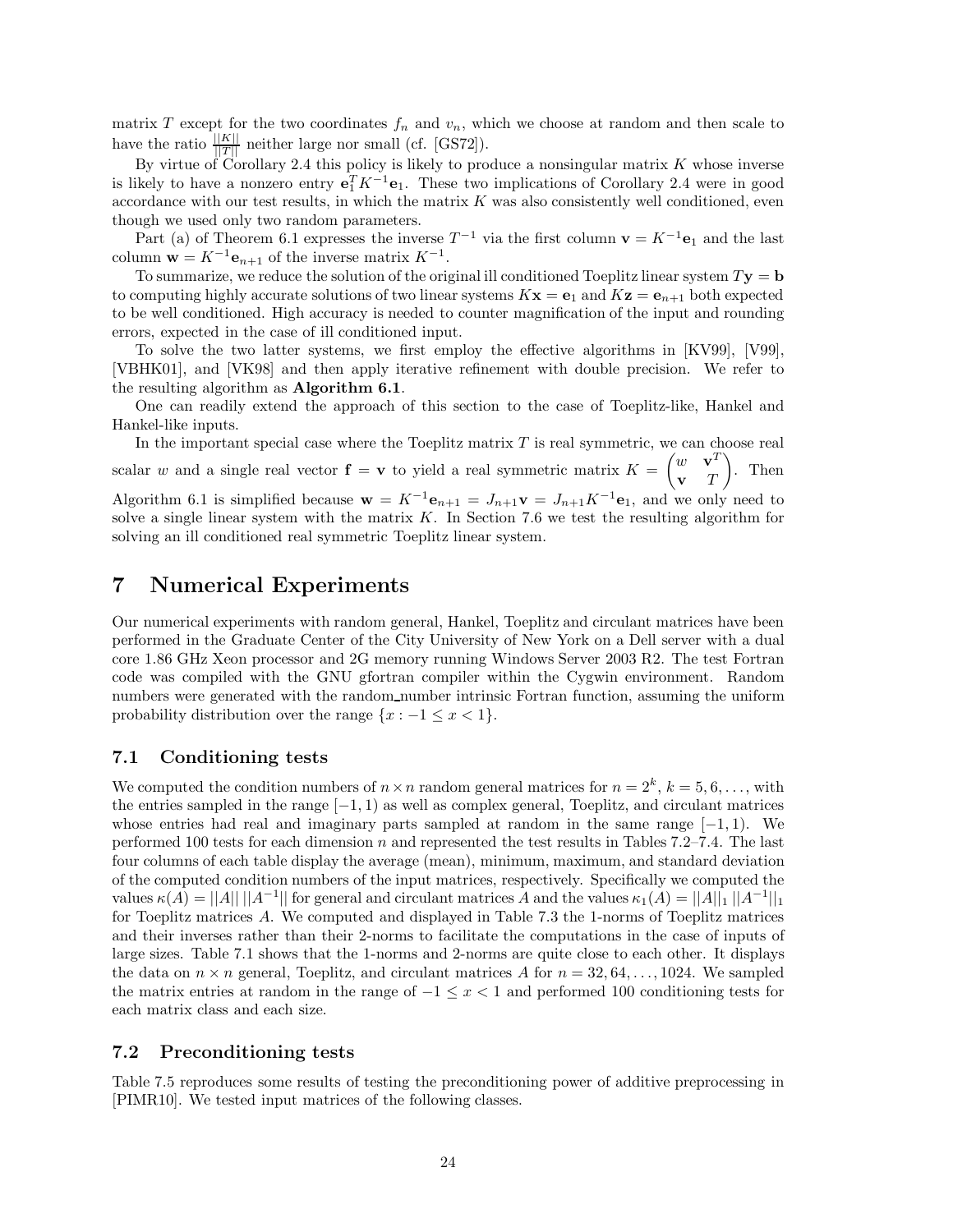matrix *T* except for the two coordinates  $f_n$  and  $v_n$ , which we choose at random and then scale to have the ratio  $\frac{||K||}{||T||}$  neither large nor small (cf. [GS72]).

By virtue of Corollary 2.4 this policy is likely to produce a nonsingular matrix  $K$  whose inverse is likely to have a nonzero entry  $\mathbf{e}_1^T K^{-1} \mathbf{e}_1$ . These two implications of Corollary 2.4 were in good accordance with our test results, in which the matrix *K* was also consistently well conditioned, even though we used only two random parameters.

Part (a) of Theorem 6.1 expresses the inverse  $T^{-1}$  via the first column  $\mathbf{v} = K^{-1} \mathbf{e}_1$  and the last column  $\mathbf{w} = K^{-1} \mathbf{e}_{n+1}$  of the inverse matrix  $K^{-1}$ .

To summarize, we reduce the solution of the original ill conditioned Toeplitz linear system  $Ty = b$ to computing highly accurate solutions of two linear systems  $K\mathbf{x} = \mathbf{e}_1$  and  $K\mathbf{z} = \mathbf{e}_{n+1}$  both expected to be well conditioned. High accuracy is needed to counter magnification of the input and rounding errors, expected in the case of ill conditioned input.

To solve the two latter systems, we first employ the effective algorithms in [KV99], [V99], [VBHK01], and [VK98] and then apply iterative refinement with double precision. We refer to the resulting algorithm as **Algorithm 6.1**.

One can readily extend the approach of this section to the case of Toeplitz-like, Hankel and Hankel-like inputs.

In the important special case where the Toeplitz matrix *T* is real symmetric, we can choose real scalar *w* and a single real vector  $f = v$  to yield a real symmetric matrix  $K =$  $\int w \cdot \mathbf{v}^T$ **v** *T*  $\Big)$ . Then Algorithm 6.1 is simplified because  $\mathbf{w} = K^{-1}\mathbf{e}_{n+1} = J_{n+1}\mathbf{v} = J_{n+1}K^{-1}\mathbf{e}_1$ , and we only need to solve a single linear system with the matrix *K*. In Section 7.6 we test the resulting algorithm for solving an ill conditioned real symmetric Toeplitz linear system.

## **7 Numerical Experiments**

Our numerical experiments with random general, Hankel, Toeplitz and circulant matrices have been performed in the Graduate Center of the City University of New York on a Dell server with a dual core 1.86 GHz Xeon processor and 2G memory running Windows Server 2003 R2. The test Fortran code was compiled with the GNU gfortran compiler within the Cygwin environment. Random numbers were generated with the random number intrinsic Fortran function, assuming the uniform probability distribution over the range  $\{x : -1 \le x < 1\}.$ 

## **7.1 Conditioning tests**

We computed the condition numbers of  $n \times n$  random general matrices for  $n = 2^k$ ,  $k = 5, 6, \ldots$ , with the entries sampled in the range [−1*,* 1) as well as complex general, Toeplitz, and circulant matrices whose entries had real and imaginary parts sampled at random in the same range [−1*,* 1). We performed 100 tests for each dimension *n* and represented the test results in Tables 7.2–7.4. The last four columns of each table display the average (mean), minimum, maximum, and standard deviation of the computed condition numbers of the input matrices, respectively. Specifically we computed the values  $\kappa(A) = ||A|| ||A^{-1}||$  for general and circulant matrices *A* and the values  $\kappa_1(A) = ||A||_1 ||A^{-1}||_1$ for Toeplitz matrices *A*. We computed and displayed in Table 7.3 the 1-norms of Toeplitz matrices and their inverses rather than their 2-norms to facilitate the computations in the case of inputs of large sizes. Table 7.1 shows that the 1-norms and 2-norms are quite close to each other. It displays the data on  $n \times n$  general, Toeplitz, and circulant matrices *A* for  $n = 32, 64, \ldots, 1024$ . We sampled the matrix entries at random in the range of −1 ≤ *x <* 1 and performed 100 conditioning tests for each matrix class and each size.

## **7.2 Preconditioning tests**

Table 7.5 reproduces some results of testing the preconditioning power of additive preprocessing in [PIMR10]. We tested input matrices of the following classes.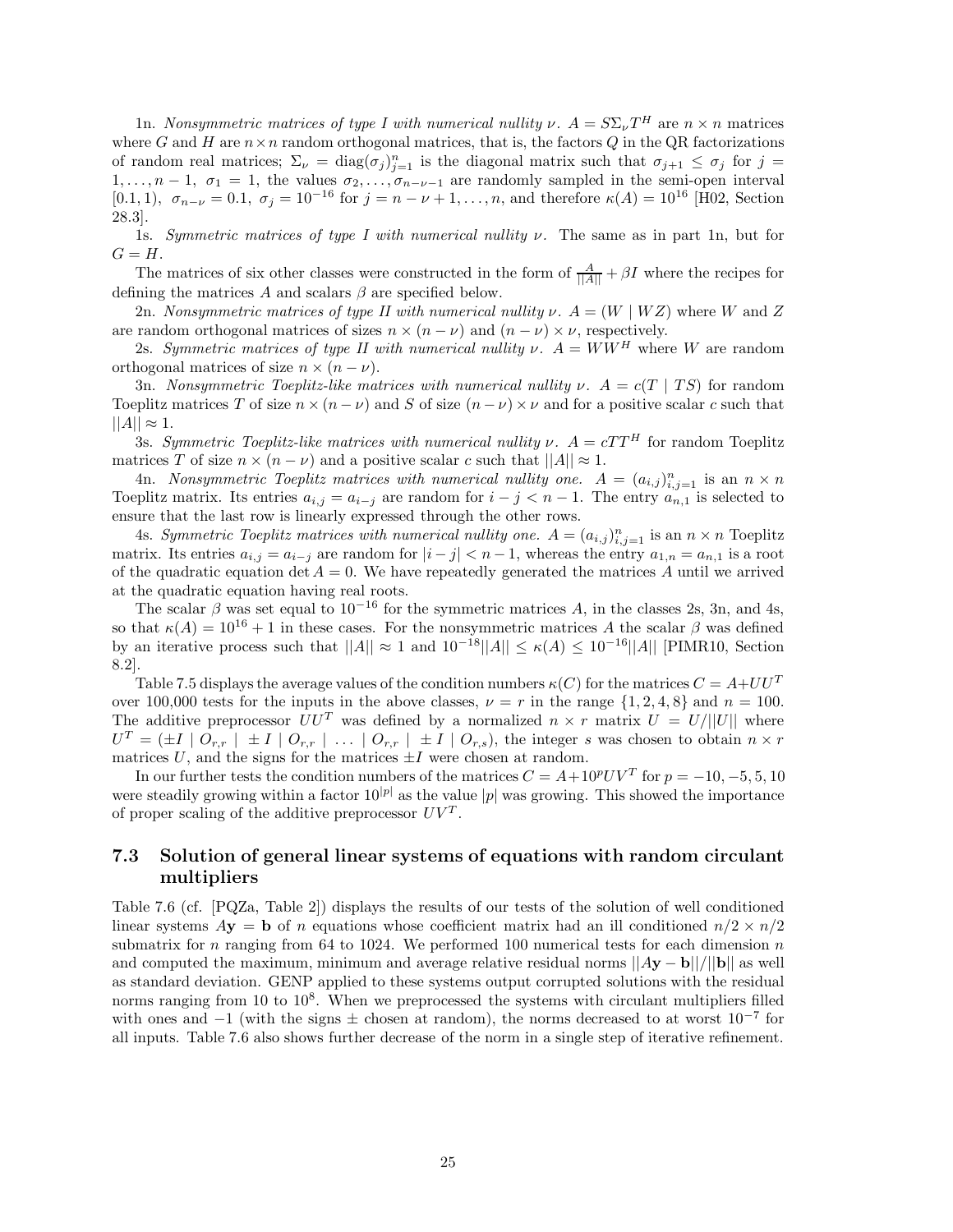1n. *Nonsymmetric matrices of type I with numerical nullity*  $\nu$ *.*  $A = S \Sigma_{\nu} T^H$  are  $n \times n$  matrices where *G* and *H* are  $n \times n$  random orthogonal matrices, that is, the factors *Q* in the QR factorizations of random real matrices;  $\Sigma_{\nu} = \text{diag}(\sigma_j)_{j=1}^n$  is the diagonal matrix such that  $\sigma_{j+1} \leq \sigma_j$  for  $j =$ 1,..., $n-1$ ,  $\sigma_1 = 1$ , the values  $\sigma_2, \ldots, \sigma_{n-\nu-1}$  are randomly sampled in the semi-open interval [0*.*1*,* 1*)*,  $σ_{n-\nu} = 0.1$ ,  $σ_j = 10^{-16}$  for  $j = n - \nu + 1, ..., n$ , and therefore  $κ(A) = 10^{16}$  [H02, Section 28.3].

1s. *Symmetric matrices of type I with numerical nullity ν.* The same as in part 1n, but for  $G = H$ .

The matrices of six other classes were constructed in the form of  $\frac{A}{\|A\|} + \beta I$  where the recipes for defining the matrices *A* and scalars *β* are specified below.

2n. *Nonsymmetric matrices of type II with numerical nullity*  $\nu$ .  $A = (W | WZ)$  where *W* and *Z* are random orthogonal matrices of sizes  $n \times (n - \nu)$  and  $(n - \nu) \times \nu$ , respectively.

2s. *Symmetric matrices of type II with numerical nullity*  $\nu$ *.*  $A = WW^H$  where W are random orthogonal matrices of size  $n \times (n - \nu)$ .

3n. *Nonsymmetric Toeplitz-like matrices with numerical nullity*  $\nu$ *.*  $A = c(T | TS)$  for random Toeplitz matrices *T* of size  $n \times (n - \nu)$  and *S* of size  $(n - \nu) \times \nu$  and for a positive scalar *c* such that  $||A|| \approx 1.$ 

3s. *Symmetric Toeplitz-like matrices with numerical nullity*  $\nu$ *.*  $A = cTT^H$  for random Toeplitz matrices *T* of size  $n \times (n - \nu)$  and a positive scalar *c* such that  $||A|| \approx 1$ .

4n. *Nonsymmetric Toeplitz matrices with numerical nullity one.*  $A = (a_{i,j})_{i,j=1}^n$  is an  $n \times n$ Toeplitz matrix. Its entries  $a_{i,j} = a_{i-j}$  are random for  $i - j < n - 1$ . The entry  $a_{n,1}$  is selected to ensure that the last row is linearly expressed through the other rows.

4s. *Symmetric Toeplitz matrices with numerical nullity one.*  $A = (a_{i,j})_{i,j=1}^n$  is an  $n \times n$  Toeplitz matrix. Its entries  $a_{i,j} = a_{i-j}$  are random for  $|i-j| < n-1$ , whereas the entry  $a_{1,n} = a_{n,1}$  is a root of the quadratic equation det  $A = 0$ . We have repeatedly generated the matrices A until we arrived at the quadratic equation having real roots.

The scalar  $\beta$  was set equal to  $10^{-16}$  for the symmetric matrices A, in the classes 2s, 3n, and 4s, so that  $\kappa(A) = 10^{16} + 1$  in these cases. For the nonsymmetric matrices A the scalar  $\beta$  was defined by an iterative process such that  $||A|| \approx 1$  and  $10^{-18}||A|| \leq \kappa(A) \leq 10^{-16}||A||$  [PIMR10, Section 8.2].

Table 7.5 displays the average values of the condition numbers  $\kappa(C)$  for the matrices  $C = A + U U^T$ over 100,000 tests for the inputs in the above classes,  $\nu = r$  in the range  $\{1, 2, 4, 8\}$  and  $n = 100$ . The additive preprocessor  $UU^T$  was defined by a normalized  $n \times r$  matrix  $U = U/||U||$  where  $U^T = (\pm I \mid O_{r,r} \mid \pm I \mid O_{r,r} \mid \ldots \mid O_{r,r} \mid \pm I \mid O_{r,s})$ , the integer *s* was chosen to obtain  $n \times r$ matrices  $U$ , and the signs for the matrices  $\pm I$  were chosen at random.

In our further tests the condition numbers of the matrices  $C = A + 10^p UV^T$  for  $p = -10, -5, 5, 10$ were steadily growing within a factor  $10^{|p|}$  as the value  $|p|$  was growing. This showed the importance of proper scaling of the additive preprocessor  $UV^T$ .

## **7.3 Solution of general linear systems of equations with random circulant multipliers**

Table 7.6 (cf. [PQZa, Table 2]) displays the results of our tests of the solution of well conditioned linear systems  $A$ **y** = **b** of *n* equations whose coefficient matrix had an ill conditioned  $n/2 \times n/2$ submatrix for *n* ranging from 64 to 1024. We performed 100 numerical tests for each dimension *n* and computed the maximum, minimum and average relative residual norms  $||Ay - b||/||b||$  as well as standard deviation. GENP applied to these systems output corrupted solutions with the residual norms ranging from 10 to  $10^8$ . When we preprocessed the systems with circulant multipliers filled with ones and  $-1$  (with the signs  $\pm$  chosen at random), the norms decreased to at worst  $10^{-7}$  for all inputs. Table 7.6 also shows further decrease of the norm in a single step of iterative refinement.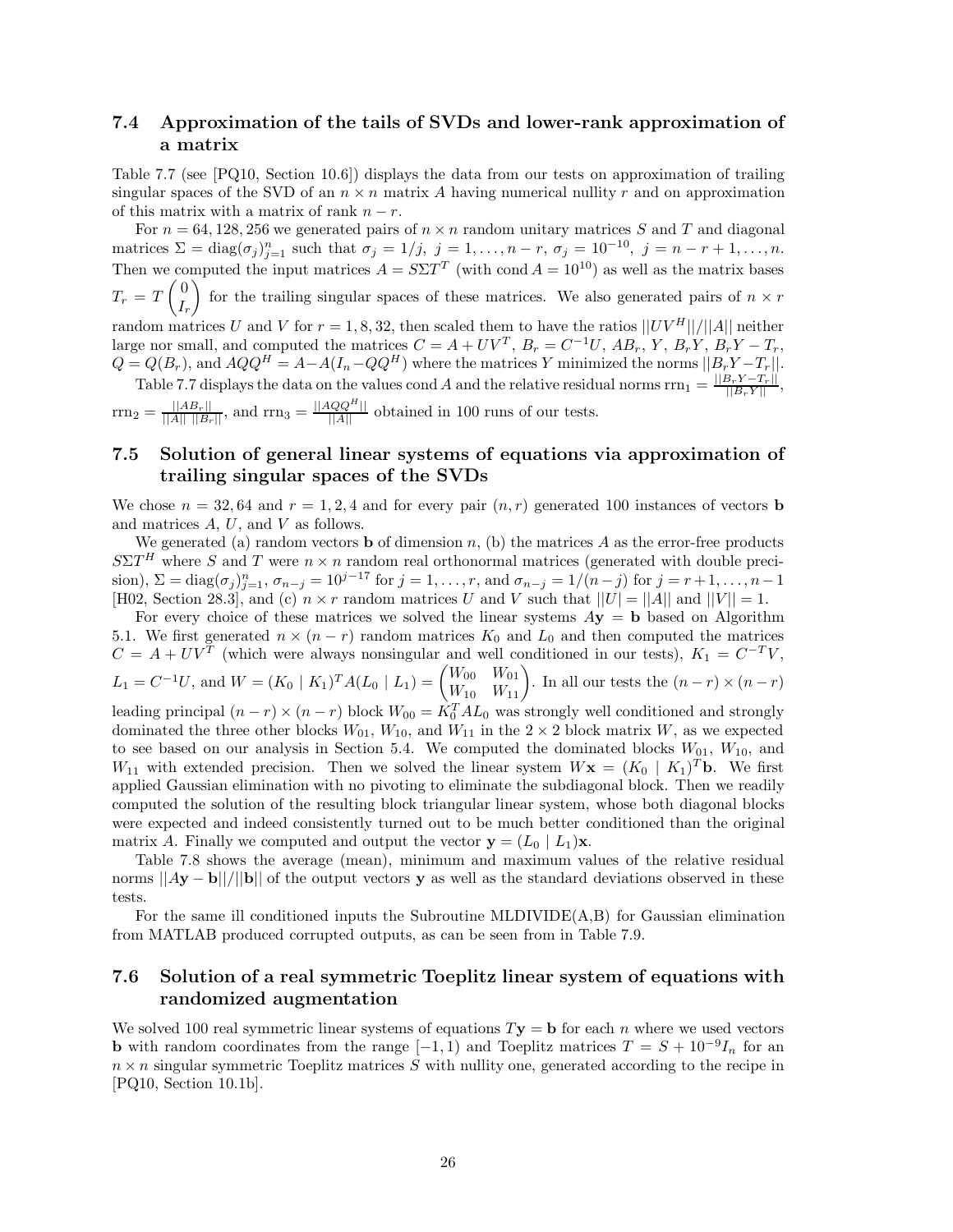## **7.4 Approximation of the tails of SVDs and lower-rank approximation of a matrix**

Table 7.7 (see [PQ10, Section 10.6]) displays the data from our tests on approximation of trailing singular spaces of the SVD of an  $n \times n$  matrix A having numerical nullity r and on approximation of this matrix with a matrix of rank  $n - r$ .

For  $n = 64, 128, 256$  we generated pairs of  $n \times n$  random unitary matrices *S* and *T* and diagonal matrices  $\Sigma = \text{diag}(\sigma_j)_{j=1}^n$  such that  $\sigma_j = 1/j$ ,  $j = 1, ..., n-r$ ,  $\sigma_j = 10^{-10}$ ,  $j = n-r+1, ..., n$ . Then we computed the input matrices  $A = S\Sigma T^T$  (with cond  $A = 10^{10}$ ) as well as the matrix bases  $T_r = T \left(\frac{0}{l}\right)$ *Ir* for the trailing singular spaces of these matrices. We also generated pairs of  $n \times r$ random matrices *U* and *V* for  $r = 1, 8, 32$ , then scaled them to have the ratios  $||UV^H||/||A||$  neither large nor small, and computed the matrices  $C = A + UV^T$ ,  $B_r = C^{-1}U$ ,  $AB_r$ ,  $Y$ ,  $B_rY$ ,  $B_rY - T_r$ ,  $Q = Q(B_r)$ , and  $AQQ^H = A - A(I_n - QQ^H)$  where the matrices *Y* minimized the norms  $||B_rY - T_r||$ . Table 7.7 displays the data on the values cond *A* and the relative residual norms  $\text{rrn}_1 = \frac{||B_r Y - T_r||}{||B_r Y||}$ ,

 $\text{rrn}_2 = \frac{||AB_r||}{||A|| ||B_r||}$ , and  $\text{rrn}_3 = \frac{||AQQ^H||}{||A||}$  obtained in 100 runs of our tests.

## **7.5 Solution of general linear systems of equations via approximation of trailing singular spaces of the SVDs**

We chose  $n = 32, 64$  and  $r = 1, 2, 4$  and for every pair  $(n, r)$  generated 100 instances of vectors **b** and matrices *A*, *U*, and *V* as follows.

We generated (a) random vectors **b** of dimension  $n$ , (b) the matrices  $A$  as the error-free products  $S\Sigma T$ <sup>*H*</sup> where *S* and *T* were  $n \times n$  random real orthonormal matrices (generated with double precision),  $\Sigma = \text{diag}(\sigma_j)_{j=1}^n$ ,  $\sigma_{n-j} = 10^{j-17}$  for  $j = 1, ..., r$ , and  $\sigma_{n-j} = 1/(n-j)$  for  $j = r+1, ..., n-1$ [H02, Section 28.3], and (c)  $n \times r$  random matrices *U* and *V* such that  $||U| = ||A||$  and  $||V|| = 1$ .

For every choice of these matrices we solved the linear systems  $Ay = b$  based on Algorithm 5.1. We first generated  $n \times (n - r)$  random matrices  $K_0$  and  $L_0$  and then computed the matrices  $C = A + UV^T$  (which were always nonsingular and well conditioned in our tests),  $K_1 = C^{-T}V$ ,  $L_1 = C^{-1}U$ , and  $W = (K_0 | K_1)^T A (L_0 | L_1) = \begin{pmatrix} W_{00} & W_{01} \\ W_{10} & W_{11} \end{pmatrix}$ . In all our tests the  $(n-r) \times (n-r)$ leading principal  $(n - r) \times (n - r)$  block  $W_{00} = \hat{K}_0^T A L_0$  was strongly well conditioned and strongly dominated the three other blocks  $W_{01}$ ,  $W_{10}$ , and  $W_{11}$  in the 2 × 2 block matrix *W*, as we expected to see based on our analysis in Section 5.4. We computed the dominated blocks  $W_{01}$ ,  $W_{10}$ , and *W*<sub>11</sub> with extended precision. Then we solved the linear system  $W$ **x** =  $(K_0 | K_1)^T$ **b**. We first applied Gaussian elimination with no pivoting to eliminate the subdiagonal block. Then we readily computed the solution of the resulting block triangular linear system, whose both diagonal blocks were expected and indeed consistently turned out to be much better conditioned than the original matrix *A*. Finally we computed and output the vector  $\mathbf{y} = (L_0 \mid L_1)\mathbf{x}$ .

Table 7.8 shows the average (mean), minimum and maximum values of the relative residual norms  $||Ay - b||/||b||$  of the output vectors **y** as well as the standard deviations observed in these tests.

For the same ill conditioned inputs the Subroutine MLDIVIDE(A,B) for Gaussian elimination from MATLAB produced corrupted outputs, as can be seen from in Table 7.9.

## **7.6 Solution of a real symmetric Toeplitz linear system of equations with randomized augmentation**

We solved 100 real symmetric linear systems of equations  $T$ **y** = **b** for each *n* where we used vectors **b** with random coordinates from the range  $[-1, 1)$  and Toeplitz matrices  $T = S + 10^{-9}I_n$  for an  $n \times n$  singular symmetric Toeplitz matrices  $\hat{S}$  with nullity one, generated according to the recipe in [PQ10, Section 10.1b].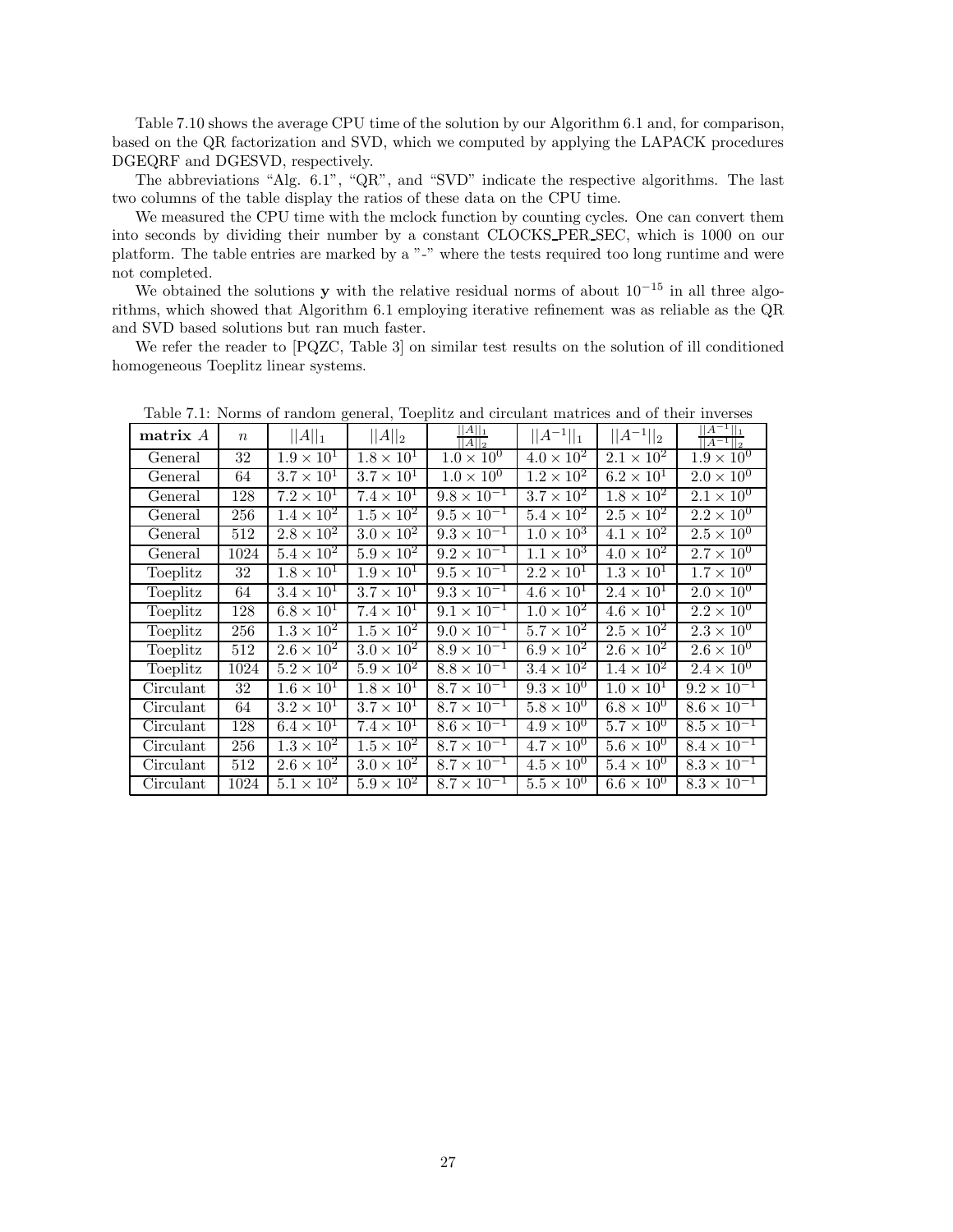Table 7.10 shows the average CPU time of the solution by our Algorithm 6.1 and, for comparison, based on the QR factorization and SVD, which we computed by applying the LAPACK procedures DGEQRF and DGESVD, respectively.

The abbreviations "Alg. 6.1", "QR", and "SVD" indicate the respective algorithms. The last two columns of the table display the ratios of these data on the CPU time.

We measured the CPU time with the mclock function by counting cycles. One can convert them into seconds by dividing their number by a constant CLOCKS PER SEC, which is 1000 on our platform. The table entries are marked by a "-" where the tests required too long runtime and were not completed.

We obtained the solutions **y** with the relative residual norms of about  $10^{-15}$  in all three algorithms, which showed that Algorithm 6.1 employing iterative refinement was as reliable as the QR and SVD based solutions but ran much faster.

We refer the reader to [PQZC, Table 3] on similar test results on the solution of ill conditioned homogeneous Toeplitz linear systems.

| matrix $A$ | $\boldsymbol{n}$ | $  A  _1$                    | $  A  _2$                    | $  A  _1$<br>$  A  _2$         | $  A^{-1}  _1$             | $  A^{-1}  _2$      | A <br>$  A^{-1}  _2$ |
|------------|------------------|------------------------------|------------------------------|--------------------------------|----------------------------|---------------------|----------------------|
| General    | 32               | $1.9 \times 10^{1}$          | $1.8 \times 10^{1}$          | $1.0 \times 10^{0}$            | $4.0 \times 10^{2}$        | $2.1 \times 10^{2}$ | $1.9 \times 10^{0}$  |
| General    | 64               | $3.7 \times 10^{1}$          | $3.7 \times 10^{1}$          | $1.0 \times 10^{0}$            | $1.2 \times 10^{2}$        | $6.2 \times 10^{1}$ | $2.0 \times 10^{0}$  |
| General    | 128              | $7.2 \times 10^{1}$          | $7.4 \times 10^{1}$          | $9.8 \times 10^{-1}$           | $3.7 \times 10^2$          | $1.8 \times 10^{2}$ | $2.1 \times 10^{0}$  |
| General    | 256              | $1.4 \times 10^2$            | $1.5 \times 10^2$            | $9.5 \times 10^{-1}$           | $5.4 \times 10^2$          | $2.5 \times 10^{2}$ | $2.2 \times 10^{0}$  |
| General    | 512              | $2.8 \times 10^{2}$          | $3.0 \times 10^2$            | $9.3 \times 10^{-1}$           | $1.0 \times 10^{3}$        | $4.1 \times 10^{2}$ | $2.5 \times 10^{0}$  |
| General    | 1024             | $5.4 \times 10^2$            | $5.9 \times 10^2$            | $9.2 \times 10^{-1}$           | $1.1 \times 10^{3}$        | $4.0 \times 10^{2}$ | $2.7 \times 10^{0}$  |
| Toeplitz   | 32               | $1.8 \times 10^{1}$          | $1.9 \times 10^{1}$          | $\frac{1}{9.5 \times 10^{-1}}$ | $\overline{2.2\times10^1}$ | $1.3 \times 10^{1}$ | $1.7 \times 10^{0}$  |
| Toeplitz   | 64               | $3.4 \times 10^1$            | $3.7 \times 10^{1}$          | $\frac{1}{9.3 \times 10^{-1}}$ | $4.6 \times 10^{1}$        | $2.4 \times 10^{1}$ | $2.0 \times 10^{0}$  |
| Toeplitz   | 128              | $6.8 \times 10^{1}$          | $\overline{7.4 \times 10^1}$ | $\frac{1}{9.1 \times 10^{-1}}$ | $1.0 \times 10^{2}$        | $4.6 \times 10^{1}$ | $2.2 \times 10^{0}$  |
| Toeplitz   | 256              | $1.3 \times 10^2$            | $1.5 \times 10^{2}$          | $9.0 \times 10^{-1}$           | $\overline{5.7\times10^2}$ | $2.5 \times 10^{2}$ | $2.3 \times 10^{0}$  |
| Toeplitz   | 512              | $2.\overline{6} \times 10^2$ | $3.0 \times 10^2$            | $8.9 \times 10^{-1}$           | $6.9 \times 10^2$          | $2.6 \times 10^2$   | $2.6 \times 10^{0}$  |
| Toeplitz   | 1024             | $5.2 \times 10^2$            | $5.9 \times 10^{2}$          | $8.8 \times 10^{-1}$           | $3.4 \times 10^2$          | $1.4 \times 10^{2}$ | $2.4 \times 10^{0}$  |
| Circulant  | 32               | $1.6 \times 10^{1}$          | $\overline{1.8 \times 10^1}$ | $8.7 \times 10^{-1}$           | $9.3 \times 10^{0}$        | $1.0 \times 10^{1}$ | $9.2 \times 10^{-1}$ |
| Circulant  | 64               | $3.2 \times 10^{1}$          | $3.7 \times 10^{1}$          | $8.7 \times 10^{-1}$           | $\overline{5.8\times10^0}$ | $6.8 \times 10^{0}$ | $8.6 \times 10^{-1}$ |
| Circulant  | 128              | $6.4 \times 10^1$            | $7.4 \times 10^{1}$          | $8.6 \times 10^{-1}$           | $4.9 \times 10^{0}$        | $5.7 \times 10^{0}$ | $8.5 \times 10^{-1}$ |
| Circulant  | 256              | $1.3 \times 10^{2}$          | $1.5 \times 10^{2}$          | $8.7 \times 10^{-1}$           | $4.7 \times 10^{0}$        | $5.6 \times 10^{0}$ | $8.4 \times 10^{-1}$ |
| Circulant  | 512              | $2.6 \times 10^2$            | $3.0 \times 10^{2}$          | $8.7 \times 10^{-1}$           | $4.5 \times 10^{0}$        | $5.4 \times 10^{0}$ | $8.3 \times 10^{-1}$ |
| Circulant  | 1024             | $5.1 \times 10^{2}$          | $5.9 \times 10^2$            | $8.7 \times 10^{-1}$           | $5.5 \times 10^{0}$        | $6.6 \times 10^{0}$ | $8.3 \times 10^{-1}$ |

Table 7.1: Norms of random general, Toeplitz and circulant matrices and of their inverses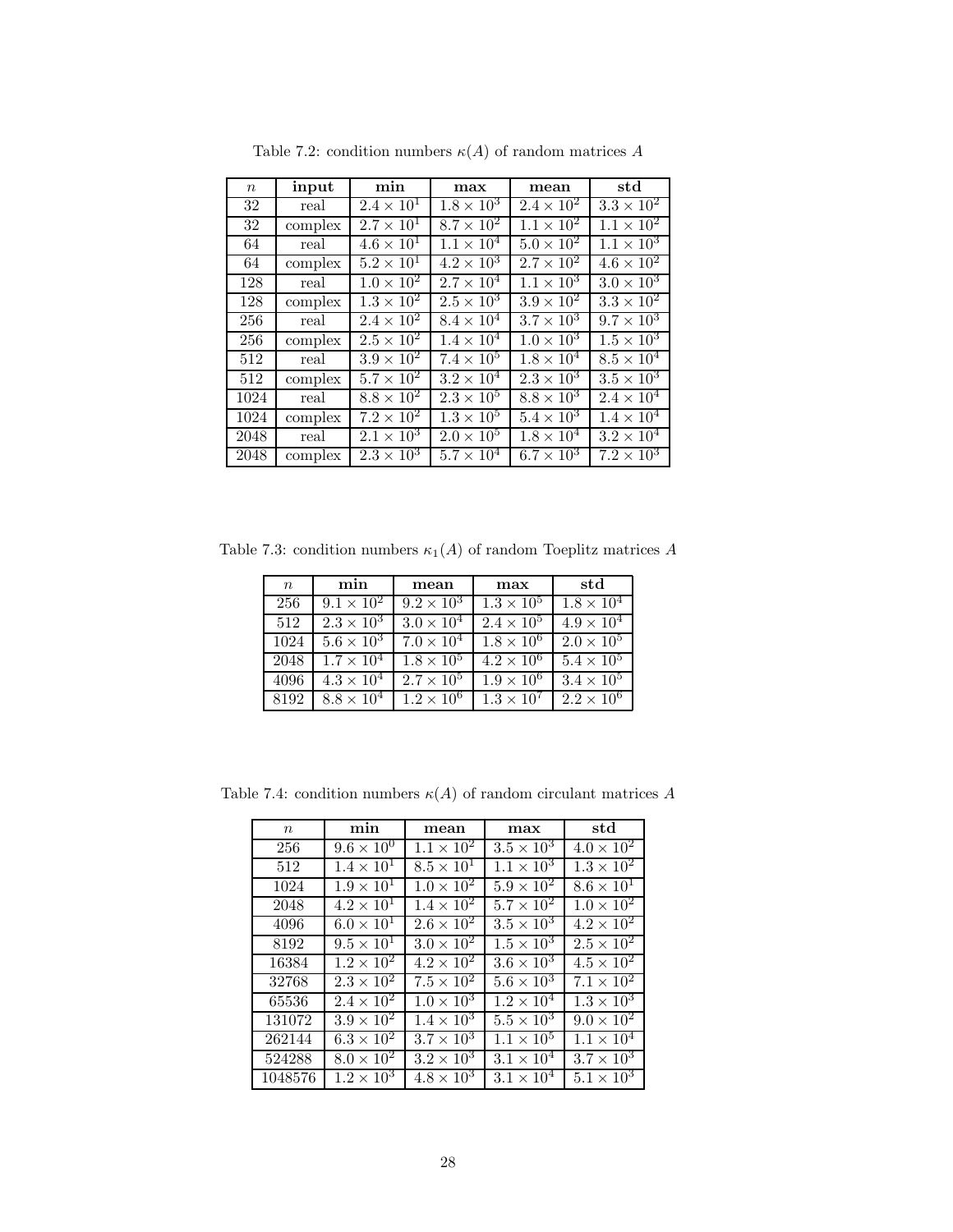| $\boldsymbol{n}$ | input   | min                 | max                 | mean                       | std                          |
|------------------|---------|---------------------|---------------------|----------------------------|------------------------------|
| 32               | real    | $2.4 \times 10^{1}$ | $1.8 \times 10^{3}$ | $2.4 \times 10^{2}$        | $3.3 \times 10^{2}$          |
| 32               | complex | $2.7 \times 10^{1}$ | $8.7 \times 10^2$   | $1.1 \times 10^{2}$        | $1.1 \times 10^{2}$          |
| 64               | real    | $4.6 \times 10^{1}$ | $1.1 \times 10^{4}$ | $5.0 \times 10^{2}$        | $1.1 \times 10^{3}$          |
| 64               | complex | $5.2 \times 10^{1}$ | $4.2 \times 10^{3}$ | $2.7 \times 10^{2}$        | $4.\overline{6 \times 10^2}$ |
| 128              | real    | $1.0 \times 10^{2}$ | $2.7 \times 10^{4}$ | $1.1 \times 10^{3}$        | $3.0 \times 10^{3}$          |
| 128              | complex | $1.3 \times 10^{2}$ | $2.5 \times 10^3$   | $3.9 \times 10^{2}$        | $3.3 \times 10^2$            |
| 256              | real    | $2.4 \times 10^{2}$ | $8.4 \times 10^{4}$ | $\overline{3.7\times10^3}$ | $9.7 \times 10^{3}$          |
| 256              | complex | $2.5 \times 10^2$   | $1.4 \times 10^{4}$ | $1.0 \times 10^{3}$        | $1.5 \times 10^3$            |
| 512              | real    | $3.9 \times 10^{2}$ | $7.4 \times 10^{5}$ | $1.8 \times 10^{4}$        | $8.5 \times 10^4$            |
| 512              | complex | $5.7 \times 10^{2}$ | $3.2 \times 10^{4}$ | $2.3 \times 10^3$          | $3.5 \times 10^3$            |
| 1024             | real    | $8.8 \times 10^2$   | $2.3 \times 10^5$   | $8.8 \times 10^3$          | $2.4 \times 10^{4}$          |
| 1024             | complex | $7.2 \times 10^2$   | $1.3 \times 10^5$   | $5.4 \times 10^3$          | $1.4 \times 10^{4}$          |
| 2048             | real    | $2.1 \times 10^3$   | $2.0 \times 10^{5}$ | $1.8 \times 10^{4}$        | $3.2 \times 10^{4}$          |
| 2048             | complex | $2.3 \times 10^{3}$ | $5.7 \times 10^{4}$ | $6.7 \times 10^{3}$        | $7.2 \times 10^{3}$          |

Table 7.2: condition numbers  $\kappa(A)$  of random matrices  $A$ 

Table 7.3: condition numbers  $\kappa_1(A)$  of random Toeplitz matrices  $A$ 

| $\boldsymbol{n}$ | min                        | mean                | max                          | std                 |
|------------------|----------------------------|---------------------|------------------------------|---------------------|
| 256              | $9.1 \times 10^{2}$        | $9.2 \times 10^{3}$ | $1.3 \times 10^{5}$          | $1.8 \times 10^4$   |
| 512              | $2.3 \times 10^{3}$        | $3.0 \times 10^{4}$ | $2.4 \times 10^{5}$          | $4.9 \times 10^{4}$ |
| 1024             | $5.6 \times 10^3$          | $7.0 \times 10^{4}$ | $1.8 \times 10^{6}$          | $2.0 \times 10^5$   |
| 2048             | $1.7 \times 10^{4}$        | $1.8 \times 10^5$   | $\overline{4.2 \times 10^6}$ | $5.4 \times 10^5$   |
| 4096             | $4.3 \times 10^{4}$        | $2.7 \times 10^5$   | $1.9 \times 10^{6}$          | $3.4 \times 10^{5}$ |
| 8192             | $\overline{8.8\times10^4}$ | $1.2 \times 10^{6}$ | $1.3 \times 10^{7}$          | $2.2 \times 10^{6}$ |

| $\,n$   | min                 | mean                         | max                 | std                 |
|---------|---------------------|------------------------------|---------------------|---------------------|
| 256     | $9.6 \times 10^{0}$ | $1.1 \times 10^{2}$          | $3.5 \times 10^3$   | $4.0 \times 10^{2}$ |
| 512     | $1.4 \times 10^{1}$ | $8.5 \times 10^{1}$          | $1.1 \times 10^{3}$ | $1.3 \times 10^{2}$ |
| 1024    | $1.9 \times 10^{1}$ | $1.0 \times 10^{2}$          | $5.9 \times 10^{2}$ | $8.6 \times 10^{1}$ |
| 2048    | $4.2 \times 10^{1}$ | $1.4 \times 10^{2}$          | $5.7 \times 10^2$   | $1.0 \times 10^{2}$ |
| 4096    | $6.0 \times 10^{1}$ | $2.6 \times 10^{2}$          | $3.5 \times 10^3$   | $4.2 \times 10^2$   |
| 8192    | $9.5 \times 10^{1}$ | $3.0 \times 10^2$            | $1.5 \times 10^3$   | $2.5 \times 10^{2}$ |
| 16384   | $1.2 \times 10^{2}$ | $4.2 \times 10^2$            | $3.6 \times 10^3$   | $4.5 \times 10^2$   |
| 32768   | $2.3 \times 10^{2}$ | $7.5 \times \overline{10^2}$ | $5.6 \times 10^3$   | $7.1 \times 10^{2}$ |
| 65536   | $2.4 \times 10^{2}$ | $1.0 \times 10^{3}$          | $1.2 \times 10^{4}$ | $1.3 \times 10^{3}$ |
| 131072  | $3.9 \times 10^2$   | $1.4 \times 10^{3}$          | $5.5 \times 10^3$   | $9.0 \times 10^{2}$ |
| 262144  | $6.3 \times 10^2$   | $3.7 \times 10^3$            | $1.1 \times 10^{5}$ | $1.1 \times 10^{4}$ |
| 524288  | $8.0 \times 10^{2}$ | $3.2 \times 10^{3}$          | $3.1 \times 10^{4}$ | $3.7 \times 10^3$   |
| 1048576 | $1.2 \times 10^3$   | $4.8 \times 10^3$            | $3.1 \times 10^{4}$ | $5.1 \times 10^3$   |

Table 7.4: condition numbers  $\kappa(A)$  of random circulant matrices  $A$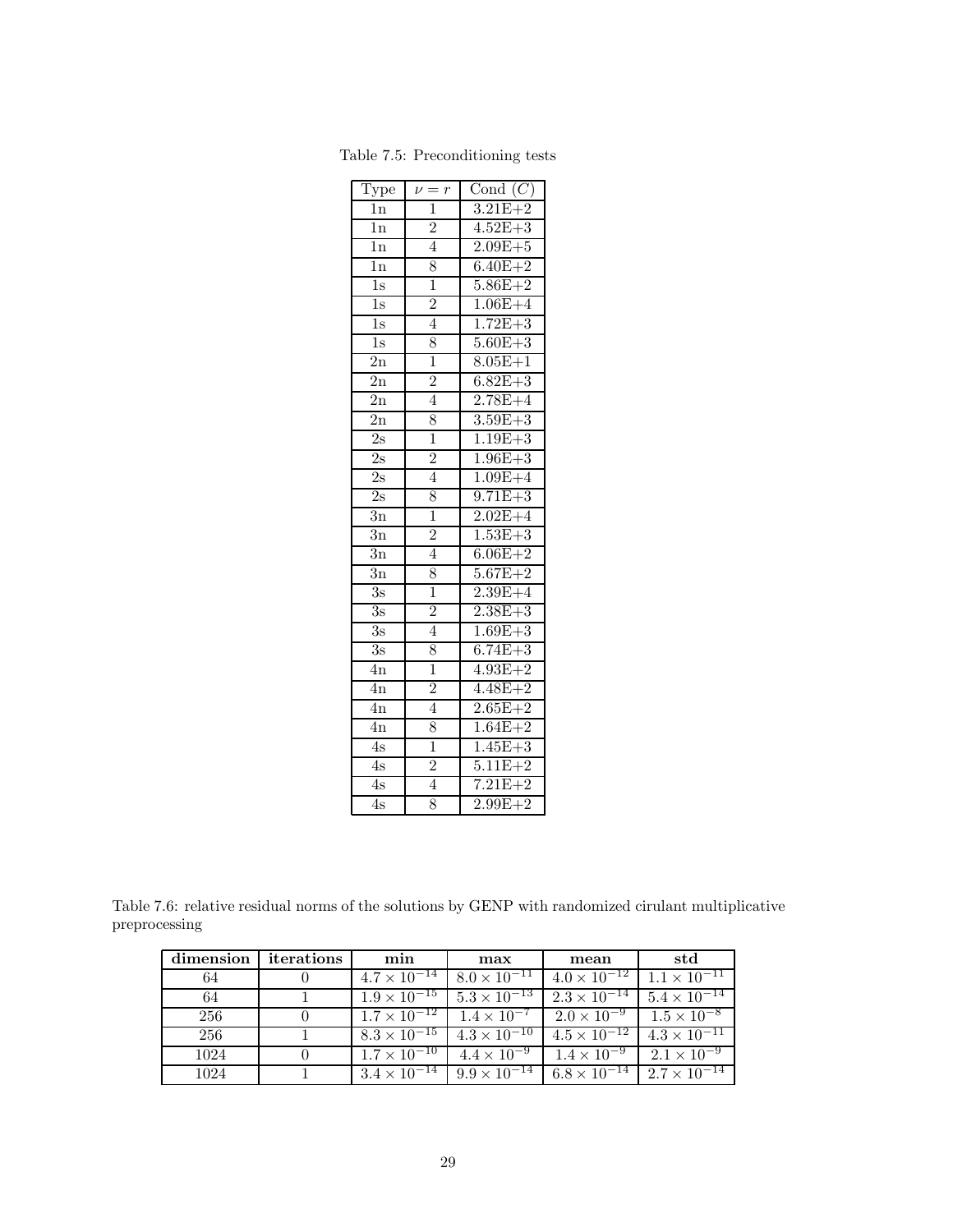| $\overline{\mathrm{Type}}$  | $=$<br>$\overline{r}$<br>$\overline{\nu}$ | Cond $(C)$                 |
|-----------------------------|-------------------------------------------|----------------------------|
| 1n                          | $\mathbf{1}$                              | $3.21E + 2$                |
| 1n                          | $\overline{2}$                            | $4.52E + 3$                |
| $\overline{1n}$             | $\overline{4}$                            | $2.09E + 5$                |
| $\overline{1n}$             | 8                                         | $6.40E + 2$                |
| $\overline{1\mathrm{s}}$    | 1                                         | $5.86E + 2$                |
| $\overline{1s}$             | $\overline{2}$                            | $1.06E + 4$                |
| $\overline{1s}$             | $\overline{4}$                            | $1.72E + 3$                |
| $\overline{1\mathrm{s}}$    | 8                                         | $5.60E + 3$                |
| $\overline{2n}$             | $\overline{1}$                            | $8.05E + 1$                |
| $\overline{2n}$             | $\overline{2}$                            | $6.82E + 3$                |
| $\overline{2}n$             | $\overline{4}$                            | $2.78E + 4$                |
| $\overline{2n}$             | 8                                         | $3.59E + 3$                |
| $\overline{2s}$             | $\overline{1}$                            | $1.19E + 3$                |
| $\overline{2s}$             | $\overline{2}$                            | $1.96E + 3$                |
| $\overline{2} \overline{s}$ | $\overline{4}$                            | $1.09E + 4$                |
| $\overline{2}$ s            | 8                                         | $9.71E + 3$                |
| $\overline{3}n$             | $\overline{1}$                            | $2.02E + 4$                |
| $\overline{3n}$             | $\overline{2}$                            | $1.53E + 3$                |
| $\bar{3}n$                  | $\overline{4}$                            | $6.06E + 2$                |
| 3n                          | 8                                         | $5.67E + 2$                |
| $\overline{3s}$             | $\overline{1}$                            | $2.39E + 4$                |
| $\overline{3s}$             | $\overline{2}$                            | $2.38E + 3$                |
| $\overline{3s}$             | $\overline{4}$                            | $1.69E + 3$                |
| $\overline{3s}$             | 8                                         | $6.74E + 3$                |
| $\overline{4}n$             | $\overline{1}$                            | $4.93E + 2$                |
| $\overline{4n}$             | $\overline{2}$                            | $4.48E + 2$                |
| $\overline{4n}$             | $\overline{4}$                            | $2.65E +$<br>$-2$          |
| $\overline{4n}$             | 8                                         | $1.64E+$<br>$-2$           |
| $\overline{4s}$             | ī                                         | $1.45E+$<br>$\overline{3}$ |
| $\overline{4s}$             | $\overline{2}$                            | $5.11E + 2$                |
| $\overline{4s}$             | $\overline{4}$                            | $7.21E + 2$                |
| $\overline{4s}$             | $\overline{8}$                            | $2.99E + 2$                |

Table 7.5: Preconditioning tests

Table 7.6: relative residual norms of the solutions by GENP with randomized cirulant multiplicative preprocessing

| dimension | iterations | min                   | max                                                                   | mean                                                            | std                   |
|-----------|------------|-----------------------|-----------------------------------------------------------------------|-----------------------------------------------------------------|-----------------------|
| 64        |            |                       | $4.7 \times 10^{-14}$ $8.0 \times 10^{-11}$                           | $4.0 \times 10^{-12}$                                           | $1.1 \times 10^{-11}$ |
| 64        |            |                       | $1.9 \times 10^{-15}$   $5.3 \times 10^{-13}$   $2.3 \times 10^{-14}$ |                                                                 | $5.4 \times 10^{-14}$ |
| 256       |            |                       |                                                                       | $1.7 \times 10^{-12}$ $1.4 \times 10^{-7}$ $2.0 \times 10^{-9}$ | $1.5 \times 10^{-8}$  |
| 256       |            |                       | $8.3 \times 10^{-15}$ $4.3 \times 10^{-10}$                           | $4.5 \times 10^{-12}$                                           | $4.3 \times 10^{-11}$ |
| 1024      |            |                       | $1.7 \times 10^{-10}$ $4.4 \times 10^{-9}$ $1.4 \times 10^{-9}$       |                                                                 | $2.1 \times 10^{-9}$  |
| 1024      |            | $3.4 \times 10^{-14}$ | $9.9 \times 10^{-14}$ 6.8 $\times 10^{-14}$                           |                                                                 | $2.7 \times 10^{-14}$ |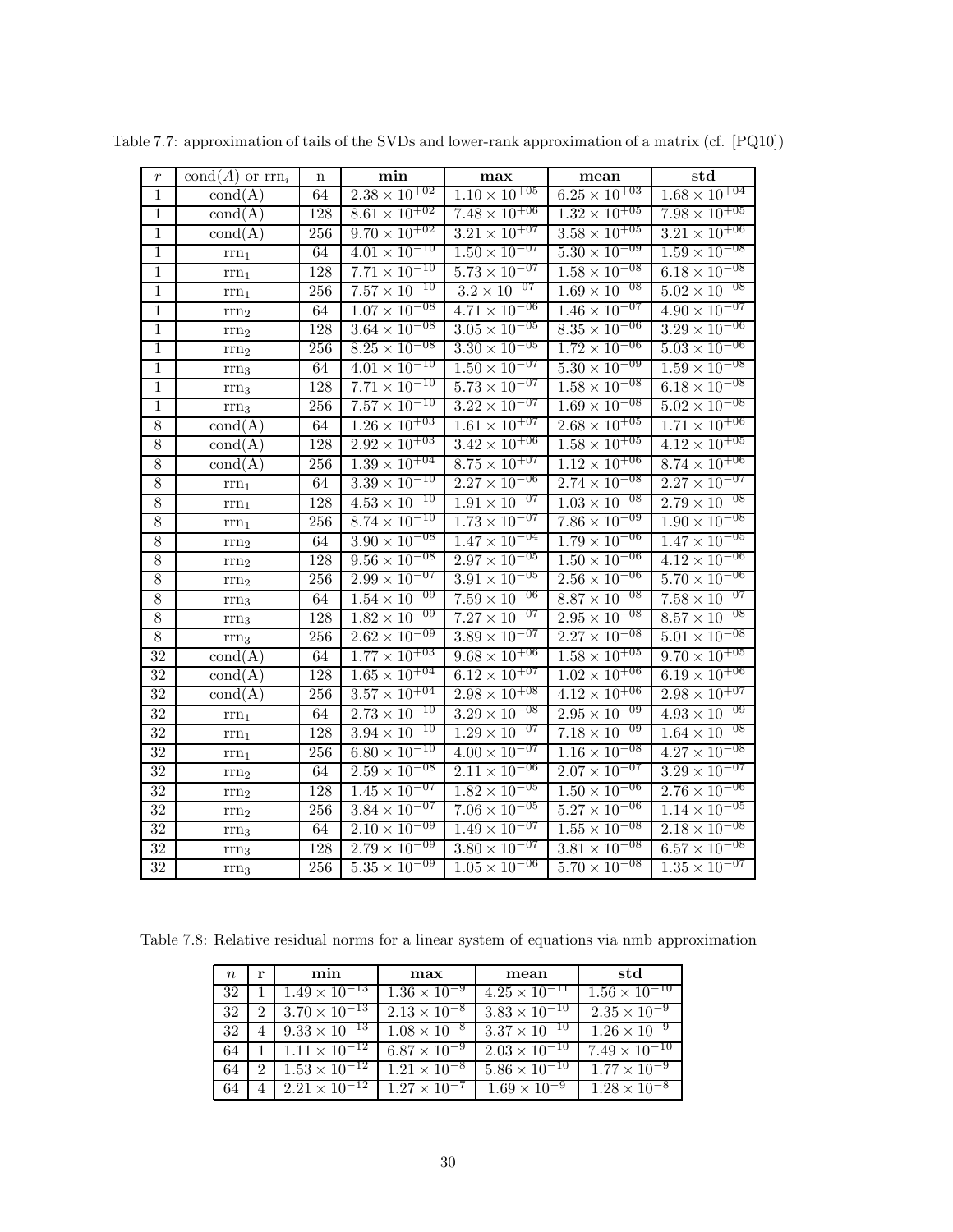| $\boldsymbol{r}$ | $\text{cond}(A)$ or $\text{rrn}_i$ | n       | min                               | max                               | mean                              | $_{\rm std}$                      |
|------------------|------------------------------------|---------|-----------------------------------|-----------------------------------|-----------------------------------|-----------------------------------|
| $\,1$            | $\text{cond}(A)$                   | 64      | $2.38 \times 10^{+02}$            | $1.10 \times 10^{+05}$            | $6.25 \times 10^{+03}$            | $1.68 \times 10^{+04}$            |
| $\overline{1}$   | $\text{cond}(A)$                   | 128     | $8.61 \times 10^{+02}$            | $7.48 \times 10^{+06}$            | $1.32 \times 10^{+05}$            | $7.98 \times 10^{+05}$            |
| $\mathbf 1$      | $\text{cond}(A)$                   | 256     | $9.70 \times 10^{+02}$            | $3.2\overline{1\times10^{+07}}$   | $3.58 \times 10^{+05}$            | $3.2\overline{1\times10^{+06}}$   |
| $\,1$            | $\mathrm{rrn}_1$                   | 64      | $4.01 \times 10^{-10}$            | $1.50 \times 10^{-07}$            | $5.30 \times 10^{-09}$            | $1.59 \times 10^{-08}$            |
| $\mathbf 1$      | $rm_{1}$                           | 128     | $7.\overline{71 \times 10^{-10}}$ | $5.\overline{73 \times 10^{-07}}$ | $1.58 \times 10^{-08}$            | $6.18 \times 10^{-08}$            |
| $\,1$            | $rm_{1}$                           | 256     | $7.57 \times 10^{-10}$            | $3.2 \times 10^{-07}$             | $1.69 \times 10^{-08}$            | $5.02 \times 10^{-08}$            |
| $\mathbf 1$      | $\rm{rrn}_2$                       | 64      | $1.07 \times 10^{-08}$            | $4.71 \times 10^{-06}$            | $1.46 \times 10^{-07}$            | $4.90 \times 10^{-07}$            |
| $\overline{1}$   | $rm_{2}$                           | 128     | $3.64 \times 10^{-08}$            | $3.05 \times 10^{-05}$            | $8.\overline{35 \times 10^{-06}}$ | $3.29 \times 10^{-06}$            |
| $\mathbf 1$      | $rm_{2}$                           | 256     | $8.25 \times 10^{-08}$            | $3.30 \times 10^{-05}$            | $1.72 \times 10^{-06}$            | $5.03 \times 10^{-06}$            |
| $\mathbf 1$      | $\rm{rrn}_3$                       | 64      | $4.01 \times 10^{-10}$            | $1.\overline{50 \times 10^{-07}}$ | $5.30 \times 10^{-09}$            | $1.\overline{59 \times 10^{-08}}$ |
| $\mathbf 1$      | $rm_{3}$                           | 128     | $7.71 \times 10^{-10}$            | $5.73 \times 10^{-07}$            | $1.58 \times 10^{-08}$            | $6.18 \times 10^{-08}$            |
| $\mathbf 1$      | $\rm{rrn}_3$                       | 256     | $7.57 \times \overline{10^{-10}}$ | $3.22 \times \overline{10^{-07}}$ | $1.69 \times 10^{-08}$            | $5.02 \times 10^{-08}$            |
| $\overline{8}$   | $\text{cond}(A)$                   | 64      | $1.26 \times 10^{+03}$            | $1.61 \times 10^{+07}$            | $2.68 \times 10^{+05}$            | $1.71 \times 10^{+06}$            |
| $\overline{8}$   | $\text{cond}(A)$                   | 128     | $2.92 \times 10^{+03}$            | $3.42 \times 10^{+06}$            | $1.58 \times 10^{+05}$            | $4.12 \times 10^{+05}$            |
| 8                | $\text{cond}(A)$                   | 256     | $1.\overline{39} \times 10^{+04}$ | $8.75 \times 10^{+07}$            | $1.12 \times 10^{+06}$            | $8.74 \times 10^{+06}$            |
| $\overline{8}$   | $rm_{1}$                           | 64      | $3.39 \times 10^{-10}$            | $2.27 \times 10^{-06}$            | $2.74 \times 10^{-08}$            | $2.27 \times 10^{-07}$            |
| 8                | $rm_{1}$                           | 128     | $4.\overline{53 \times 10^{-10}}$ | $1.\overline{91 \times 10^{-07}}$ | $1.\overline{03 \times 10^{-08}}$ | $2.79 \times 10^{-08}$            |
| $\overline{8}$   | $\rm{rrn}_1$                       | 256     | $8.74 \times 10^{-10}$            | $1.73 \times 10^{-07}$            | $7.86 \times 10^{-09}$            | $1.90 \times 10^{-08}$            |
| $\overline{8}$   | $rm_{2}$                           | 64      | $3.90 \times 10^{-08}$            | $1.47 \times 10^{-04}$            | $1.79 \times 10^{-06}$            | $1.47 \times 10^{-05}$            |
| $8\,$            | $rm_{2}$                           | 128     | $9.56 \times 10^{-08}$            | $2.97 \times 10^{-05}$            | $1.50 \times 10^{-06}$            | $4.12 \times 10^{-06}$            |
| $\overline{8}$   | $\rm{rrn}_2$                       | $256\,$ | $2.99 \times 10^{-07}$            | $3.91 \times 10^{-05}$            | $2.\overline{56 \times 10^{-06}}$ | $5.70 \times 10^{-06}$            |
| $\overline{8}$   | $rm_{3}$                           | 64      | $1.54 \times 10^{-09}$            | $7.59 \times 10^{-06}$            | $8.87 \times 10^{-08}$            | $7.58 \times 10^{-07}$            |
| $\overline{8}$   | $rm_{3}$                           | 128     | $1.82 \times 10^{-09}$            | $7.27 \times 10^{-07}$            | $2.95 \times 10^{-08}$            | $8.57 \times 10^{-08}$            |
| $\overline{8}$   | $\rm{rrn}_3$                       | 256     | $2.62 \times 10^{-09}$            | $3.89 \times 10^{-07}$            | $2.27 \times 10^{-08}$            | $5.01 \times 10^{-08}$            |
| $\overline{32}$  | $\text{cond}(A)$                   | 64      | $1.77 \times 10^{+03}$            | $9.68 \times 10^{+06}$            | $1.\overline{58 \times 10^{+05}}$ | $9.70 \times 10^{+05}$            |
| $\overline{32}$  | $\text{cond}(A)$                   | 128     | $1.65 \times 10^{+04}$            | $6.12 \times 10^{+07}$            | $1.02 \times 10^{+06}$            | $6.19 \times 10^{+06}$            |
| $\overline{32}$  | $\text{cond}(A)$                   | 256     | $3.57 \times 10^{+04}$            | $2.\overline{98 \times 10^{+08}}$ | $4.12 \times 10^{+06}$            | $2.98 \times 10^{+07}$            |
| $\overline{32}$  | $rm_{1}$                           | 64      | $2.73 \times 10^{-10}$            | $3.29 \times 10^{-08}$            | $2.95 \times 10^{-09}$            | $4.93 \times 10^{-09}$            |
| $\overline{32}$  | $rm_{1}$                           | 128     | $3.94 \times 10^{-10}$            | $1.29 \times 10^{-07}$            | $7.18 \times 10^{-09}$            | $1.64 \times 10^{-08}$            |
| $\overline{32}$  | $\rm{rrn}_1$                       | 256     | $6.80 \times 10^{-10}$            | $4.00 \times 10^{-07}$            | $1.16 \times 10^{-08}$            | $4.27 \times 10^{-08}$            |
| 32               | $rm_{2}$                           | 64      | $2.59 \times 10^{-08}$            | $2.11 \times 10^{-06}$            | $2.07 \times 10^{-07}$            | $3.29 \times 10^{-07}$            |
| $\overline{32}$  | $\rm{rrn}_2$                       | 128     | $1.45 \times 10^{-07}$            | $1.82 \times 10^{-05}$            | $1.\overline{50 \times 10^{-06}}$ | $2.76 \times 10^{-06}$            |
| $32\,$           | $rm_{2}$                           | 256     | $3.84 \times 10^{-07}$            | $7.06 \times 10^{-05}$            | $5.27 \times 10^{-06}$            | $1.14 \times 10^{-05}$            |
| $\overline{32}$  | $rm_{3}$                           | 64      | $2.\overline{10 \times 10^{-09}}$ | $1.\overline{49 \times 10^{-07}}$ | $1.55 \times 10^{-08}$            | $2.18 \times 10^{-08}$            |
| $\overline{32}$  | $\rm{rrn}_3$                       | 128     | $2.79 \times 10^{-09}$            | $3.80 \times 10^{-07}$            | $3.81 \times 10^{-08}$            | $6.57 \times 10^{-08}$            |
| 32               | $rm_{3}$                           | 256     | $5.35 \times 10^{-09}$            | $1.05 \times 10^{-06}$            | $5.70 \times 10^{-08}$            | $1.35 \times 10^{-07}$            |

Table 7.7: approximation of tails of the SVDs and lower-rank approximation of a matrix (cf. [PQ10])

Table 7.8: Relative residual norms for a linear system of equations via nmb approximation

| $\eta$ | r | min                                          | max                   | mean                   | std                                               |
|--------|---|----------------------------------------------|-----------------------|------------------------|---------------------------------------------------|
| 32     |   | $1.49 \times 10^{-13}$                       | $1.36 \times 10^{-9}$ | $4.25 \times 10^{-11}$ | $1.56 \times 10^{-10}$                            |
| 32     |   | $3.70 \times 10^{-13}$                       | $2.13 \times 10^{-8}$ | $3.83 \times 10^{-10}$ | $2.35 \times 10^{-9}$                             |
| 32     |   | $9.33 \times 10^{-13}$                       | $1.08 \times 10^{-8}$ | $3.37 \times 10^{-10}$ | $1.26 \times 10^{-9}$                             |
| 64     |   | $1.11 \times 10^{-12}$ 6.87 $\times 10^{-9}$ |                       | $2.03 \times 10^{-10}$ | $7.49 \times 10^{-10}$                            |
| 64     | 2 | $1.53 \times 10^{-12}$ $1.21 \times 10^{-8}$ |                       | $5.86 \times 10^{-10}$ | $1.77 \times 10^{-9}$                             |
| 64     |   | $2.21 \times 10^{-12}$ $1.27 \times 10^{-7}$ |                       | $1.69 \times 10^{-9}$  | $\frac{1.28 \times 10^{-8}}{1.28 \times 10^{-8}}$ |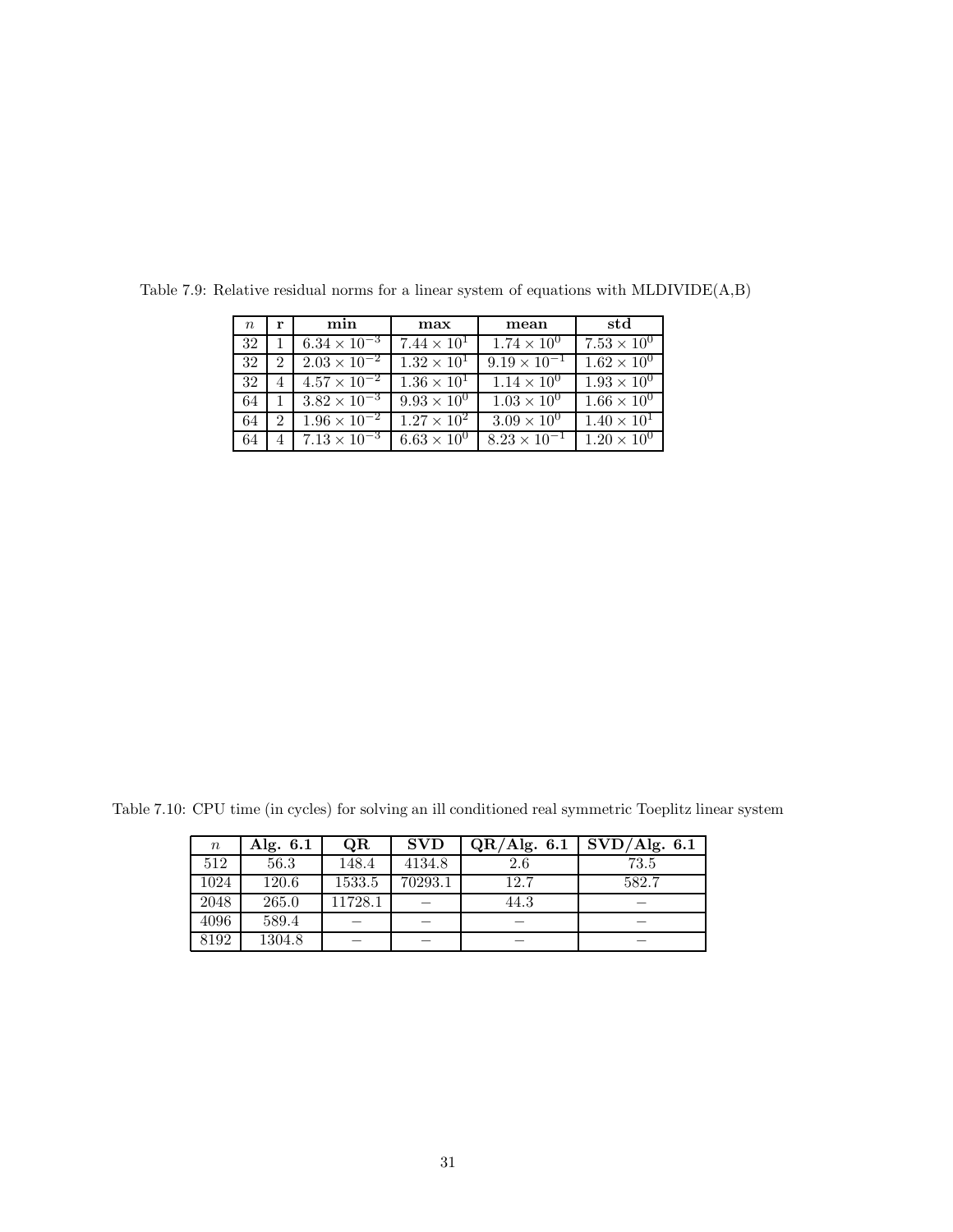| $\, n$ | r | min                   | max                  | mean                  | std                  |
|--------|---|-----------------------|----------------------|-----------------------|----------------------|
| 32     |   | $6.34 \times 10^{-3}$ | $7.44 \times 10^{1}$ | $1.74 \times 10^{0}$  | $7.53 \times 10^{0}$ |
| 32     | 2 | $2.03 \times 10^{-2}$ | $1.32 \times 10^{1}$ | $9.19 \times 10^{-1}$ | $1.62 \times 10^{0}$ |
| 32     |   | $4.57 \times 10^{-2}$ | $1.36 \times 10^{1}$ | $1.14 \times 10^{0}$  | $1.93 \times 10^{0}$ |
| 64     |   | $3.82 \times 10^{-3}$ | $9.93 \times 10^{0}$ | $1.03 \times 10^{0}$  | $1.66 \times 10^{0}$ |
| 64     | 2 | $1.96 \times 10^{-2}$ | $1.27 \times 10^{2}$ | $3.09 \times 10^{0}$  | $1.40 \times 10^{1}$ |
| 64     | 4 | $7.13 \times 10^{-3}$ | $6.63 \times 10^{0}$ | $8.23 \times 10^{-1}$ | $1.20 \times 10^{0}$ |

Table 7.9: Relative residual norms for a linear system of equations with MLDIVIDE(A,B)

Table 7.10: CPU time (in cycles) for solving an ill conditioned real symmetric Toeplitz linear system

| $\, n \,$ | Alg. $6.1$ | QR      | <b>SVD</b> | QR/Alg. 6.1 | SVD/Alg. 6.1 |
|-----------|------------|---------|------------|-------------|--------------|
| 512       | 56.3       | 148.4   | 4134.8     | 2.6         | 73.5         |
| 1024      | 120.6      | 1533.5  | 70293.1    | 12.7        | 582.7        |
| 2048      | 265.0      | 11728.1 |            | 44.3        |              |
| 4096      | 589.4      |         |            |             |              |
| 8192      | 1304.8     |         |            |             |              |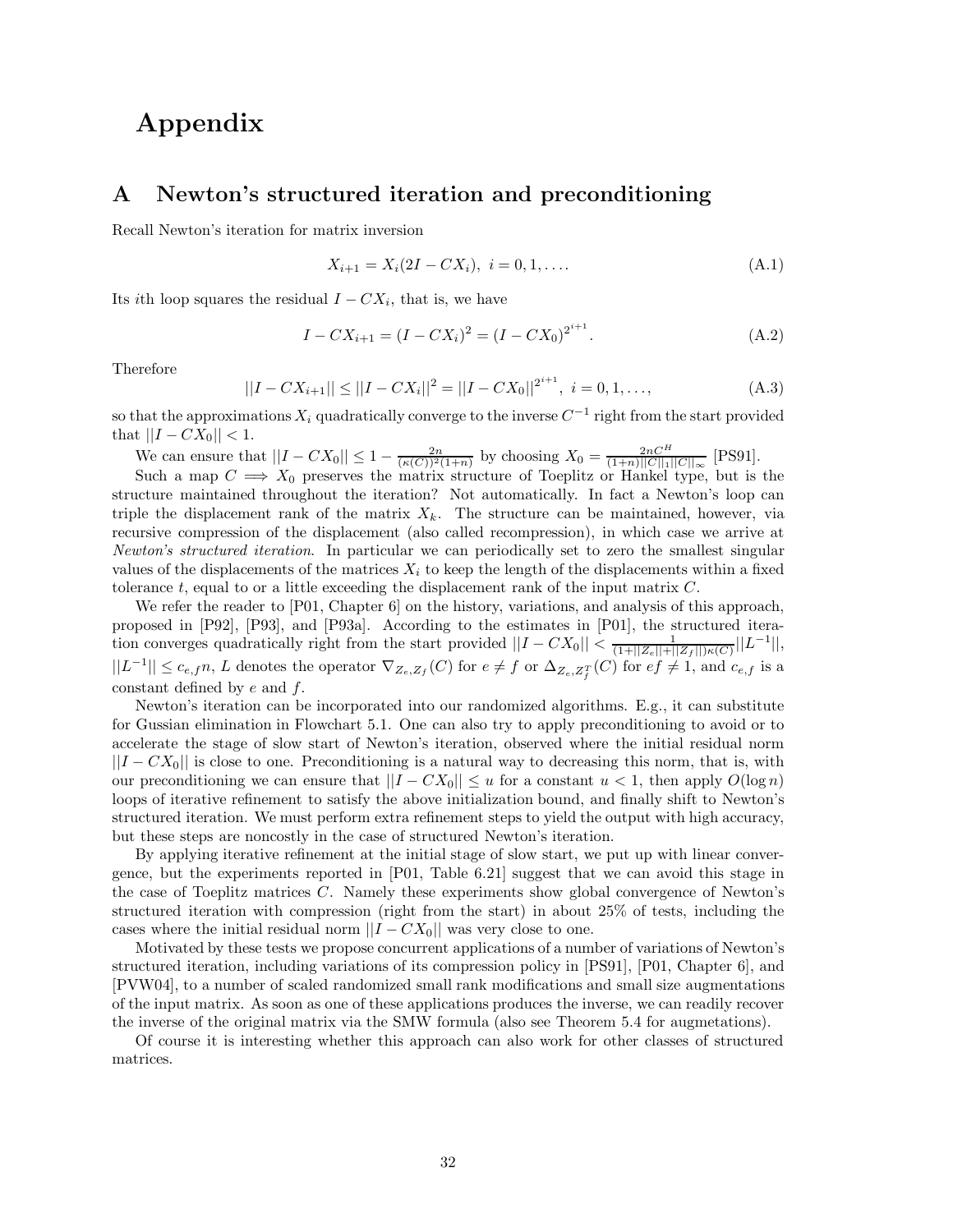## **Appendix**

## **A Newton's structured iteration and preconditioning**

Recall Newton's iteration for matrix inversion

$$
X_{i+1} = X_i(2I - CX_i), \ i = 0, 1, \dots
$$
\n(A.1)

Its *i*th loop squares the residual  $I - CX_i$ , that is, we have

$$
I - CX_{i+1} = (I - CX_i)^2 = (I - CX_0)^{2^{i+1}}.
$$
\n(A.2)

Therefore

$$
||I - CX_{i+1}|| \le ||I - CX_i||^2 = ||I - CX_0||^{2^{i+1}}, \quad i = 0, 1, ..., \tag{A.3}
$$

so that the approximations  $X_i$  quadratically converge to the inverse  $C^{-1}$  right from the start provided that  $||I - CX_0|| < 1$ .

We can ensure that  $||I - CX_0|| \le 1 - \frac{2n}{(\kappa(C))^2(1+n)}$  by choosing  $X_0 = \frac{2nC^H}{(1+n)||C||_1||C||_{\infty}}$  [PS91].

Such a map  $C \implies X_0$  preserves the matrix structure of Toeplitz or Hankel type, but is the structure maintained throughout the iteration? Not automatically. In fact a Newton's loop can triple the displacement rank of the matrix  $X_k$ . The structure can be maintained, however, via recursive compression of the displacement (also called recompression), in which case we arrive at *Newton's structured iteration*. In particular we can periodically set to zero the smallest singular values of the displacements of the matrices  $X_i$  to keep the length of the displacements within a fixed tolerance *t*, equal to or a little exceeding the displacement rank of the input matrix *C*.

We refer the reader to [P01, Chapter 6] on the history, variations, and analysis of this approach, proposed in [P92], [P93], and [P93a]. According to the estimates in [P01], the structured iteration converges quadratically right from the start provided  $||I - CX_0|| < \frac{1}{(1+||Z_e||+||Z_f||)\kappa(C)}||L^{-1}||$ ,  $||L^{-1}|| \leq c_{e,f}n$ , L denotes the operator  $\nabla_{Z_e,Z_f}(C)$  for  $e \neq f$  or  $\Delta_{Z_e,Z_f^T}(C)$  for  $ef \neq 1$ , and  $c_{e,f}$  is a constant defined by *e* and *f*.

Newton's iteration can be incorporated into our randomized algorithms. E.g., it can substitute for Gussian elimination in Flowchart 5.1. One can also try to apply preconditioning to avoid or to accelerate the stage of slow start of Newton's iteration, observed where the initial residual norm ||*I* − *CX*0|| is close to one. Preconditioning is a natural way to decreasing this norm, that is, with our preconditioning we can ensure that  $||I - CX_0|| \le u$  for a constant  $u < 1$ , then apply  $O(\log n)$ loops of iterative refinement to satisfy the above initialization bound, and finally shift to Newton's structured iteration. We must perform extra refinement steps to yield the output with high accuracy, but these steps are noncostly in the case of structured Newton's iteration.

By applying iterative refinement at the initial stage of slow start, we put up with linear convergence, but the experiments reported in [P01, Table 6.21] suggest that we can avoid this stage in the case of Toeplitz matrices *C*. Namely these experiments show global convergence of Newton's structured iteration with compression (right from the start) in about 25% of tests, including the cases where the initial residual norm  $||I - CX_0||$  was very close to one.

Motivated by these tests we propose concurrent applications of a number of variations of Newton's structured iteration, including variations of its compression policy in [PS91], [P01, Chapter 6], and [PVW04], to a number of scaled randomized small rank modifications and small size augmentations of the input matrix. As soon as one of these applications produces the inverse, we can readily recover the inverse of the original matrix via the SMW formula (also see Theorem 5.4 for augmetations).

Of course it is interesting whether this approach can also work for other classes of structured matrices.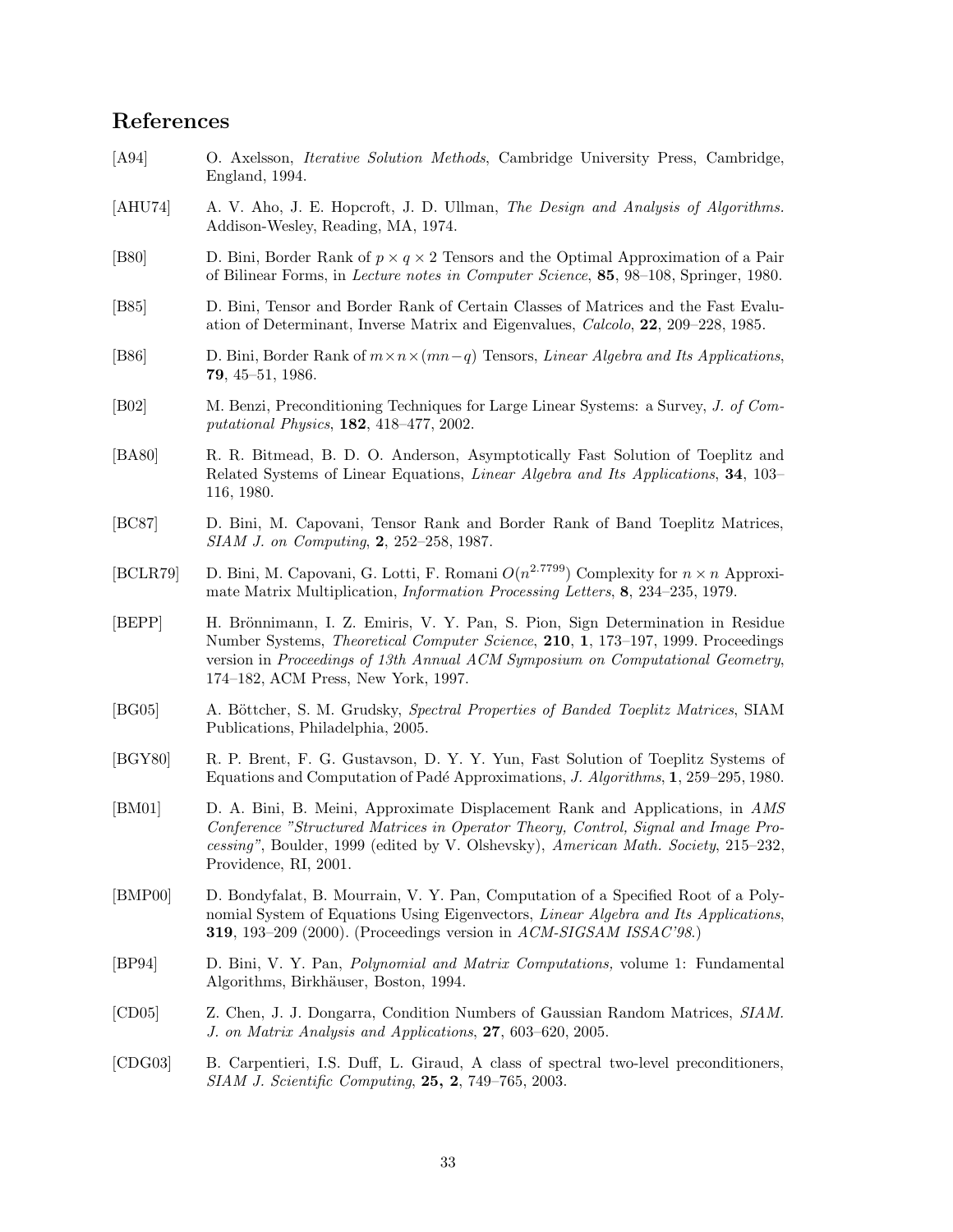## **References**

- [A94] O. Axelsson, *Iterative Solution Methods*, Cambridge University Press, Cambridge, England, 1994.
- [AHU74] A. V. Aho, J. E. Hopcroft, J. D. Ullman, *The Design and Analysis of Algorithms.* Addison-Wesley, Reading, MA, 1974.
- [B80] D. Bini, Border Rank of *p* × *q* × 2 Tensors and the Optimal Approximation of a Pair of Bilinear Forms, in *Lecture notes in Computer Science*, **85**, 98–108, Springer, 1980.
- [B85] D. Bini, Tensor and Border Rank of Certain Classes of Matrices and the Fast Evaluation of Determinant, Inverse Matrix and Eigenvalues, *Calcolo*, **22**, 209–228, 1985.
- [B86] D. Bini, Border Rank of *m*×*n*×(*mn*−*q*) Tensors, *Linear Algebra and Its Applications*, **79**, 45–51, 1986.
- [B02] M. Benzi, Preconditioning Techniques for Large Linear Systems: a Survey, *J. of Computational Physics*, **182**, 418–477, 2002.
- [BA80] R. R. Bitmead, B. D. O. Anderson, Asymptotically Fast Solution of Toeplitz and Related Systems of Linear Equations, *Linear Algebra and Its Applications*, **34**, 103– 116, 1980.
- [BC87] D. Bini, M. Capovani, Tensor Rank and Border Rank of Band Toeplitz Matrices, *SIAM J. on Computing*, **2**, 252–258, 1987.
- [BCLR79] D. Bini, M. Capovani, G. Lotti, F. Romani  $O(n^{2.7799})$  Complexity for  $n \times n$  Approximate Matrix Multiplication, *Information Processing Letters*, **8**, 234–235, 1979.
- [BEPP] H. Brönnimann, I. Z. Emiris, V. Y. Pan, S. Pion, Sign Determination in Residue Number Systems, *Theoretical Computer Science*, **210**, **1**, 173–197, 1999. Proceedings version in *Proceedings of 13th Annual ACM Symposium on Computational Geometry*, 174–182, ACM Press, New York, 1997.
- [BG05] A. Böttcher, S. M. Grudsky, *Spectral Properties of Banded Toeplitz Matrices*, SIAM Publications, Philadelphia, 2005.
- [BGY80] R. P. Brent, F. G. Gustavson, D. Y. Y. Yun, Fast Solution of Toeplitz Systems of Equations and Computation of Pad´e Approximations, *J. Algorithms*, **1**, 259–295, 1980.
- [BM01] D. A. Bini, B. Meini, Approximate Displacement Rank and Applications, in *AMS Conference "Structured Matrices in Operator Theory, Control, Signal and Image Processing"*, Boulder, 1999 (edited by V. Olshevsky), *American Math. Society*, 215–232, Providence, RI, 2001.
- [BMP00] D. Bondyfalat, B. Mourrain, V. Y. Pan, Computation of a Specified Root of a Polynomial System of Equations Using Eigenvectors, *Linear Algebra and Its Applications*, **319**, 193–209 (2000). (Proceedings version in *ACM-SIGSAM ISSAC'98*.)
- [BP94] D. Bini, V. Y. Pan, *Polynomial and Matrix Computations,* volume 1: Fundamental Algorithms, Birkhäuser, Boston, 1994.
- [CD05] Z. Chen, J. J. Dongarra, Condition Numbers of Gaussian Random Matrices, *SIAM. J. on Matrix Analysis and Applications*, **27**, 603–620, 2005.
- [CDG03] B. Carpentieri, I.S. Duff, L. Giraud, A class of spectral two-level preconditioners, *SIAM J. Scientific Computing*, **25, 2**, 749–765, 2003.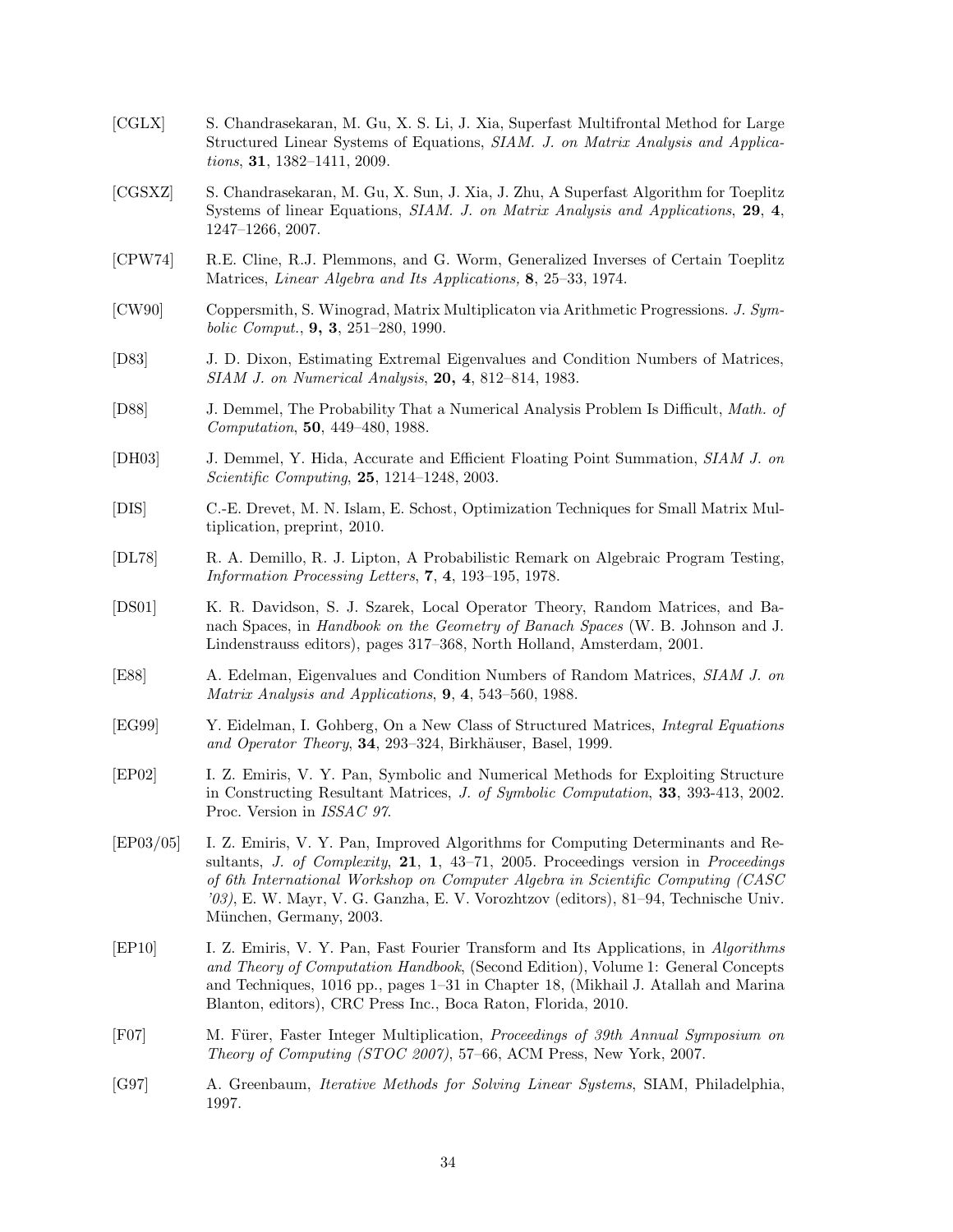- [CGLX] S. Chandrasekaran, M. Gu, X. S. Li, J. Xia, Superfast Multifrontal Method for Large Structured Linear Systems of Equations, *SIAM. J. on Matrix Analysis and Applications*, **31**, 1382–1411, 2009.
- [CGSXZ] S. Chandrasekaran, M. Gu, X. Sun, J. Xia, J. Zhu, A Superfast Algorithm for Toeplitz Systems of linear Equations, *SIAM. J. on Matrix Analysis and Applications*, **29**, **4**, 1247–1266, 2007.
- [CPW74] R.E. Cline, R.J. Plemmons, and G. Worm, Generalized Inverses of Certain Toeplitz Matrices, *Linear Algebra and Its Applications,* **8**, 25–33, 1974.
- [CW90] Coppersmith, S. Winograd, Matrix Multiplicaton via Arithmetic Progressions. *J. Symbolic Comput.*, **9, 3**, 251–280, 1990.
- [D83] J. D. Dixon, Estimating Extremal Eigenvalues and Condition Numbers of Matrices, *SIAM J. on Numerical Analysis*, **20, 4**, 812–814, 1983.
- [D88] J. Demmel, The Probability That a Numerical Analysis Problem Is Difficult, *Math. of Computation*, **50**, 449–480, 1988.
- [DH03] J. Demmel, Y. Hida, Accurate and Efficient Floating Point Summation, *SIAM J. on Scientific Computing*, **25**, 1214–1248, 2003.
- [DIS] C.-E. Drevet, M. N. Islam, E. Schost, Optimization Techniques for Small Matrix Multiplication, preprint, 2010.
- [DL78] R. A. Demillo, R. J. Lipton, A Probabilistic Remark on Algebraic Program Testing, *Information Processing Letters*, **7**, **4**, 193–195, 1978.
- [DS01] K. R. Davidson, S. J. Szarek, Local Operator Theory, Random Matrices, and Banach Spaces, in *Handbook on the Geometry of Banach Spaces* (W. B. Johnson and J. Lindenstrauss editors), pages 317–368, North Holland, Amsterdam, 2001.
- [E88] A. Edelman, Eigenvalues and Condition Numbers of Random Matrices, *SIAM J. on Matrix Analysis and Applications*, **9**, **4**, 543–560, 1988.
- [EG99] Y. Eidelman, I. Gohberg, On a New Class of Structured Matrices, *Integral Equations* and Operator Theory, 34, 293–324, Birkhäuser, Basel, 1999.
- [EP02] I. Z. Emiris, V. Y. Pan, Symbolic and Numerical Methods for Exploiting Structure in Constructing Resultant Matrices, *J. of Symbolic Computation*, **33**, 393-413, 2002. Proc. Version in *ISSAC 97*.
- [EP03/05] I. Z. Emiris, V. Y. Pan, Improved Algorithms for Computing Determinants and Resultants, *J. of Complexity*, **21**, **1**, 43–71, 2005. Proceedings version in *Proceedings of 6th International Workshop on Computer Algebra in Scientific Computing (CASC '03)*, E. W. Mayr, V. G. Ganzha, E. V. Vorozhtzov (editors), 81–94, Technische Univ. München, Germany, 2003.
- [EP10] I. Z. Emiris, V. Y. Pan, Fast Fourier Transform and Its Applications, in *Algorithms and Theory of Computation Handbook*, (Second Edition), Volume 1: General Concepts and Techniques, 1016 pp., pages 1–31 in Chapter 18, (Mikhail J. Atallah and Marina Blanton, editors), CRC Press Inc., Boca Raton, Florida, 2010.
- [F07] M. Fürer, Faster Integer Multiplication, *Proceedings of 39th Annual Symposium on Theory of Computing (STOC 2007)*, 57–66, ACM Press, New York, 2007.
- [G97] A. Greenbaum, *Iterative Methods for Solving Linear Systems*, SIAM, Philadelphia, 1997.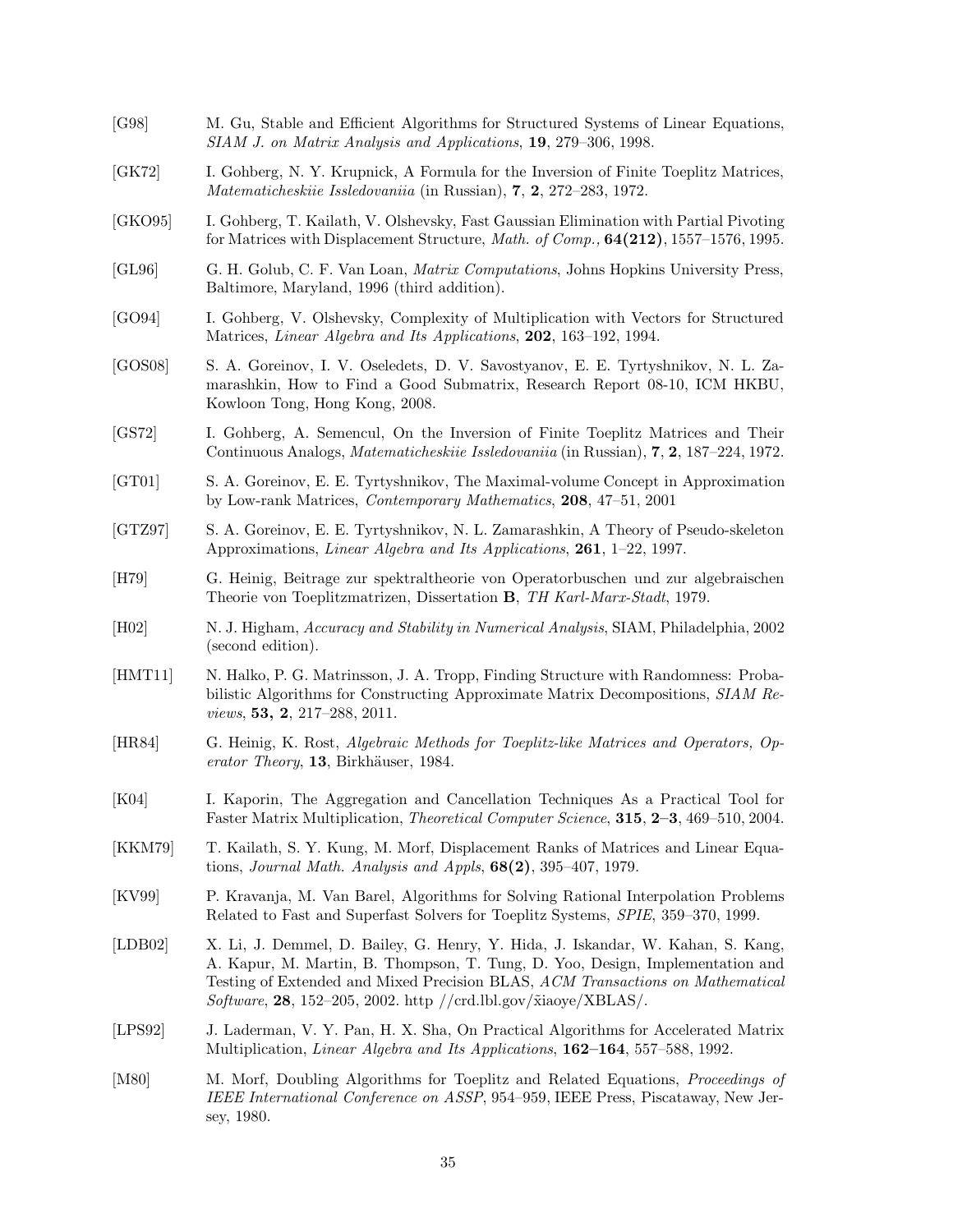[G98] M. Gu, Stable and Efficient Algorithms for Structured Systems of Linear Equations, *SIAM J. on Matrix Analysis and Applications*, **19**, 279–306, 1998. [GK72] I. Gohberg, N. Y. Krupnick, A Formula for the Inversion of Finite Toeplitz Matrices, *Matematicheskiie Issledovaniia* (in Russian), **7**, **2**, 272–283, 1972. [GKO95] I. Gohberg, T. Kailath, V. Olshevsky, Fast Gaussian Elimination with Partial Pivoting for Matrices with Displacement Structure, *Math. of Comp.,* **64(212)**, 1557–1576, 1995. [GL96] G. H. Golub, C. F. Van Loan, *Matrix Computations*, Johns Hopkins University Press, Baltimore, Maryland, 1996 (third addition). [GO94] I. Gohberg, V. Olshevsky, Complexity of Multiplication with Vectors for Structured Matrices, *Linear Algebra and Its Applications*, **202**, 163–192, 1994. [GOS08] S. A. Goreinov, I. V. Oseledets, D. V. Savostyanov, E. E. Tyrtyshnikov, N. L. Zamarashkin, How to Find a Good Submatrix, Research Report 08-10, ICM HKBU, Kowloon Tong, Hong Kong, 2008. [GS72] I. Gohberg, A. Semencul, On the Inversion of Finite Toeplitz Matrices and Their Continuous Analogs, *Matematicheskiie Issledovaniia* (in Russian), **7**, **2**, 187–224, 1972. [GT01] S. A. Goreinov, E. E. Tyrtyshnikov, The Maximal-volume Concept in Approximation by Low-rank Matrices, *Contemporary Mathematics*, **208**, 47–51, 2001 [GTZ97] S. A. Goreinov, E. E. Tyrtyshnikov, N. L. Zamarashkin, A Theory of Pseudo-skeleton Approximations, *Linear Algebra and Its Applications*, **261**, 1–22, 1997. [H79] G. Heinig, Beitrage zur spektraltheorie von Operatorbuschen und zur algebraischen Theorie von Toeplitzmatrizen, Dissertation **B**, *TH Karl-Marx-Stadt*, 1979. [H02] N. J. Higham, *Accuracy and Stability in Numerical Analysis*, SIAM, Philadelphia, 2002 (second edition). [HMT11] N. Halko, P. G. Matrinsson, J. A. Tropp, Finding Structure with Randomness: Probabilistic Algorithms for Constructing Approximate Matrix Decompositions, *SIAM Reviews*, **53, 2**, 217–288, 2011. [HR84] G. Heinig, K. Rost, *Algebraic Methods for Toeplitz-like Matrices and Operators, Operator Theory*, 13, Birkhäuser, 1984. [K04] I. Kaporin, The Aggregation and Cancellation Techniques As a Practical Tool for Faster Matrix Multiplication, *Theoretical Computer Science*, **315**, **2–3**, 469–510, 2004. [KKM79] T. Kailath, S. Y. Kung, M. Morf, Displacement Ranks of Matrices and Linear Equations, *Journal Math. Analysis and Appls*, **68(2)**, 395–407, 1979. [KV99] P. Kravanja, M. Van Barel, Algorithms for Solving Rational Interpolation Problems Related to Fast and Superfast Solvers for Toeplitz Systems, *SPIE*, 359–370, 1999. [LDB02] X. Li, J. Demmel, D. Bailey, G. Henry, Y. Hida, J. Iskandar, W. Kahan, S. Kang, A. Kapur, M. Martin, B. Thompson, T. Tung, D. Yoo, Design, Implementation and Testing of Extended and Mixed Precision BLAS, *ACM Transactions on Mathematical Software*, **28**, 152–205, 2002. http //crd.lbl.gov/˜xiaoye/XBLAS/. [LPS92] J. Laderman, V. Y. Pan, H. X. Sha, On Practical Algorithms for Accelerated Matrix Multiplication, *Linear Algebra and Its Applications*, **162–164**, 557–588, 1992. [M80] M. Morf, Doubling Algorithms for Toeplitz and Related Equations, *Proceedings of IEEE International Conference on ASSP*, 954–959, IEEE Press, Piscataway, New Jersey, 1980.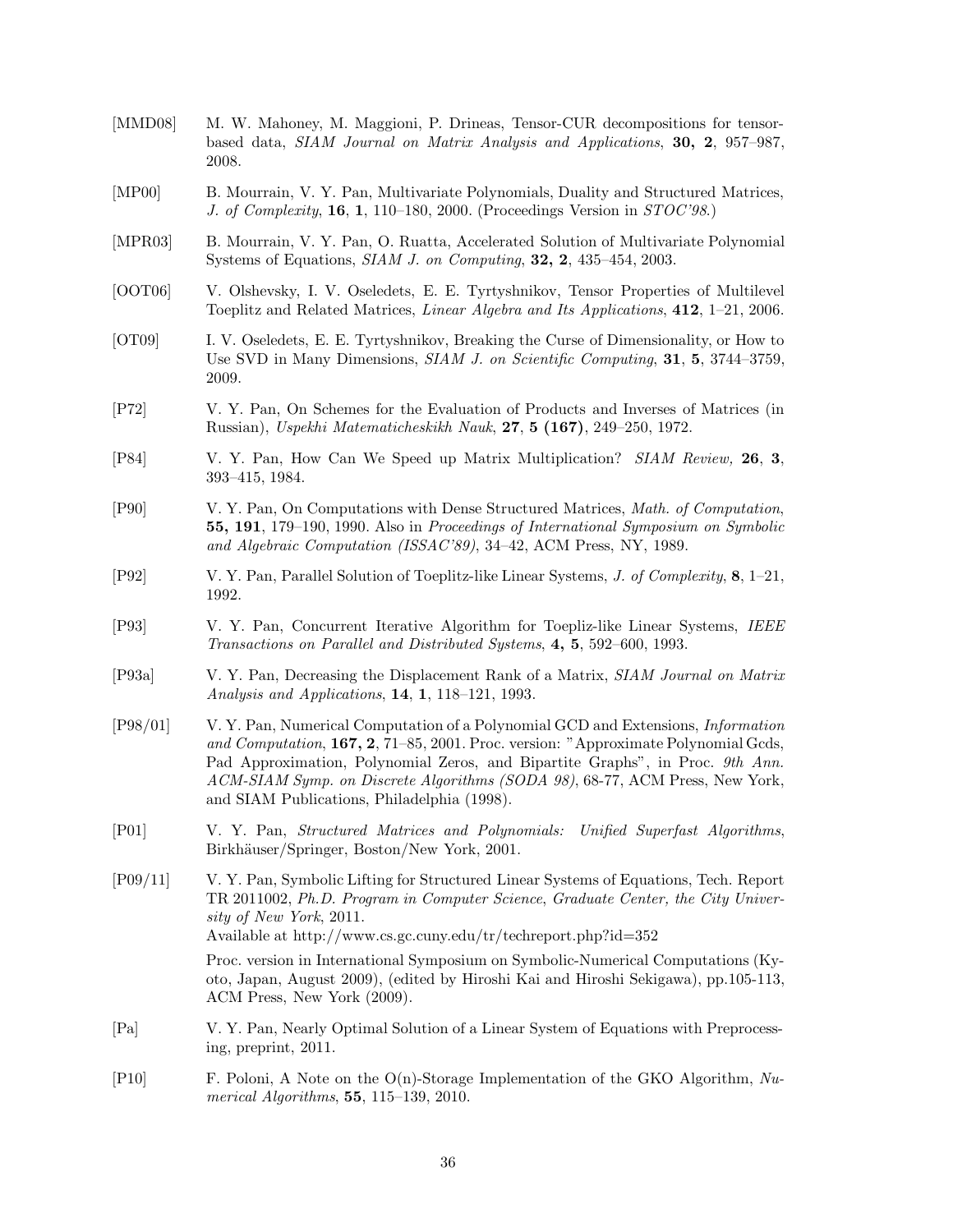| [MMD08]     | M. W. Mahoney, M. Maggioni, P. Drineas, Tensor-CUR decompositions for tensor-<br>based data, SIAM Journal on Matrix Analysis and Applications, 30, 2, 957-987,<br>2008.                                                                                                                                                                                                                       |
|-------------|-----------------------------------------------------------------------------------------------------------------------------------------------------------------------------------------------------------------------------------------------------------------------------------------------------------------------------------------------------------------------------------------------|
| [MP00]      | B. Mourrain, V. Y. Pan, Multivariate Polynomials, Duality and Structured Matrices,<br>J. of Complexity, 16, 1, 110–180, 2000. (Proceedings Version in $STOC'98$ .)                                                                                                                                                                                                                            |
| [MPR03]     | B. Mourrain, V. Y. Pan, O. Ruatta, Accelerated Solution of Multivariate Polynomial<br>Systems of Equations, <i>SIAM J. on Computing</i> , <b>32, 2</b> , 435–454, 2003.                                                                                                                                                                                                                       |
| [OOTO6]     | V. Olshevsky, I. V. Oseledets, E. E. Tyrtyshnikov, Tensor Properties of Multilevel<br>Toeplitz and Related Matrices, <i>Linear Algebra and Its Applications</i> , 412, 1-21, 2006.                                                                                                                                                                                                            |
| [OT09]      | I. V. Oseledets, E. E. Tyrtyshnikov, Breaking the Curse of Dimensionality, or How to<br>Use SVD in Many Dimensions, SIAM J. on Scientific Computing, 31, 5, 3744–3759,<br>2009.                                                                                                                                                                                                               |
| [ P72 ]     | V. Y. Pan, On Schemes for the Evaluation of Products and Inverses of Matrices (in<br>Russian), Uspekhi Matematicheskikh Nauk, 27, 5 (167), 249–250, 1972.                                                                                                                                                                                                                                     |
| [P84]       | V. Y. Pan, How Can We Speed up Matrix Multiplication? <i>SIAM Review</i> , 26, 3,<br>393-415, 1984.                                                                                                                                                                                                                                                                                           |
| [P90]       | V. Y. Pan, On Computations with Dense Structured Matrices, Math. of Computation,<br>55, 191, 179–190, 1990. Also in Proceedings of International Symposium on Symbolic<br>and Algebraic Computation (ISSAC'89), 34-42, ACM Press, NY, 1989.                                                                                                                                                   |
| [P92]       | V. Y. Pan, Parallel Solution of Toeplitz-like Linear Systems, J. of Complexity, $\mathbf{8}, 1$ -21,<br>1992.                                                                                                                                                                                                                                                                                 |
| [P93]       | V. Y. Pan, Concurrent Iterative Algorithm for Toepliz-like Linear Systems, IEEE<br>Transactions on Parallel and Distributed Systems, 4, 5, 592–600, 1993.                                                                                                                                                                                                                                     |
| [P93a]      | V. Y. Pan, Decreasing the Displacement Rank of a Matrix, SIAM Journal on Matrix<br>Analysis and Applications, 14, 1, 118-121, 1993.                                                                                                                                                                                                                                                           |
| $[P98/01]$  | V. Y. Pan, Numerical Computation of a Polynomial GCD and Extensions, <i>Information</i><br>and Computation, 167, 2, 71–85, 2001. Proc. version: "Approximate Polynomial Gcds,<br>Pad Approximation, Polynomial Zeros, and Bipartite Graphs", in Proc. 9th Ann.<br>ACM-SIAM Symp. on Discrete Algorithms (SODA 98), 68-77, ACM Press, New York,<br>and SIAM Publications, Philadelphia (1998). |
| $[$ P01 $]$ | V. Y. Pan, Structured Matrices and Polynomials: Unified Superfast Algorithms,<br>Birkhäuser/Springer, Boston/New York, 2001.                                                                                                                                                                                                                                                                  |
| $[P09/11]$  | V. Y. Pan, Symbolic Lifting for Structured Linear Systems of Equations, Tech. Report<br>TR 2011002, Ph.D. Program in Computer Science, Graduate Center, the City Univer-<br>sity of New York, 2011.<br>Available at http://www.cs.gc.cuny.edu/tr/techreport.php?id=352                                                                                                                        |
|             | Proc. version in International Symposium on Symbolic-Numerical Computations (Ky-<br>oto, Japan, August 2009), (edited by Hiroshi Kai and Hiroshi Sekigawa), pp. 105-113,<br>ACM Press, New York (2009).                                                                                                                                                                                       |
| [Pa]        | V. Y. Pan, Nearly Optimal Solution of a Linear System of Equations with Preprocess-<br>ing, preprint, 2011.                                                                                                                                                                                                                                                                                   |
| [P10]       | F. Poloni, A Note on the $O(n)$ -Storage Implementation of the GKO Algorithm, Nu-<br><i>merical Algorithms</i> , $55, 115-139, 2010$ .                                                                                                                                                                                                                                                        |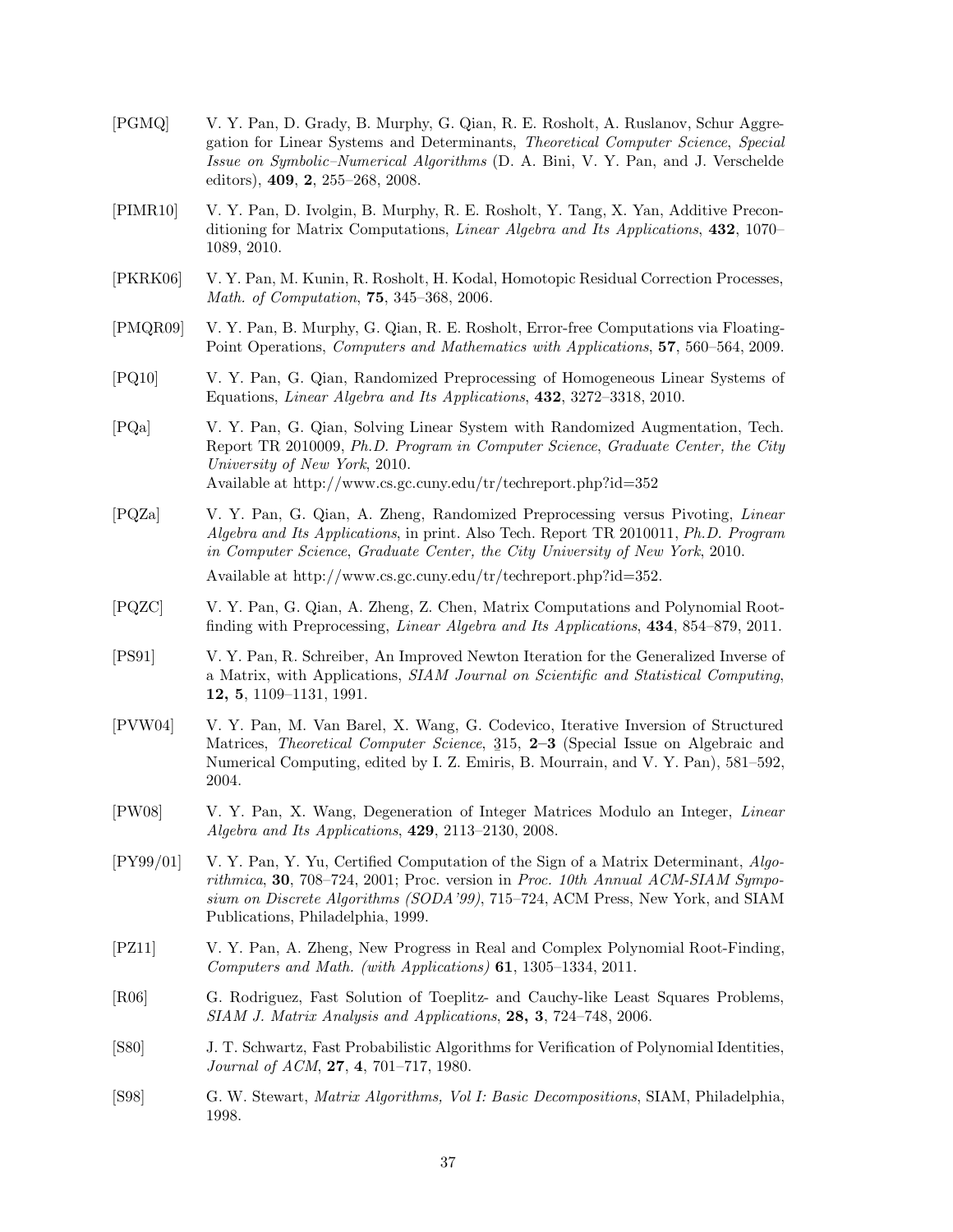- [PGMQ] V. Y. Pan, D. Grady, B. Murphy, G. Qian, R. E. Rosholt, A. Ruslanov, Schur Aggregation for Linear Systems and Determinants, *Theoretical Computer Science*, *Special Issue on Symbolic–Numerical Algorithms* (D. A. Bini, V. Y. Pan, and J. Verschelde editors), **409**, **2**, 255–268, 2008.
- [PIMR10] V. Y. Pan, D. Ivolgin, B. Murphy, R. E. Rosholt, Y. Tang, X. Yan, Additive Preconditioning for Matrix Computations, *Linear Algebra and Its Applications*, **432**, 1070– 1089, 2010.
- [PKRK06] V. Y. Pan, M. Kunin, R. Rosholt, H. Kodal, Homotopic Residual Correction Processes, *Math. of Computation*, **75**, 345–368, 2006.
- [PMQR09] V. Y. Pan, B. Murphy, G. Qian, R. E. Rosholt, Error-free Computations via Floating-Point Operations, *Computers and Mathematics with Applications*, **57**, 560–564, 2009.
- [PQ10] V. Y. Pan, G. Qian, Randomized Preprocessing of Homogeneous Linear Systems of Equations, *Linear Algebra and Its Applications*, **432**, 3272–3318, 2010.
- [PQa] V. Y. Pan, G. Qian, Solving Linear System with Randomized Augmentation, Tech. Report TR 2010009, *Ph.D. Program in Computer Science*, *Graduate Center, the City University of New York*, 2010. Available at http://www.cs.gc.cuny.edu/tr/techreport.php?id=352
- [PQZa] V. Y. Pan, G. Qian, A. Zheng, Randomized Preprocessing versus Pivoting, *Linear Algebra and Its Applications*, in print. Also Tech. Report TR 2010011, *Ph.D. Program in Computer Science*, *Graduate Center, the City University of New York*, 2010. Available at http://www.cs.gc.cuny.edu/tr/techreport.php?id=352.
- [PQZC] V. Y. Pan, G. Qian, A. Zheng, Z. Chen, Matrix Computations and Polynomial Rootfinding with Preprocessing, *Linear Algebra and Its Applications*, **434**, 854–879, 2011.
- [PS91] V. Y. Pan, R. Schreiber, An Improved Newton Iteration for the Generalized Inverse of a Matrix, with Applications, *SIAM Journal on Scientific and Statistical Computing*, **12, 5**, 1109–1131, 1991.
- [PVW04] V. Y. Pan, M. Van Barel, X. Wang, G. Codevico, Iterative Inversion of Structured Matrices, *Theoretical Computer Science*, 315, 2–3 (Special Issue on Algebraic and<br>Numerical Computing odited by L.Z. Emiris, B. Mourrain and V. V. Pan), 581–502 Numerical Computing, edited by I. Z. Emiris, B. Mourrain, and V. Y. Pan), 581–592, 2004.
- [PW08] V. Y. Pan, X. Wang, Degeneration of Integer Matrices Modulo an Integer, *Linear Algebra and Its Applications*, **429**, 2113–2130, 2008.
- [PY99/01] V. Y. Pan, Y. Yu, Certified Computation of the Sign of a Matrix Determinant, *Algorithmica*, **30**, 708–724, 2001; Proc. version in *Proc. 10th Annual ACM-SIAM Symposium on Discrete Algorithms (SODA'99)*, 715–724, ACM Press, New York, and SIAM Publications, Philadelphia, 1999.
- [PZ11] V. Y. Pan, A. Zheng, New Progress in Real and Complex Polynomial Root-Finding, *Computers and Math. (with Applications)* **61**, 1305–1334, 2011.
- [R06] G. Rodriguez, Fast Solution of Toeplitz- and Cauchy-like Least Squares Problems, *SIAM J. Matrix Analysis and Applications*, **28, 3**, 724–748, 2006.
- [S80] J. T. Schwartz, Fast Probabilistic Algorithms for Verification of Polynomial Identities, *Journal of ACM*, **27**, **4**, 701–717, 1980.
- [S98] G. W. Stewart, *Matrix Algorithms, Vol I: Basic Decompositions*, SIAM, Philadelphia, 1998.